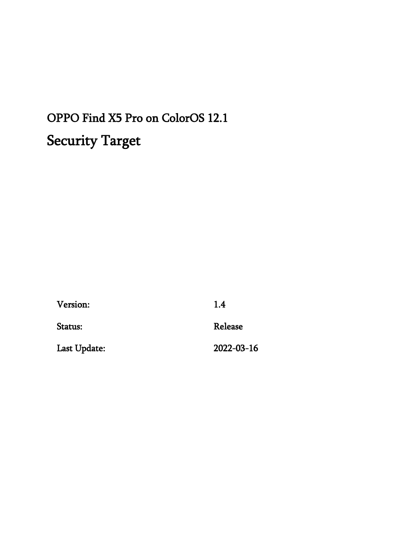# OPPO Find X5 Pro on ColorOS 12.1 Security Target

| Version:     | 1.4        |
|--------------|------------|
| Status:      | Release    |
| Last Update: | 2022-03-16 |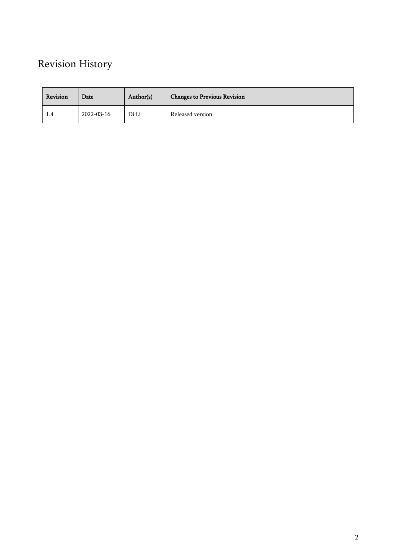# Revision History

| Revision | Date       | Author(s) | <b>Changes to Previous Revision</b> |
|----------|------------|-----------|-------------------------------------|
| 1.4      | 2022-03-16 | Di Li     | Released version.                   |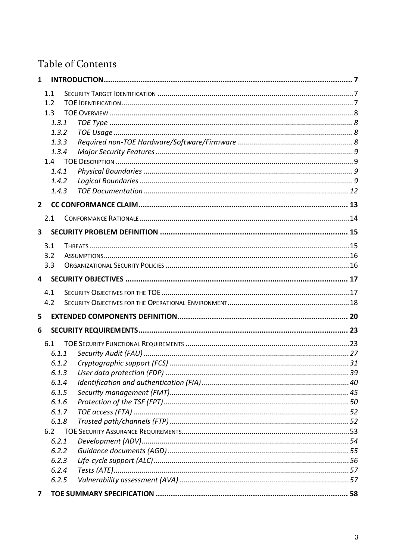# Table of Contents

| $\mathbf{1}$   |       |  |
|----------------|-------|--|
|                | 1.1   |  |
|                | 1.2   |  |
|                | 1.3   |  |
|                | 1.3.1 |  |
|                | 1.3.2 |  |
|                | 1.3.3 |  |
|                | 1.3.4 |  |
|                | 1.4   |  |
|                | 1.4.1 |  |
|                | 1.4.2 |  |
|                | 1.4.3 |  |
| $\overline{2}$ |       |  |
|                | 2.1   |  |
| 3              |       |  |
|                | 3.1   |  |
|                | 3.2   |  |
|                | 3.3   |  |
| 4              |       |  |
|                |       |  |
|                | 4.1   |  |
|                | 4.2   |  |
| 5              |       |  |
| 6              |       |  |
|                | 6.1   |  |
|                | 6.1.1 |  |
|                | 6.1.2 |  |
|                | 6.1.3 |  |
|                | 6.1.4 |  |
|                | 6.1.5 |  |
|                | 6.1.6 |  |
|                | 6.1.7 |  |
|                | 6.1.8 |  |
|                | 6.2   |  |
|                | 6.2.1 |  |
|                | 6.2.2 |  |
|                | 6.2.3 |  |
|                | 6.2.4 |  |
|                | 6.2.5 |  |
| $\overline{ }$ |       |  |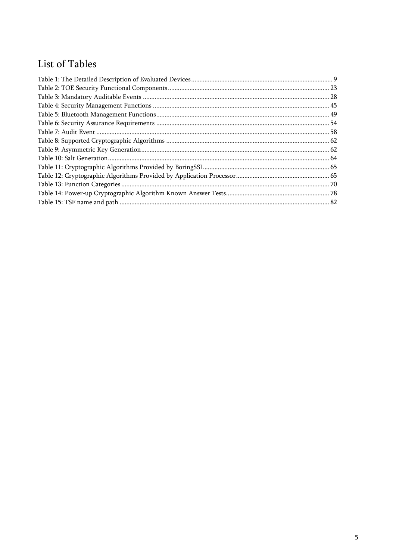# List of Tables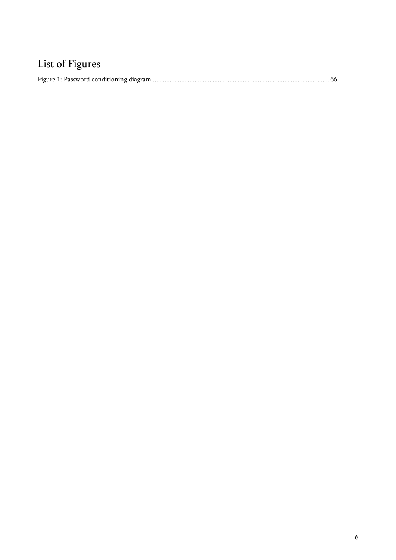# List of Figures

|--|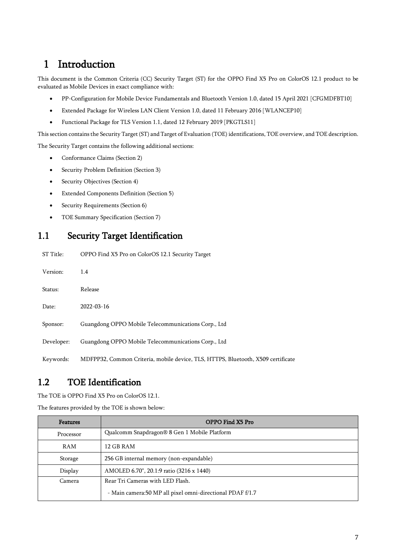# <span id="page-6-0"></span>1 Introduction

This document is the Common Criteria (CC) Security Target (ST) for the OPPO Find X5 Pro on ColorOS 12.1 product to be evaluated as Mobile Devices in exact compliance with:

- PP-Configuration for Mobile Device Fundamentals and Bluetooth Version 1.0, dated 15 April 2021 [CFGMDFBT10]
- Extended Package for Wireless LAN Client Version 1.0, dated 11 February 2016 [WLANCEP10]
- Functional Package for TLS Version 1.1, dated 12 February 2019 [PKGTLS11]

This section contains the Security Target (ST) and Target of Evaluation (TOE) identifications, TOE overview, and TOE description.

The Security Target contains the following additional sections:

- Conformance Claims (Section 2)
- Security Problem Definition (Section 3)
- Security Objectives (Section 4)
- Extended Components Definition (Section 5)
- Security Requirements (Section 6)
- TOE Summary Specification (Section 7)

## <span id="page-6-1"></span>1.1 Security Target Identification

| ST Title:  | OPPO Find X5 Pro on ColorOS 12.1 Security Target                                 |
|------------|----------------------------------------------------------------------------------|
| Version:   | 1.4                                                                              |
| Status:    | Release                                                                          |
| Date:      | 2022-03-16                                                                       |
| Sponsor:   | Guangdong OPPO Mobile Telecommunications Corp., Ltd                              |
| Developer: | Guangdong OPPO Mobile Telecommunications Corp., Ltd                              |
| Keywords:  | MDFPP32, Common Criteria, mobile device, TLS, HTTPS, Bluetooth, X509 certificate |

# <span id="page-6-2"></span>1.2 TOE Identification

The TOE is OPPO Find X5 Pro on ColorOS 12.1.

The features provided by the TOE is shown below:

| <b>Features</b> | OPPO Find X5 Pro                                           |  |
|-----------------|------------------------------------------------------------|--|
| Processor       | Qualcomm Snapdragon® 8 Gen 1 Mobile Platform               |  |
| RAM             | 12 GB RAM                                                  |  |
| Storage         | 256 GB internal memory (non-expandable)                    |  |
| Display         | AMOLED 6.70", 20.1:9 ratio (3216 x 1440)                   |  |
| Camera          | Rear Tri Cameras with LED Flash.                           |  |
|                 | - Main camera: 50 MP all pixel omni-directional PDAF f/1.7 |  |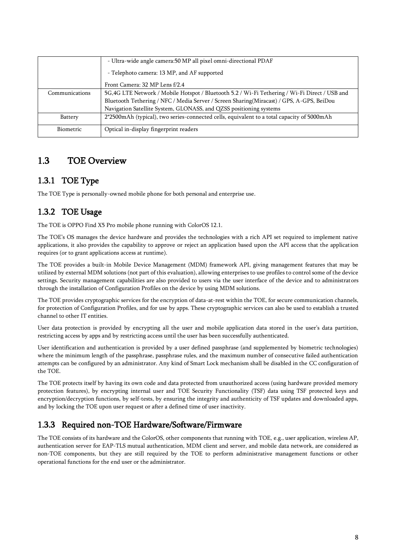|                  | - Ultra-wide angle camera: 50 MP all pixel omni-directional PDAF                              |  |  |
|------------------|-----------------------------------------------------------------------------------------------|--|--|
|                  | - Telephoto camera: 13 MP, and AF supported                                                   |  |  |
|                  | Front Camera: 32 MP Lens f/2.4                                                                |  |  |
| Communications   | 5G,4G LTE Network / Mobile Hotspot / Bluetooth 5.2 / Wi-Fi Tethering / Wi-Fi Direct / USB and |  |  |
|                  | Bluetooth Tethering / NFC / Media Server / Screen Sharing(Miracast) / GPS, A-GPS, BeiDou      |  |  |
|                  | Navigation Satellite System, GLONASS, and QZSS positioning systems                            |  |  |
| Battery          | 2*2500mAh (typical), two series-connected cells, equivalent to a total capacity of 5000mAh    |  |  |
| <b>Biometric</b> | Optical in-display fingerprint readers                                                        |  |  |

# <span id="page-7-0"></span>1.3 TOE Overview

### <span id="page-7-1"></span>1.3.1 TOE Type

The TOE Type is personally-owned mobile phone for both personal and enterprise use.

## <span id="page-7-2"></span>1.3.2 TOE Usage

The TOE is OPPO Find X5 Pro mobile phone running with ColorOS 12.1.

The TOE's OS manages the device hardware and provides the technologies with a rich API set required to implement native applications, it also provides the capability to approve or reject an application based upon the API access that the application requires (or to grant applications access at runtime).

The TOE provides a built-in Mobile Device Management (MDM) framework API, giving management features that may be utilized by external MDM solutions (not part of this evaluation), allowing enterprises to use profiles to control some of the device settings. Security management capabilities are also provided to users via the user interface of the device and to administrators through the installation of Configuration Profiles on the device by using MDM solutions.

The TOE provides cryptographic services for the encryption of data-at-rest within the TOE, for secure communication channels, for protection of Configuration Profiles, and for use by apps. These cryptographic services can also be used to establish a trusted channel to other IT entities.

User data protection is provided by encrypting all the user and mobile application data stored in the user's data partition, restricting access by apps and by restricting access until the user has been successfully authenticated.

User identification and authentication is provided by a user defined passphrase (and supplemented by biometric technologies) where the minimum length of the passphrase, passphrase rules, and the maximum number of consecutive failed authentication attempts can be configured by an administrator. Any kind of Smart Lock mechanism shall be disabled in the CC configuration of the TOE.

The TOE protects itself by having its own code and data protected from unauthorized access (using hardware provided memory protection features), by encrypting internal user and TOE Security Functionality (TSF) data using TSF protected keys and encryption/decryption functions, by self-tests, by ensuring the integrity and authenticity of TSF updates and downloaded apps, and by locking the TOE upon user request or after a defined time of user inactivity.

### <span id="page-7-3"></span>1.3.3 Required non-TOE Hardware/Software/Firmware

The TOE consists of its hardware and the ColorOS, other components that running with TOE, e.g., user application, wireless AP, authentication server for EAP-TLS mutual authentication, MDM client and server, and mobile data network, are considered as non-TOE components, but they are still required by the TOE to perform administrative management functions or other operational functions for the end user or the administrator.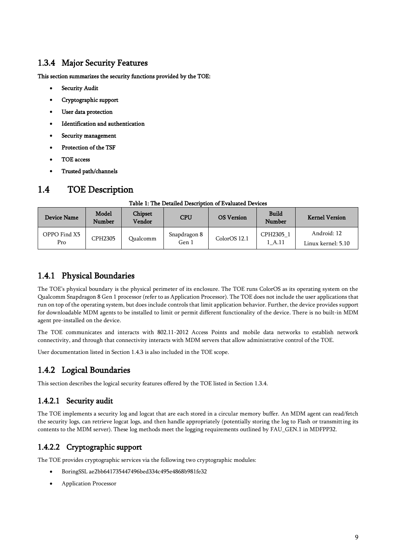### <span id="page-8-0"></span>1.3.4 Major Security Features

This section summarizes the security functions provided by the TOE:

- Security Audit
- Cryptographic support
- User data protection
- Identification and authentication
- Security management
- Protection of the TSF
- TOE access
- Trusted path/channels

# <span id="page-8-1"></span>1.4 TOE Description

### Table 1: The Detailed Description of Evaluated Devices

<span id="page-8-4"></span>

| <b>Device Name</b>  | Model<br>Number | Chipset<br>Vendor | <b>CPU</b>            | <b>OS Version</b> | <b>Build</b><br>Number | <b>Kernel Version</b>             |
|---------------------|-----------------|-------------------|-----------------------|-------------------|------------------------|-----------------------------------|
| OPPO Find X5<br>Pro | CPH2305         | Qualcomm          | Snapdragon 8<br>Gen 1 | ColorOS12.1       | CPH2305 1<br>1 A.11    | Android: 12<br>Linux kernel: 5.10 |

### <span id="page-8-2"></span>1.4.1 Physical Boundaries

The TOE's physical boundary is the physical perimeter of its enclosure. The TOE runs ColorOS as its operating system on the Qualcomm Snapdragon 8 Gen 1 processor (refer to as Application Processor). The TOE does not include the user applications that run on top of the operating system, but does include controls that limit application behavior. Further, the device provides support for downloadable MDM agents to be installed to limit or permit different functionality of the device. There is no built-in MDM agent pre-installed on the device.

The TOE communicates and interacts with 802.11-2012 Access Points and mobile data networks to establish network connectivity, and through that connectivity interacts with MDM servers that allow administrative control of the TOE.

User documentation listed in Sectio[n 1.4.3](#page-11-0) is also included in the TOE scope.

## <span id="page-8-3"></span>1.4.2 Logical Boundaries

This section describes the logical security features offered by the TOE listed in Section [1.3.4.](#page-8-0)

### 1.4.2.1 Security audit

The TOE implements a security log and logcat that are each stored in a circular memory buffer. An MDM agent can read/fetch the security logs, can retrieve logcat logs, and then handle appropriately (potentially storing the log to Flash or transmitting its contents to the MDM server). These log methods meet the logging requirements outlined by FAU\_GEN.1 in MDFPP32.

### 1.4.2.2 Cryptographic support

The TOE provides cryptographic services via the following two cryptographic modules:

- BoringSSL ae2bb641735447496bed334c495e4868b981fe32
- Application Processor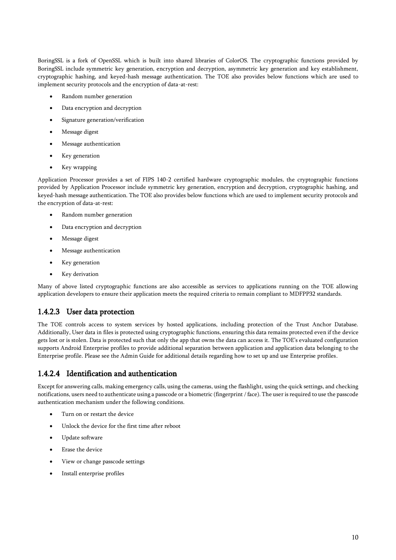BoringSSL is a fork of OpenSSL which is built into shared libraries of ColorOS. The cryptographic functions provided by BoringSSL include symmetric key generation, encryption and decryption, asymmetric key generation and key establishment, cryptographic hashing, and keyed-hash message authentication. The TOE also provides below functions which are used to implement security protocols and the encryption of data-at-rest:

- Random number generation
- Data encryption and decryption
- Signature generation/verification
- Message digest
- Message authentication
- Key generation
- Key wrapping

Application Processor provides a set of FIPS 140-2 certified hardware cryptographic modules, the cryptographic functions provided by Application Processor include symmetric key generation, encryption and decryption, cryptographic hashing, and keyed-hash message authentication. The TOE also provides below functions which are used to implement security protocols and the encryption of data-at-rest:

- Random number generation
- Data encryption and decryption
- Message digest
- Message authentication
- Key generation
- Key derivation

Many of above listed cryptographic functions are also accessible as services to applications running on the TOE allowing application developers to ensure their application meets the required criteria to remain compliant to MDFPP32 standards.

### 1.4.2.3 User data protection

The TOE controls access to system services by hosted applications, including protection of the Trust Anchor Database. Additionally, User data in files is protected using cryptographic functions, ensuring this data remains protected even if the device gets lost or is stolen. Data is protected such that only the app that owns the data can access it. The TOE's evaluated configuration supports Android Enterprise profiles to provide additional separation between application and application data belonging to the Enterprise profile. Please see the Admin Guide for additional details regarding how to set up and use Enterprise profiles.

### 1.4.2.4 Identification and authentication

Except for answering calls, making emergency calls, using the cameras, using the flashlight, using the quick settings, and checking notifications, users need to authenticate using a passcode or a biometric (fingerprint / face). The user is required to use the passcode authentication mechanism under the following conditions.

- Turn on or restart the device
- Unlock the device for the first time after reboot
- Update software
- Erase the device
- View or change passcode settings
- Install enterprise profiles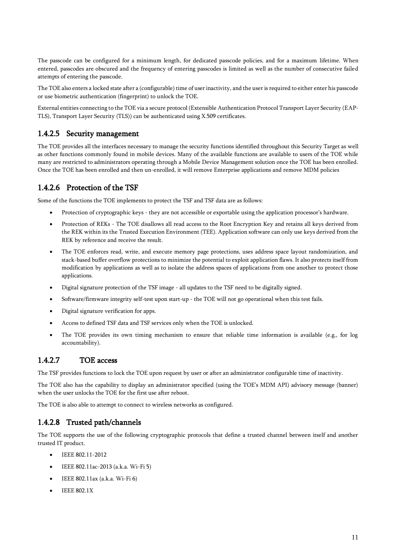The passcode can be configured for a minimum length, for dedicated passcode policies, and for a maximum lifetime. When entered, passcodes are obscured and the frequency of entering passcodes is limited as well as the number of consecutive failed attempts of entering the passcode.

The TOE also enters a locked state after a (configurable) time of user inactivity, and the user is required to either enter his passcode or use biometric authentication (fingerprint) to unlock the TOE.

External entities connecting to the TOE via a secure protocol (Extensible Authentication Protocol Transport Layer Security (EAP-TLS), Transport Layer Security (TLS)) can be authenticated using X.509 certificates.

### 1.4.2.5 Security management

The TOE provides all the interfaces necessary to manage the security functions identified throughout this Security Target as well as other functions commonly found in mobile devices. Many of the available functions are available to users of the TOE while many are restricted to administrators operating through a Mobile Device Management solution once the TOE has been enrolled. Once the TOE has been enrolled and then un-enrolled, it will remove Enterprise applications and remove MDM policies

### 1.4.2.6 Protection of the TSF

Some of the functions the TOE implements to protect the TSF and TSF data are as follows:

- Protection of cryptographic keys they are not accessible or exportable using the application processor's hardware.
- Protection of REKs The TOE disallows all read access to the Root Encryption Key and retains all keys derived from the REK within its the Trusted Execution Environment (TEE). Application software can only use keys derived from the REK by reference and receive the result.
- The TOE enforces read, write, and execute memory page protections, uses address space layout randomization, and stack-based buffer overflow protections to minimize the potential to exploit application flaws. It also protects itself from modification by applications as well as to isolate the address spaces of applications from one another to protect those applications.
- Digital signature protection of the TSF image all updates to the TSF need to be digitally signed.
- Software/firmware integrity self-test upon start-up the TOE will not go operational when this test fails.
- Digital signature verification for apps.
- Access to defined TSF data and TSF services only when the TOE is unlocked.
- The TOE provides its own timing mechanism to ensure that reliable time information is available (e.g., for log accountability).

### 1.4.2.7 TOE access

The TSF provides functions to lock the TOE upon request by user or after an administrator configurable time of inactivity.

The TOE also has the capability to display an administrator specified (using the TOE's MDM API) advisory message (banner) when the user unlocks the TOE for the first use after reboot.

The TOE is also able to attempt to connect to wireless networks as configured.

### 1.4.2.8 Trusted path/channels

The TOE supports the use of the following cryptographic protocols that define a trusted channel between itself and another trusted IT product.

- IEEE 802.11-2012
- IEEE 802.11ac-2013 (a.k.a. Wi-Fi 5)
- IEEE 802.11ax (a.k.a. Wi-Fi  $6$ )
- IEEE 802.1X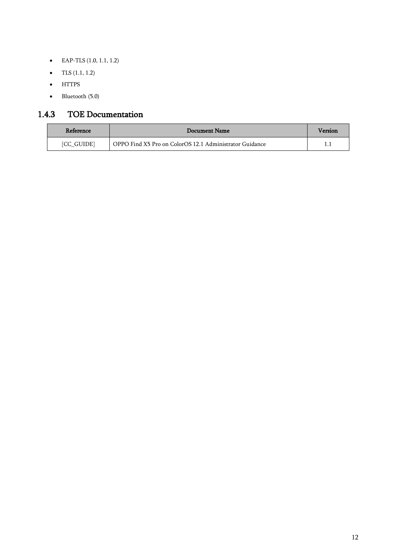- EAP-TLS (1.0, 1.1, 1.2)
- TLS  $(1.1, 1.2)$
- HTTPS
- Bluetooth (5.0)

## <span id="page-11-0"></span>1.4.3 TOE Documentation

| Reference         | Document Name                                           | Version |
|-------------------|---------------------------------------------------------|---------|
| <b>[CC GUIDE]</b> | OPPO Find X5 Pro on ColorOS 12.1 Administrator Guidance |         |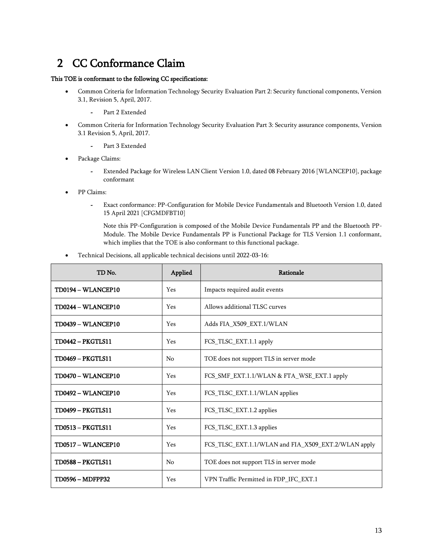# 2 CC Conformance Claim

### <span id="page-12-0"></span>This TOE is conformant to the following CC specifications:

- Common Criteria for Information Technology Security Evaluation Part 2: Security functional components, Version 3.1, Revision 5, April, 2017.
	- *-* Part 2 Extended
- Common Criteria for Information Technology Security Evaluation Part 3: Security assurance components, Version 3.1 Revision 5, April, 2017.
	- *-* Part 3 Extended
- Package Claims:
	- *-* Extended Package for Wireless LAN Client Version 1.0, dated 08 February 2016 [WLANCEP10], package conformant
- PP Claims:
	- *-* Exact conformance: PP-Configuration for Mobile Device Fundamentals and Bluetooth Version 1.0, dated 15 April 2021 [CFGMDFBT10]

Note this PP-Configuration is composed of the Mobile Device Fundamentals PP and the Bluetooth PP-Module. The Mobile Device Fundamentals PP is Functional Package for TLS Version 1.1 conformant, which implies that the TOE is also conformant to this functional package.

• Technical Decisions, all applicable technical decisions until 2022-03-16:

| TD No.                    | Applied        | Rationale                                           |
|---------------------------|----------------|-----------------------------------------------------|
| TD0194 - WLANCEP10        | <b>Yes</b>     | Impacts required audit events                       |
| TD0244 - WLANCEP10        | Yes            | Allows additional TLSC curves                       |
| <b>TD0439 - WLANCEP10</b> | Yes            | Adds FIA_X509_EXT.1/WLAN                            |
| <b>TD0442 - PKGTLS11</b>  | Yes            | FCS_TLSC_EXT.1.1 apply                              |
| <b>TD0469 - PKGTLS11</b>  | N <sub>0</sub> | TOE does not support TLS in server mode             |
| TD0470 - WLANCEP10        | Yes            | FCS SMF EXT.1.1/WLAN & FTA WSE EXT.1 apply          |
| TD0492 - WLANCEP10        | Yes            | FCS TLSC EXT.1.1/WLAN applies                       |
| <b>TD0499 - PKGTLS11</b>  | Yes            | FCS_TLSC_EXT.1.2 applies                            |
| <b>TD0513 - PKGTLS11</b>  | Yes            | FCS TLSC EXT.1.3 applies                            |
| TD0517 - WLANCEP10        | Yes            | FCS_TLSC_EXT.1.1/WLAN and FIA_X509_EXT.2/WLAN apply |
| <b>TD0588 - PKGTLS11</b>  | N <sub>0</sub> | TOE does not support TLS in server mode             |
| <b>TD0596 - MDFPP32</b>   | Yes            | VPN Traffic Permitted in FDP IFC EXT.1              |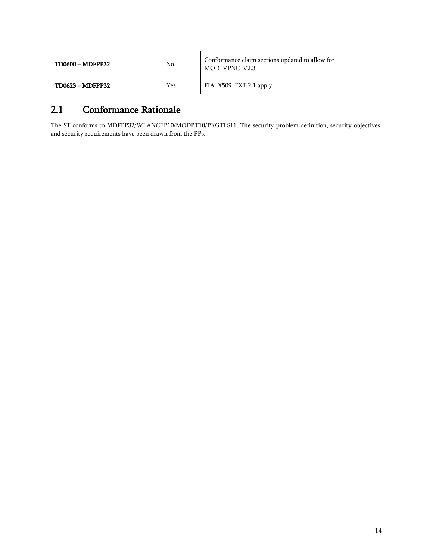| <b>TD0600 - MDFPP32</b> | No  | Conformance claim sections updated to allow for<br>MOD VPNC V2.3 |
|-------------------------|-----|------------------------------------------------------------------|
| TD0623 - MDFPP32        | Yes | $FIA_X509_EXT.2.1$ apply                                         |

# 2.1 Conformance Rationale

<span id="page-13-0"></span>The ST conforms to MDFPP32/WLANCEP10/MODBT10/PKGTLS11. The security problem definition, security objectives, and security requirements have been drawn from the PPs.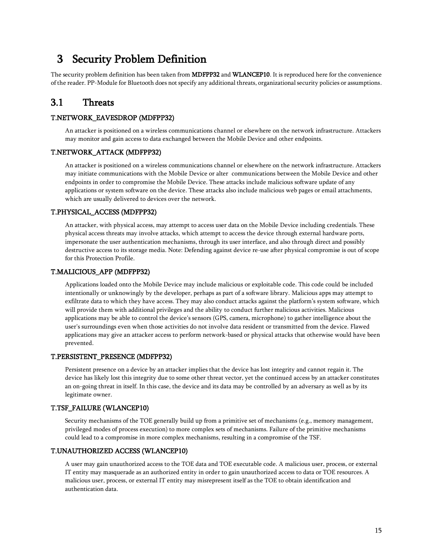# 3 Security Problem Definition

The security problem definition has been taken from MDFPP32 and WLANCEP10. It is reproduced here for the convenience of the reader. PP-Module for Bluetooth does not specify any additional threats, organizational security policies or assumptions.

### <span id="page-14-0"></span>3.1 Threats

### <span id="page-14-1"></span>T.NETWORK\_EAVESDROP (MDFPP32)

An attacker is positioned on a wireless communications channel or elsewhere on the network infrastructure. Attackers may monitor and gain access to data exchanged between the Mobile Device and other endpoints.

### T.NETWORK\_ATTACK (MDFPP32)

An attacker is positioned on a wireless communications channel or elsewhere on the network infrastructure. Attackers may initiate communications with the Mobile Device or alter communications between the Mobile Device and other endpoints in order to compromise the Mobile Device. These attacks include malicious software update of any applications or system software on the device. These attacks also include malicious web pages or email attachments, which are usually delivered to devices over the network.

#### T.PHYSICAL\_ACCESS (MDFPP32)

An attacker, with physical access, may attempt to access user data on the Mobile Device including credentials. These physical access threats may involve attacks, which attempt to access the device through external hardware ports, impersonate the user authentication mechanisms, through its user interface, and also through direct and possibly destructive access to its storage media. Note: Defending against device re-use after physical compromise is out of scope for this Protection Profile.

#### T.MALICIOUS\_APP (MDFPP32)

Applications loaded onto the Mobile Device may include malicious or exploitable code. This code could be included intentionally or unknowingly by the developer, perhaps as part of a software library. Malicious apps may attempt to exfiltrate data to which they have access. They may also conduct attacks against the platform's system software, which will provide them with additional privileges and the ability to conduct further malicious activities. Malicious applications may be able to control the device's sensors (GPS, camera, microphone) to gather intelligence about the user's surroundings even when those activities do not involve data resident or transmitted from the device. Flawed applications may give an attacker access to perform network-based or physical attacks that otherwise would have been prevented.

#### T.PERSISTENT\_PRESENCE (MDFPP32)

Persistent presence on a device by an attacker implies that the device has lost integrity and cannot regain it. The device has likely lost this integrity due to some other threat vector, yet the continued access by an attacker constitutes an on-going threat in itself. In this case, the device and its data may be controlled by an adversary as well as by its legitimate owner.

#### T.TSF\_FAILURE (WLANCEP10)

Security mechanisms of the TOE generally build up from a primitive set of mechanisms (e.g., memory management, privileged modes of process execution) to more complex sets of mechanisms. Failure of the primitive mechanisms could lead to a compromise in more complex mechanisms, resulting in a compromise of the TSF.

#### T.UNAUTHORIZED ACCESS (WLANCEP10)

A user may gain unauthorized access to the TOE data and TOE executable code. A malicious user, process, or external IT entity may masquerade as an authorized entity in order to gain unauthorized access to data or TOE resources. A malicious user, process, or external IT entity may misrepresent itself as the TOE to obtain identification and authentication data.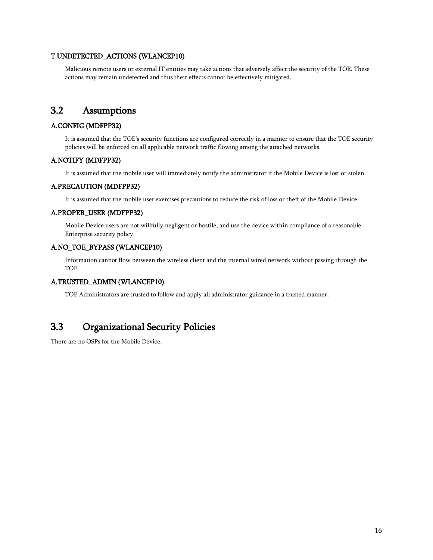### T.UNDETECTED\_ACTIONS (WLANCEP10)

Malicious remote users or external IT entities may take actions that adversely affect the security of the TOE. These actions may remain undetected and thus their effects cannot be effectively mitigated.

### 3.2 Assumptions

### <span id="page-15-0"></span>A.CONFIG (MDFPP32)

It is assumed that the TOE's security functions are configured correctly in a manner to ensure that the TOE security policies will be enforced on all applicable network traffic flowing among the attached networks.

#### A.NOTIFY (MDFPP32)

It is assumed that the mobile user will immediately notify the administrator if the Mobile Device is lost or stolen.

### A.PRECAUTION (MDFPP32)

It is assumed that the mobile user exercises precautions to reduce the risk of loss or theft of the Mobile Device.

### A.PROPER\_USER (MDFPP32)

Mobile Device users are not willfully negligent or hostile, and use the device within compliance of a reasonable Enterprise security policy.

### A.NO\_TOE\_BYPASS (WLANCEP10)

Information cannot flow between the wireless client and the internal wired network without passing through the TOE.

#### A.TRUSTED\_ADMIN (WLANCEP10)

TOE Administrators are trusted to follow and apply all administrator guidance in a trusted manner.

### 3.3 Organizational Security Policies

<span id="page-15-1"></span>There are no OSPs for the Mobile Device.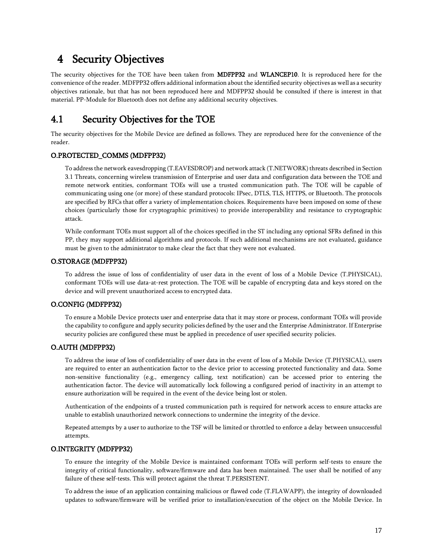# 4 Security Objectives

<span id="page-16-0"></span>The security objectives for the TOE have been taken from MDFPP32 and WLANCEP10. It is reproduced here for the convenience of the reader. MDFPP32 offers additional information about the identified security objectives as well as a security objectives rationale, but that has not been reproduced here and MDFPP32 should be consulted if there is interest in that material. PP-Module for Bluetooth does not define any additional security objectives.

### 4.1 Security Objectives for the TOE

The security objectives for the Mobile Device are defined as follows. They are reproduced here for the convenience of the reader.

#### <span id="page-16-1"></span>O.PROTECTED\_COMMS (MDFPP32)

To address the network eavesdropping (T.EAVESDROP) and network attack (T.NETWORK) threats described in Section 3.1 Threats, concerning wireless transmission of Enterprise and user data and configuration data between the TOE and remote network entities, conformant TOEs will use a trusted communication path. The TOE will be capable of communicating using one (or more) of these standard protocols: IPsec, DTLS, TLS, HTTPS, or Bluetooth. The protocols are specified by RFCs that offer a variety of implementation choices. Requirements have been imposed on some of these choices (particularly those for cryptographic primitives) to provide interoperability and resistance to cryptographic attack.

While conformant TOEs must support all of the choices specified in the ST including any optional SFRs defined in this PP, they may support additional algorithms and protocols. If such additional mechanisms are not evaluated, guidance must be given to the administrator to make clear the fact that they were not evaluated.

#### O.STORAGE (MDFPP32)

To address the issue of loss of confidentiality of user data in the event of loss of a Mobile Device (T.PHYSICAL), conformant TOEs will use data-at-rest protection. The TOE will be capable of encrypting data and keys stored on the device and will prevent unauthorized access to encrypted data.

#### O.CONFIG (MDFPP32)

To ensure a Mobile Device protects user and enterprise data that it may store or process, conformant TOEs will provide the capability to configure and apply security policies defined by the user and the Enterprise Administrator. If Enterprise security policies are configured these must be applied in precedence of user specified security policies.

#### O.AUTH (MDFPP32)

To address the issue of loss of confidentiality of user data in the event of loss of a Mobile Device (T.PHYSICAL), users are required to enter an authentication factor to the device prior to accessing protected functionality and data. Some non-sensitive functionality (e.g., emergency calling, text notification) can be accessed prior to entering the authentication factor. The device will automatically lock following a configured period of inactivity in an attempt to ensure authorization will be required in the event of the device being lost or stolen.

Authentication of the endpoints of a trusted communication path is required for network access to ensure attacks are unable to establish unauthorized network connections to undermine the integrity of the device.

Repeated attempts by a user to authorize to the TSF will be limited or throttled to enforce a delay between unsuccessful attempts.

#### O.INTEGRITY (MDFPP32)

To ensure the integrity of the Mobile Device is maintained conformant TOEs will perform self-tests to ensure the integrity of critical functionality, software/firmware and data has been maintained. The user shall be notified of any failure of these self-tests. This will protect against the threat T.PERSISTENT.

To address the issue of an application containing malicious or flawed code (T.FLAWAPP), the integrity of downloaded updates to software/firmware will be verified prior to installation/execution of the object on the Mobile Device. In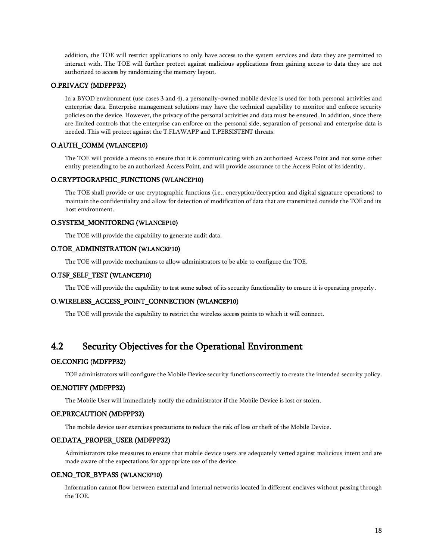addition, the TOE will restrict applications to only have access to the system services and data they are permitted to interact with. The TOE will further protect against malicious applications from gaining access to data they are not authorized to access by randomizing the memory layout.

#### O.PRIVACY (MDFPP32)

In a BYOD environment (use cases 3 and 4), a personally-owned mobile device is used for both personal activities and enterprise data. Enterprise management solutions may have the technical capability to monitor and enforce security policies on the device. However, the privacy of the personal activities and data must be ensured. In addition, since there are limited controls that the enterprise can enforce on the personal side, separation of personal and enterprise data is needed. This will protect against the T.FLAWAPP and T.PERSISTENT threats.

#### O.AUTH\_COMM (WLANCEP10)

The TOE will provide a means to ensure that it is communicating with an authorized Access Point and not some other entity pretending to be an authorized Access Point, and will provide assurance to the Access Point of its identity.

### O.CRYPTOGRAPHIC\_FUNCTIONS (WLANCEP10)

The TOE shall provide or use cryptographic functions (i.e., encryption/decryption and digital signature operations) to maintain the confidentiality and allow for detection of modification of data that are transmitted outside the TOE and its host environment.

#### O.SYSTEM\_MONITORING (WLANCEP10)

The TOE will provide the capability to generate audit data.

#### O.TOE\_ADMINISTRATION (WLANCEP10)

The TOE will provide mechanisms to allow administrators to be able to configure the TOE.

#### O.TSF\_SELF\_TEST (WLANCEP10)

The TOE will provide the capability to test some subset of its security functionality to ensure it is operating properly.

#### O.WIRELESS\_ACCESS\_POINT\_CONNECTION (WLANCEP10)

The TOE will provide the capability to restrict the wireless access points to which it will connect.

### 4.2 Security Objectives for the Operational Environment

#### <span id="page-17-0"></span>OE.CONFIG (MDFPP32)

TOE administrators will configure the Mobile Device security functions correctly to create the intended security policy.

#### OE.NOTIFY (MDFPP32)

The Mobile User will immediately notify the administrator if the Mobile Device is lost or stolen.

#### OE.PRECAUTION (MDFPP32)

The mobile device user exercises precautions to reduce the risk of loss or theft of the Mobile Device.

#### OE.DATA\_PROPER\_USER (MDFPP32)

Administrators take measures to ensure that mobile device users are adequately vetted against malicious intent and are made aware of the expectations for appropriate use of the device.

#### OE.NO\_TOE\_BYPASS (WLANCEP10)

Information cannot flow between external and internal networks located in different enclaves without passing through the TOE.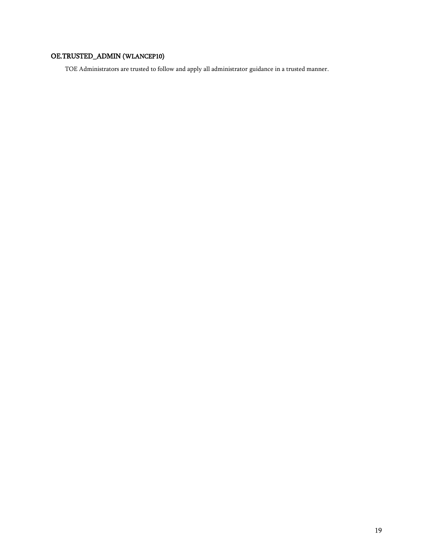### OE.TRUSTED\_ADMIN (WLANCEP10)

TOE Administrators are trusted to follow and apply all administrator guidance in a trusted manner.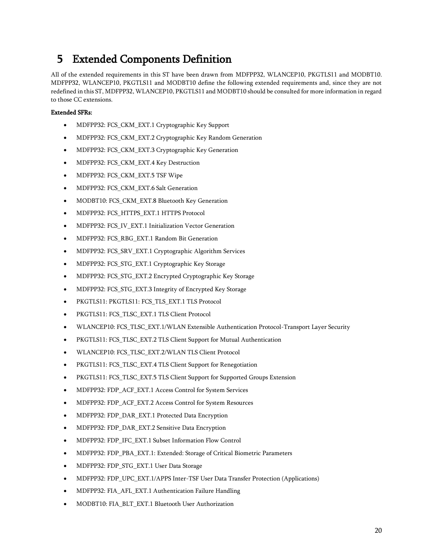# 5 Extended Components Definition

<span id="page-19-0"></span>All of the extended requirements in this ST have been drawn from MDFPP32, WLANCEP10, PKGTLS11 and MODBT10. MDFPP32, WLANCEP10, PKGTLS11 and MODBT10 define the following extended requirements and, since they are not redefined in this ST, MDFPP32, WLANCEP10, PKGTLS11 and MODBT10 should be consulted for more information in regard to those CC extensions.

#### Extended SFRs:

- MDFPP32: FCS\_CKM\_EXT.1 Cryptographic Key Support
- MDFPP32: FCS\_CKM\_EXT.2 Cryptographic Key Random Generation
- MDFPP32: FCS\_CKM\_EXT.3 Cryptographic Key Generation
- MDFPP32: FCS\_CKM\_EXT.4 Key Destruction
- MDFPP32: FCS\_CKM\_EXT.5 TSF Wipe
- MDFPP32: FCS\_CKM\_EXT.6 Salt Generation
- MODBT10: FCS\_CKM\_EXT.8 Bluetooth Key Generation
- MDFPP32: FCS\_HTTPS\_EXT.1 HTTPS Protocol
- MDFPP32: FCS\_IV\_EXT.1 Initialization Vector Generation
- MDFPP32: FCS\_RBG\_EXT.1 Random Bit Generation
- MDFPP32: FCS\_SRV\_EXT.1 Cryptographic Algorithm Services
- MDFPP32: FCS\_STG\_EXT.1 Cryptographic Key Storage
- MDFPP32: FCS\_STG\_EXT.2 Encrypted Cryptographic Key Storage
- MDFPP32: FCS\_STG\_EXT.3 Integrity of Encrypted Key Storage
- PKGTLS11: PKGTLS11: FCS\_TLS\_EXT.1 TLS Protocol
- PKGTLS11: FCS\_TLSC\_EXT.1 TLS Client Protocol
- WLANCEP10: FCS\_TLSC\_EXT.1/WLAN Extensible Authentication Protocol-Transport Layer Security
- PKGTLS11: FCS\_TLSC\_EXT.2 TLS Client Support for Mutual Authentication
- WLANCEP10: FCS\_TLSC\_EXT.2/WLAN TLS Client Protocol
- PKGTLS11: FCS\_TLSC\_EXT.4 TLS Client Support for Renegotiation
- PKGTLS11: FCS\_TLSC\_EXT.5 TLS Client Support for Supported Groups Extension
- MDFPP32: FDP\_ACF\_EXT.1 Access Control for System Services
- MDFPP32: FDP\_ACF\_EXT.2 Access Control for System Resources
- MDFPP32: FDP\_DAR\_EXT.1 Protected Data Encryption
- MDFPP32: FDP\_DAR\_EXT.2 Sensitive Data Encryption
- MDFPP32: FDP\_IFC\_EXT.1 Subset Information Flow Control
- MDFPP32: FDP\_PBA\_EXT.1: Extended: Storage of Critical Biometric Parameters
- MDFPP32: FDP\_STG\_EXT.1 User Data Storage
- MDFPP32: FDP\_UPC\_EXT.1/APPS Inter-TSF User Data Transfer Protection (Applications)
- MDFPP32: FIA\_AFL\_EXT.1 Authentication Failure Handling
- MODBT10: FIA\_BLT\_EXT.1 Bluetooth User Authorization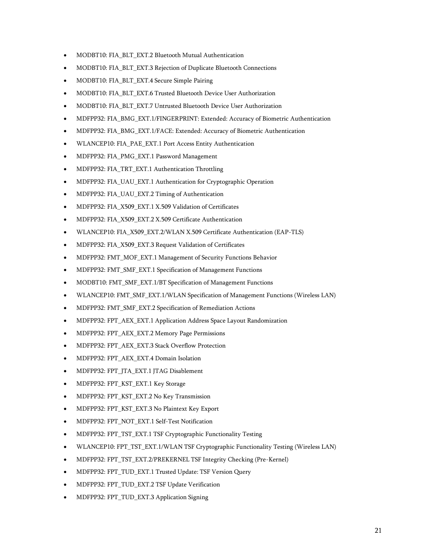- MODBT10: FIA\_BLT\_EXT.2 Bluetooth Mutual Authentication
- MODBT10: FIA\_BLT\_EXT.3 Rejection of Duplicate Bluetooth Connections
- MODBT10: FIA\_BLT\_EXT.4 Secure Simple Pairing
- MODBT10: FIA\_BLT\_EXT.6 Trusted Bluetooth Device User Authorization
- MODBT10: FIA\_BLT\_EXT.7 Untrusted Bluetooth Device User Authorization
- MDFPP32: FIA\_BMG\_EXT.1/FINGERPRINT: Extended: Accuracy of Biometric Authentication
- MDFPP32: FIA\_BMG\_EXT.1/FACE: Extended: Accuracy of Biometric Authentication
- WLANCEP10: FIA\_PAE\_EXT.1 Port Access Entity Authentication
- MDFPP32: FIA\_PMG\_EXT.1 Password Management
- MDFPP32: FIA\_TRT\_EXT.1 Authentication Throttling
- MDFPP32: FIA\_UAU\_EXT.1 Authentication for Cryptographic Operation
- MDFPP32: FIA\_UAU\_EXT.2 Timing of Authentication
- MDFPP32: FIA\_X509\_EXT.1 X.509 Validation of Certificates
- MDFPP32: FIA\_X509\_EXT.2 X.509 Certificate Authentication
- WLANCEP10: FIA\_X509\_EXT.2/WLAN X.509 Certificate Authentication (EAP-TLS)
- MDFPP32: FIA\_X509\_EXT.3 Request Validation of Certificates
- MDFPP32: FMT\_MOF\_EXT.1 Management of Security Functions Behavior
- MDFPP32: FMT\_SMF\_EXT.1 Specification of Management Functions
- MODBT10: FMT\_SMF\_EXT.1/BT Specification of Management Functions
- WLANCEP10: FMT\_SMF\_EXT.1/WLAN Specification of Management Functions (Wireless LAN)
- MDFPP32: FMT\_SMF\_EXT.2 Specification of Remediation Actions
- MDFPP32: FPT\_AEX\_EXT.1 Application Address Space Layout Randomization
- MDFPP32: FPT\_AEX\_EXT.2 Memory Page Permissions
- MDFPP32: FPT\_AEX\_EXT.3 Stack Overflow Protection
- MDFPP32: FPT\_AEX\_EXT.4 Domain Isolation
- MDFPP32: FPT\_JTA\_EXT.1 JTAG Disablement
- MDFPP32: FPT\_KST\_EXT.1 Key Storage
- MDFPP32: FPT\_KST\_EXT.2 No Key Transmission
- MDFPP32: FPT\_KST\_EXT.3 No Plaintext Key Export
- MDFPP32: FPT\_NOT\_EXT.1 Self-Test Notification
- MDFPP32: FPT\_TST\_EXT.1 TSF Cryptographic Functionality Testing
- WLANCEP10: FPT\_TST\_EXT.1/WLAN TSF Cryptographic Functionality Testing (Wireless LAN)
- MDFPP32: FPT\_TST\_EXT.2/PREKERNEL TSF Integrity Checking (Pre-Kernel)
- MDFPP32: FPT\_TUD\_EXT.1 Trusted Update: TSF Version Query
- MDFPP32: FPT\_TUD\_EXT.2 TSF Update Verification
- MDFPP32: FPT\_TUD\_EXT.3 Application Signing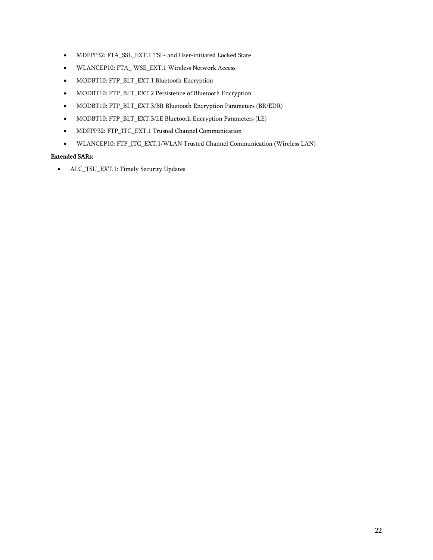- MDFPP32: FTA\_SSL\_EXT.1 TSF- and User-initiated Locked State
- WLANCEP10: FTA\_ WSE\_EXT.1 Wireless Network Access
- MODBT10: FTP\_BLT\_EXT.1 Bluetooth Encryption
- MODBT10: FTP\_BLT\_EXT.2 Persistence of Bluetooth Encryption
- MODBT10: FTP\_BLT\_EXT.3/BR Bluetooth Encryption Parameters (BR/EDR)
- MODBT10: FTP\_BLT\_EXT.3/LE Bluetooth Encryption Parameters (LE)
- MDFPP32: FTP\_ITC\_EXT.1 Trusted Channel Communication
- WLANCEP10: FTP\_ITC\_EXT.1/WLAN Trusted Channel Communication (Wireless LAN)

### Extended SARs:

• ALC\_TSU\_EXT.1: Timely Security Updates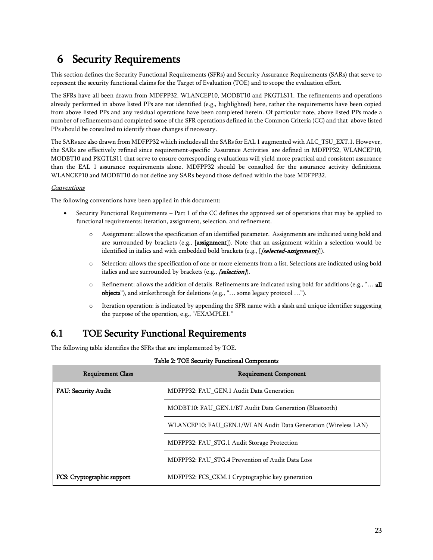# 6 Security Requirements

This section defines the Security Functional Requirements (SFRs) and Security Assurance Requirements (SARs) that serve to represent the security functional claims for the Target of Evaluation (TOE) and to scope the evaluation effort.

<span id="page-22-0"></span>The SFRs have all been drawn from MDFPP32, WLANCEP10, MODBT10 and PKGTLS11. The refinements and operations already performed in above listed PPs are not identified (e.g., highlighted) here, rather the requirements have been copied from above listed PPs and any residual operations have been completed herein. Of particular note, above listed PPs made a number of refinements and completed some of the SFR operations defined in the Common Criteria (CC) and that above listed PPs should be consulted to identify those changes if necessary.

The SARs are also drawn from MDFPP32 which includes all the SARs for EAL 1 augmented with ALC\_TSU\_EXT.1. However, the SARs are effectively refined since requirement-specific 'Assurance Activities' are defined in MDFPP32, WLANCEP10, MODBT10 and PKGTLS11 that serve to ensure corresponding evaluations will yield more practical and consistent assurance than the EAL 1 assurance requirements alone. MDFPP32 should be consulted for the assurance activity definitions. WLANCEP10 and MODBT10 do not define any SARs beyond those defined within the base MDFPP32.

#### **Conventions**

The following conventions have been applied in this document:

- Security Functional Requirements Part 1 of the CC defines the approved set of operations that may be applied to functional requirements: iteration, assignment, selection, and refinement.
	- o Assignment: allows the specification of an identified parameter. Assignments are indicated using bold and are surrounded by brackets (e.g., [assignment]). Note that an assignment within a selection would be identified in italics and with embedded bold brackets (e.g., [**[selected-assignment**]]).
	- o Selection: allows the specification of one or more elements from a list. Selections are indicated using bold italics and are surrounded by brackets (e.g.,  $\sqrt{\text{selection}}$ ).
	- $\circ$  Refinement: allows the addition of details. Refinements are indicated using bold for additions (e.g., "... all objects"), and strikethrough for deletions (e.g., "… some legacy protocol …").
	- o Iteration operation: is indicated by appending the SFR name with a slash and unique identifier suggesting the purpose of the operation, e.g., "/EXAMPLE1."

## 6.1 TOE Security Functional Requirements

The following table identifies the SFRs that are implemented by TOE.

<span id="page-22-2"></span><span id="page-22-1"></span>

| <b>Requirement Class</b>   | <b>Requirement Component</b>                                   |
|----------------------------|----------------------------------------------------------------|
| <b>FAU: Security Audit</b> | MDFPP32: FAU GEN.1 Audit Data Generation                       |
|                            | MODBT10: FAU GEN.1/BT Audit Data Generation (Bluetooth)        |
|                            | WLANCEP10: FAU GEN.1/WLAN Audit Data Generation (Wireless LAN) |
|                            | MDFPP32: FAU STG.1 Audit Storage Protection                    |
|                            | MDFPP32: FAU STG.4 Prevention of Audit Data Loss               |
| FCS: Cryptographic support | MDFPP32: FCS CKM.1 Cryptographic key generation                |

|  | Table 2: TOE Security Functional Components |
|--|---------------------------------------------|
|--|---------------------------------------------|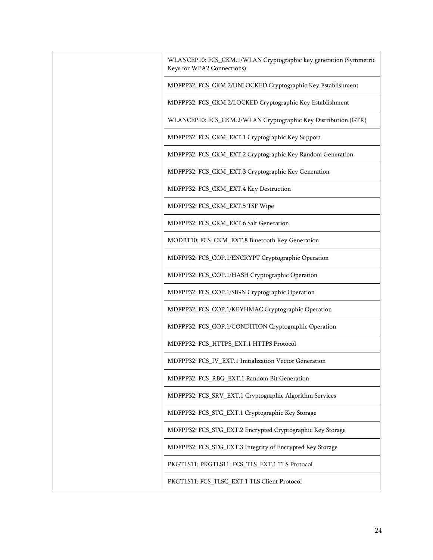| WLANCEP10: FCS_CKM.1/WLAN Cryptographic key generation (Symmetric<br>Keys for WPA2 Connections) |
|-------------------------------------------------------------------------------------------------|
| MDFPP32: FCS_CKM.2/UNLOCKED Cryptographic Key Establishment                                     |
| MDFPP32: FCS_CKM.2/LOCKED Cryptographic Key Establishment                                       |
| WLANCEP10: FCS_CKM.2/WLAN Cryptographic Key Distribution (GTK)                                  |
| MDFPP32: FCS_CKM_EXT.1 Cryptographic Key Support                                                |
| MDFPP32: FCS_CKM_EXT.2 Cryptographic Key Random Generation                                      |
| MDFPP32: FCS_CKM_EXT.3 Cryptographic Key Generation                                             |
| MDFPP32: FCS_CKM_EXT.4 Key Destruction                                                          |
| MDFPP32: FCS_CKM_EXT.5 TSF Wipe                                                                 |
| MDFPP32: FCS_CKM_EXT.6 Salt Generation                                                          |
| MODBT10: FCS_CKM_EXT.8 Bluetooth Key Generation                                                 |
| MDFPP32: FCS_COP.1/ENCRYPT Cryptographic Operation                                              |
| MDFPP32: FCS_COP.1/HASH Cryptographic Operation                                                 |
| MDFPP32: FCS_COP.1/SIGN Cryptographic Operation                                                 |
| MDFPP32: FCS_COP.1/KEYHMAC Cryptographic Operation                                              |
| MDFPP32: FCS_COP.1/CONDITION Cryptographic Operation                                            |
| MDFPP32: FCS_HTTPS_EXT.1 HTTPS Protocol                                                         |
| MDFPP32: FCS_IV_EXT.1 Initialization Vector Generation                                          |
| MDFPP32: FCS_RBG_EXT.1 Random Bit Generation                                                    |
| MDFPP32: FCS_SRV_EXT.1 Cryptographic Algorithm Services                                         |
| MDFPP32: FCS_STG_EXT.1 Cryptographic Key Storage                                                |
| MDFPP32: FCS_STG_EXT.2 Encrypted Cryptographic Key Storage                                      |
| MDFPP32: FCS_STG_EXT.3 Integrity of Encrypted Key Storage                                       |
| PKGTLS11: PKGTLS11: FCS_TLS_EXT.1 TLS Protocol                                                  |
| PKGTLS11: FCS_TLSC_EXT.1 TLS Client Protocol                                                    |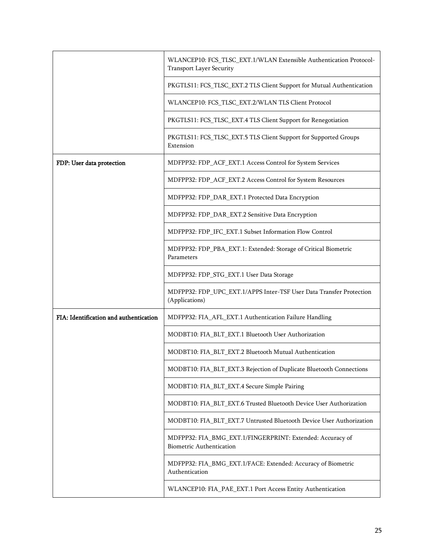|                                        | WLANCEP10: FCS_TLSC_EXT.1/WLAN Extensible Authentication Protocol-<br><b>Transport Layer Security</b> |
|----------------------------------------|-------------------------------------------------------------------------------------------------------|
|                                        | PKGTLS11: FCS_TLSC_EXT.2 TLS Client Support for Mutual Authentication                                 |
|                                        | WLANCEP10: FCS_TLSC_EXT.2/WLAN TLS Client Protocol                                                    |
|                                        | PKGTLS11: FCS_TLSC_EXT.4 TLS Client Support for Renegotiation                                         |
|                                        | PKGTLS11: FCS_TLSC_EXT.5 TLS Client Support for Supported Groups<br>Extension                         |
| FDP: User data protection              | MDFPP32: FDP_ACF_EXT.1 Access Control for System Services                                             |
|                                        | MDFPP32: FDP_ACF_EXT.2 Access Control for System Resources                                            |
|                                        | MDFPP32: FDP_DAR_EXT.1 Protected Data Encryption                                                      |
|                                        | MDFPP32: FDP_DAR_EXT.2 Sensitive Data Encryption                                                      |
|                                        | MDFPP32: FDP_IFC_EXT.1 Subset Information Flow Control                                                |
|                                        | MDFPP32: FDP_PBA_EXT.1: Extended: Storage of Critical Biometric<br>Parameters                         |
|                                        | MDFPP32: FDP_STG_EXT.1 User Data Storage                                                              |
|                                        | MDFPP32: FDP_UPC_EXT.1/APPS Inter-TSF User Data Transfer Protection<br>(Applications)                 |
| FIA: Identification and authentication | MDFPP32: FIA_AFL_EXT.1 Authentication Failure Handling                                                |
|                                        | MODBT10: FIA_BLT_EXT.1 Bluetooth User Authorization                                                   |
|                                        | MODBT10: FIA_BLT_EXT.2 Bluetooth Mutual Authentication                                                |
|                                        | MODBT10: FIA_BLT_EXT.3 Rejection of Duplicate Bluetooth Connections                                   |
|                                        | MODBT10: FIA_BLT_EXT.4 Secure Simple Pairing                                                          |
|                                        | MODBT10: FIA_BLT_EXT.6 Trusted Bluetooth Device User Authorization                                    |
|                                        | MODBT10: FIA_BLT_EXT.7 Untrusted Bluetooth Device User Authorization                                  |
|                                        | MDFPP32: FIA_BMG_EXT.1/FINGERPRINT: Extended: Accuracy of<br><b>Biometric Authentication</b>          |
|                                        | MDFPP32: FIA_BMG_EXT.1/FACE: Extended: Accuracy of Biometric<br>Authentication                        |
|                                        | WLANCEP10: FIA_PAE_EXT.1 Port Access Entity Authentication                                            |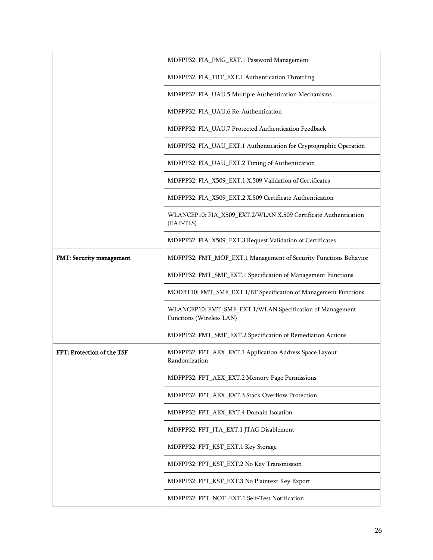|                            | MDFPP32: FIA_PMG_EXT.1 Password Management                                            |
|----------------------------|---------------------------------------------------------------------------------------|
|                            | MDFPP32: FIA_TRT_EXT.1 Authentication Throttling                                      |
|                            | MDFPP32: FIA_UAU.5 Multiple Authentication Mechanisms                                 |
|                            | MDFPP32: FIA_UAU.6 Re-Authentication                                                  |
|                            | MDFPP32: FIA_UAU.7 Protected Authentication Feedback                                  |
|                            | MDFPP32: FIA_UAU_EXT.1 Authentication for Cryptographic Operation                     |
|                            | MDFPP32: FIA_UAU_EXT.2 Timing of Authentication                                       |
|                            | MDFPP32: FIA_X509_EXT.1 X.509 Validation of Certificates                              |
|                            | MDFPP32: FIA_X509_EXT.2 X.509 Certificate Authentication                              |
|                            | WLANCEP10: FIA_X509_EXT.2/WLAN X.509 Certificate Authentication<br>(EAP-TLS)          |
|                            | MDFPP32: FIA_X509_EXT.3 Request Validation of Certificates                            |
| FMT: Security management   | MDFPP32: FMT_MOF_EXT.1 Management of Security Functions Behavior                      |
|                            | MDFPP32: FMT_SMF_EXT.1 Specification of Management Functions                          |
|                            | MODBT10: FMT_SMF_EXT.1/BT Specification of Management Functions                       |
|                            | WLANCEP10: FMT_SMF_EXT.1/WLAN Specification of Management<br>Functions (Wireless LAN) |
|                            | MDFPP32: FMT_SMF_EXT.2 Specification of Remediation Actions                           |
| FPT: Protection of the TSF | MDFPP32: FPT_AEX_EXT.1 Application Address Space Layout<br>Randomization              |
|                            | MDFPP32: FPT_AEX_EXT.2 Memory Page Permissions                                        |
|                            | MDFPP32: FPT_AEX_EXT.3 Stack Overflow Protection                                      |
|                            | MDFPP32: FPT_AEX_EXT.4 Domain Isolation                                               |
|                            | MDFPP32: FPT_JTA_EXT.1 JTAG Disablement                                               |
|                            | MDFPP32: FPT_KST_EXT.1 Key Storage                                                    |
|                            | MDFPP32: FPT_KST_EXT.2 No Key Transmission                                            |
|                            | MDFPP32: FPT_KST_EXT.3 No Plaintext Key Export                                        |
|                            | MDFPP32: FPT_NOT_EXT.1 Self-Test Notification                                         |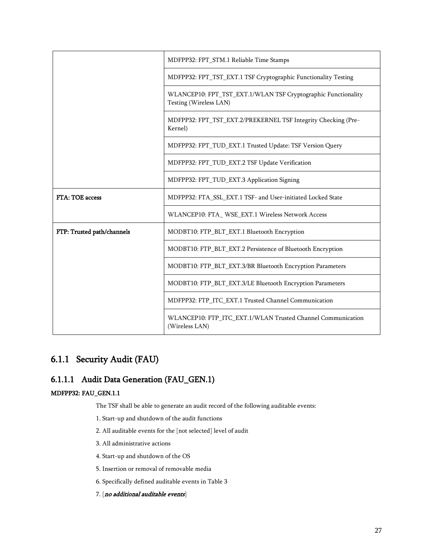|                            | MDFPP32: FPT_STM.1 Reliable Time Stamps                                                 |
|----------------------------|-----------------------------------------------------------------------------------------|
|                            | MDFPP32: FPT_TST_EXT.1 TSF Cryptographic Functionality Testing                          |
|                            | WLANCEP10: FPT_TST_EXT.1/WLAN TSF Cryptographic Functionality<br>Testing (Wireless LAN) |
|                            | MDFPP32: FPT_TST_EXT.2/PREKERNEL TSF Integrity Checking (Pre-<br>Kernel)                |
|                            | MDFPP32: FPT_TUD_EXT.1 Trusted Update: TSF Version Query                                |
|                            | MDFPP32: FPT_TUD_EXT.2 TSF Update Verification                                          |
|                            | MDFPP32: FPT_TUD_EXT.3 Application Signing                                              |
| FTA: TOE access            | MDFPP32: FTA_SSL_EXT.1 TSF- and User-initiated Locked State                             |
|                            | WLANCEP10: FTA_WSE_EXT.1 Wireless Network Access                                        |
| FTP: Trusted path/channels | MODBT10: FTP_BLT_EXT.1 Bluetooth Encryption                                             |
|                            | MODBT10: FTP_BLT_EXT.2 Persistence of Bluetooth Encryption                              |
|                            | MODBT10: FTP_BLT_EXT.3/BR Bluetooth Encryption Parameters                               |
|                            | MODBT10: FTP_BLT_EXT.3/LE Bluetooth Encryption Parameters                               |
|                            | MDFPP32: FTP_ITC_EXT.1 Trusted Channel Communication                                    |
|                            | WLANCEP10: FTP_ITC_EXT.1/WLAN Trusted Channel Communication<br>(Wireless LAN)           |

# 6.1.1 Security Audit (FAU)

### <span id="page-26-0"></span>6.1.1.1 Audit Data Generation (FAU\_GEN.1)

### MDFPP32: FAU\_GEN.1.1

The TSF shall be able to generate an audit record of the following auditable events:

- 1. Start-up and shutdown of the audit functions
- 2. All auditable events for the [not selected] level of audit
- 3. All administrative actions
- 4. Start-up and shutdown of the OS
- 5. Insertion or removal of removable media
- 6. Specifically defined auditable events in [Table 3](#page-27-1)
- 7. [no additional auditable events]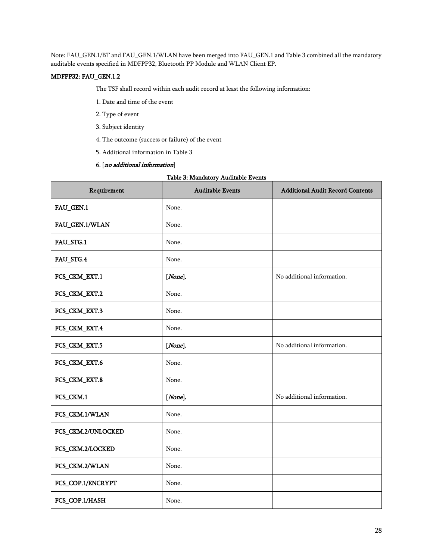Note: FAU\_GEN.1/BT and FAU\_GEN.1/WLAN have been merged into FAU\_GEN.1 and Table 3 combined all the mandatory auditable events specified in MDFPP32, Bluetooth PP Module and WLAN Client EP.

#### MDFPP32: FAU\_GEN.1.2

The TSF shall record within each audit record at least the following information:

- 1. Date and time of the event
- 2. Type of event
- 3. Subject identity
- 4. The outcome (success or failure) of the event
- 5. Additional information i[n Table 3](#page-27-1)
- 6. [no additional information]

#### Table 3: Mandatory Auditable Events

<span id="page-27-1"></span><span id="page-27-0"></span>

| Requirement        | <b>Auditable Events</b> | <b>Additional Audit Record Contents</b> |
|--------------------|-------------------------|-----------------------------------------|
| FAU_GEN.1          | None.                   |                                         |
| FAU_GEN.1/WLAN     | None.                   |                                         |
| FAU_STG.1          | None.                   |                                         |
| FAU_STG.4          | None.                   |                                         |
| FCS_CKM_EXT.1      | [None].                 | No additional information.              |
| FCS_CKM_EXT.2      | None.                   |                                         |
| FCS_CKM_EXT.3      | None.                   |                                         |
| FCS_CKM_EXT.4      | None.                   |                                         |
| FCS_CKM_EXT.5      | $[None]$ .              | No additional information.              |
| FCS_CKM_EXT.6      | None.                   |                                         |
| FCS_CKM_EXT.8      | None.                   |                                         |
| FCS_CKM.1          | [None].                 | No additional information.              |
| FCS_CKM.1/WLAN     | None.                   |                                         |
| FCS_CKM.2/UNLOCKED | None.                   |                                         |
| FCS_CKM.2/LOCKED   | None.                   |                                         |
| FCS_CKM.2/WLAN     | None.                   |                                         |
| FCS_COP.1/ENCRYPT  | None.                   |                                         |
| FCS_COP.1/HASH     | None.                   |                                         |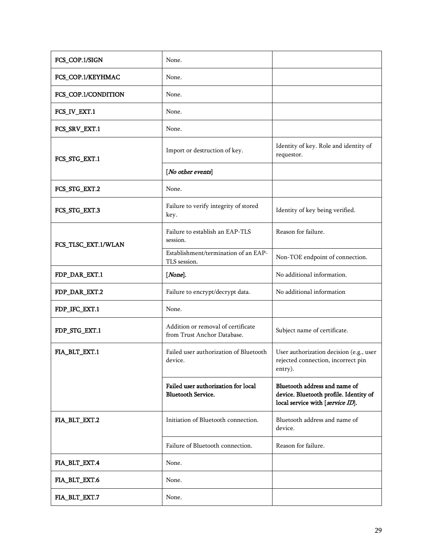| FCS_COP.1/SIGN      | None.                                                             |                                                                                                             |
|---------------------|-------------------------------------------------------------------|-------------------------------------------------------------------------------------------------------------|
| FCS_COP.1/KEYHMAC   | None.                                                             |                                                                                                             |
| FCS_COP.1/CONDITION | None.                                                             |                                                                                                             |
| FCS_IV_EXT.1        | None.                                                             |                                                                                                             |
| FCS_SRV_EXT.1       | None.                                                             |                                                                                                             |
| FCS_STG_EXT.1       | Import or destruction of key.                                     | Identity of key. Role and identity of<br>requestor.                                                         |
|                     | [No other events]                                                 |                                                                                                             |
| FCS_STG_EXT.2       | None.                                                             |                                                                                                             |
| FCS_STG_EXT.3       | Failure to verify integrity of stored<br>key.                     | Identity of key being verified.                                                                             |
| FCS_TLSC_EXT.1/WLAN | Failure to establish an EAP-TLS<br>session.                       | Reason for failure.                                                                                         |
|                     | Establishment/termination of an EAP-<br>TLS session.              | Non-TOE endpoint of connection.                                                                             |
| FDP_DAR_EXT.1       | $[None]$ .                                                        | No additional information.                                                                                  |
| FDP_DAR_EXT.2       | Failure to encrypt/decrypt data.                                  | No additional information                                                                                   |
| FDP_IFC_EXT.1       | None.                                                             |                                                                                                             |
| FDP_STG_EXT.1       | Addition or removal of certificate<br>from Trust Anchor Database. | Subject name of certificate.                                                                                |
| FIA_BLT_EXT.1       | Failed user authorization of Bluetooth<br>device.                 | User authorization decision (e.g., user<br>rejected connection, incorrect pin<br>entry).                    |
|                     | Failed user authorization for local<br><b>Bluetooth Service.</b>  | Bluetooth address and name of<br>device. Bluetooth profile. Identity of<br>local service with [service ID]. |
| FIA_BLT_EXT.2       | Initiation of Bluetooth connection.                               | Bluetooth address and name of<br>device.                                                                    |
|                     | Failure of Bluetooth connection.                                  | Reason for failure.                                                                                         |
| FIA_BLT_EXT.4       | None.                                                             |                                                                                                             |
| FIA_BLT_EXT.6       | None.                                                             |                                                                                                             |
| FIA_BLT_EXT.7       | None.                                                             |                                                                                                             |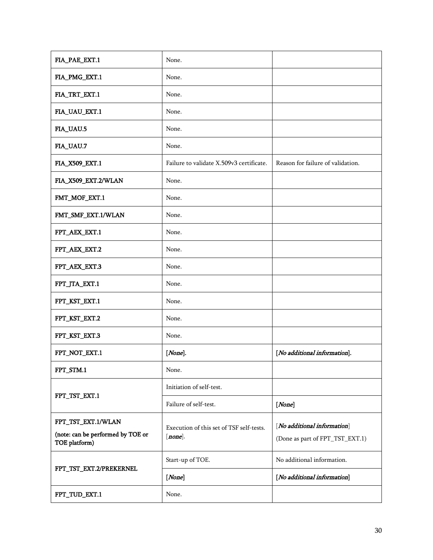| FIA_PAE_EXT.1                                      | None.                                                  |                                   |
|----------------------------------------------------|--------------------------------------------------------|-----------------------------------|
| FIA_PMG_EXT.1                                      | None.                                                  |                                   |
| FIA_TRT_EXT.1                                      | None.                                                  |                                   |
| FIA_UAU_EXT.1                                      | None.                                                  |                                   |
| FIA_UAU.5                                          | None.                                                  |                                   |
| FIA_UAU.7                                          | None.                                                  |                                   |
| FIA_X509_EXT.1                                     | Failure to validate X.509v3 certificate.               | Reason for failure of validation. |
| FIA_X509_EXT.2/WLAN                                | None.                                                  |                                   |
| FMT_MOF_EXT.1                                      | None.                                                  |                                   |
| FMT_SMF_EXT.1/WLAN                                 | None.                                                  |                                   |
| FPT_AEX_EXT.1                                      | None.                                                  |                                   |
| FPT_AEX_EXT.2                                      | None.                                                  |                                   |
| FPT_AEX_EXT.3                                      | None.                                                  |                                   |
| FPT_JTA_EXT.1                                      | None.                                                  |                                   |
| FPT_KST_EXT.1                                      | None.                                                  |                                   |
| FPT_KST_EXT.2                                      | None.                                                  |                                   |
| FPT_KST_EXT.3                                      | None.                                                  |                                   |
| FPT_NOT_EXT.1                                      | $[None]$ .                                             | [No additional information].      |
| FPT_STM.1                                          | None.                                                  |                                   |
|                                                    | Initiation of self-test.                               |                                   |
| FPT_TST_EXT.1                                      | Failure of self-test.                                  | [None]                            |
| FPT_TST_EXT.1/WLAN                                 |                                                        | [No additional information]       |
| (note: can be performed by TOE or<br>TOE platform) | Execution of this set of TSF self-tests.<br>$[none]$ . | (Done as part of FPT_TST_EXT.1)   |
|                                                    | Start-up of TOE.                                       | No additional information.        |
| FPT_TST_EXT.2/PREKERNEL                            | [None]                                                 | [No additional information]       |
| FPT_TUD_EXT.1                                      | None.                                                  |                                   |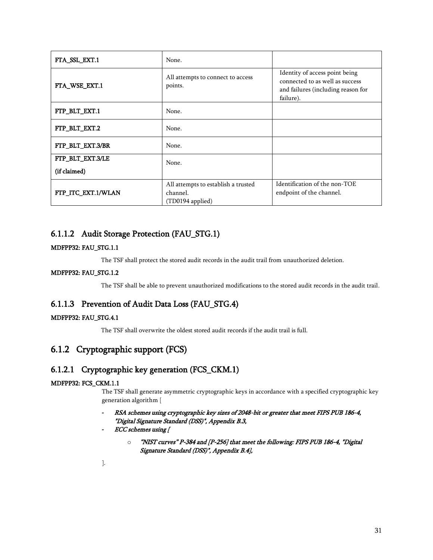| FTA_SSL_EXT.1      | None.                                                               |                                                                                                                      |
|--------------------|---------------------------------------------------------------------|----------------------------------------------------------------------------------------------------------------------|
| FTA_WSE_EXT.1      | All attempts to connect to access<br>points.                        | Identity of access point being<br>connected to as well as success<br>and failures (including reason for<br>failure). |
| FTP_BLT_EXT.1      | None.                                                               |                                                                                                                      |
| FTP_BLT_EXT.2      | None.                                                               |                                                                                                                      |
| FTP_BLT_EXT.3/BR   | None.                                                               |                                                                                                                      |
| FTP_BLT_EXT.3/LE   | None.                                                               |                                                                                                                      |
| (if claimed)       |                                                                     |                                                                                                                      |
| FTP ITC EXT.1/WLAN | All attempts to establish a trusted<br>channel.<br>(TD0194 applied) | Identification of the non-TOE<br>endpoint of the channel.                                                            |

### 6.1.1.2 Audit Storage Protection (FAU\_STG.1)

### MDFPP32: FAU\_STG.1.1

The TSF shall protect the stored audit records in the audit trail from unauthorized deletion.

### MDFPP32: FAU\_STG.1.2

The TSF shall be able to prevent unauthorized modifications to the stored audit records in the audit trail.

### 6.1.1.3 Prevention of Audit Data Loss (FAU\_STG.4)

### MDFPP32: FAU\_STG.4.1

The TSF shall overwrite the oldest stored audit records if the audit trail is full.

### 6.1.2 Cryptographic support (FCS)

### 6.1.2.1 Cryptographic key generation (FCS\_CKM.1)

### <span id="page-30-0"></span>MDFPP32: FCS\_CKM.1.1

The TSF shall generate asymmetric cryptographic keys in accordance with a specified cryptographic key generation algorithm [

- *-* RSA schemes using cryptographic key sizes of 2048-bit or greater that meet FIPS PUB 186-4, "Digital Signature Standard (DSS)", Appendix B.3,
- *-* ECC schemes using [
	- o "NIST curves" P-384 and [P-256] that meet the following: FIPS PUB 186-4, "Digital Signature Standard (DSS)", Appendix B.4],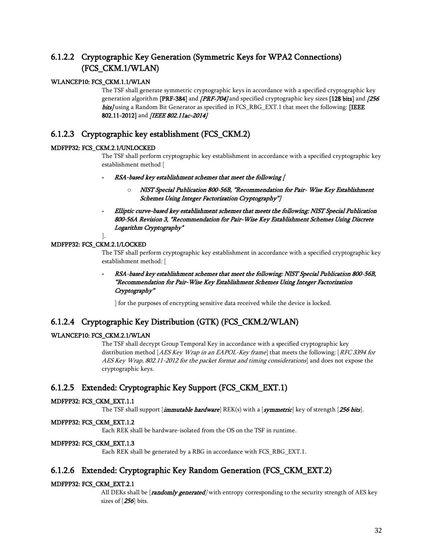### 6.1.2.2 Cryptographic Key Generation (Symmetric Keys for WPA2 Connections) (FCS\_CKM.1/WLAN)

### WLANCEP10: FCS\_CKM.1.1/WLAN

The TSF shall generate symmetric cryptographic keys in accordance with a specified cryptographic key generation algorithm [PRF-384] and *[PRF-704]* and specified cryptographic key sizes [128 bits] and  $/256$ bits] using a Random Bit Generator as specified in FCS\_RBG\_EXT.1 that meet the following: [IEEE 802.11-2012] and [IEEE 802.11ac-2014]

### 6.1.2.3 Cryptographic key establishment (FCS\_CKM.2)

#### MDFPP32: FCS\_CKM.2.1/UNLOCKED

The TSF shall perform cryptographic key establishment in accordance with a specified cryptographic key establishment method [

- *-* RSA-based key establishment schemes that meet the following [
	- o NIST Special Publication 800-56B, "Recommendation for Pair- Wise Key Establishment Schemes Using Integer Factorization Cryptography"]
- *-* Elliptic curve-based key establishment schemes that meets the following: NIST Special Publication 800-56A Revision 3, "Recommendation for Pair-Wise Key Establishment Schemes Using Discrete Logarithm Cryptography"

#### ]. MDFPP32: FCS\_CKM.2.1/LOCKED

The TSF shall perform cryptographic key establishment in accordance with a specified cryptographic key establishment method: [

*-* RSA-based key establishment schemes that meet the following: NIST Special Publication 800-56B, "Recommendation for Pair-Wise Key Establishment Schemes Using Integer Factorization Cryptography"

] for the purposes of encrypting sensitive data received while the device is locked.

### 6.1.2.4 Cryptographic Key Distribution (GTK) (FCS\_CKM.2/WLAN)

### WLANCEP10: FCS\_CKM.2.1/WLAN

The TSF shall decrypt Group Temporal Key in accordance with a specified cryptographic key distribution method [AES Key Wrap in an EAPOL-Key frame] that meets the following: [RFC 3394 for AES Key Wrap, 802.11-2012 for the packet format and timing considerations] and does not expose the cryptographic keys.

### 6.1.2.5 Extended: Cryptographic Key Support (FCS\_CKM\_EXT.1)

### MDFPP32: FCS\_CKM\_EXT.1.1

The TSF shall support  $[{\bf *immutable hardware*}$  REK(s) with a  $[{\bf *symmetric*}]$  key of strength  $[256$  bits].

#### MDFPP32: FCS\_CKM\_EXT.1.2

Each REK shall be hardware-isolated from the OS on the TSF in runtime.

#### MDFPP32: FCS\_CKM\_EXT.1.3

Each REK shall be generated by a RBG in accordance with FCS\_RBG\_EXT.1.

### 6.1.2.6 Extended: Cryptographic Key Random Generation (FCS\_CKM\_EXT.2)

#### MDFPP32: FCS\_CKM\_EXT.2.1

All DEKs shall be  $[randomly generated]$  with entropy corresponding to the security strength of AES key sizes of [256] bits.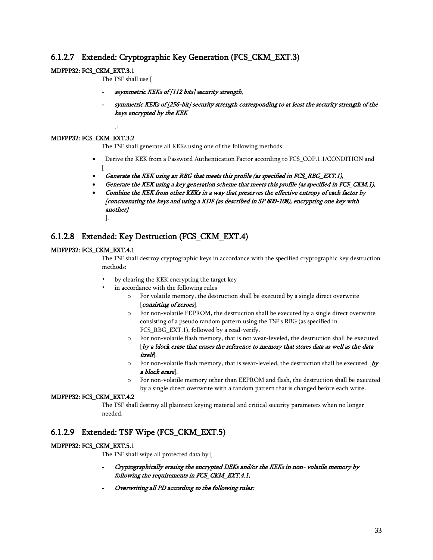### 6.1.2.7 Extended: Cryptographic Key Generation (FCS\_CKM\_EXT.3)

### MDFPP32: FCS\_CKM\_EXT.3.1

The TSF shall use [

- *-* asymmetric KEKs of [112 bits] security strength,
- *-* symmetric KEKs of [256-bit] security strength corresponding to at least the security strength of the keys encrypted by the KEK
	- ].

### MDFPP32: FCS\_CKM\_EXT.3.2

The TSF shall generate all KEKs using one of the following methods:

- Derive the KEK from a Password Authentication Factor according to FCS\_COP.1.1/CONDITION and  $\lceil$
- Generate the KEK using an RBG that meets this profile (as specified in FCS\_RBG\_EXT.1),
- Generate the KEK using a key generation scheme that meets this profile (as specified in FCS\_CKM.1),
- Combine the KEK from other KEKs in a way that preserves the effective entropy of each factor by [concatenating the keys and using a KDF (as described in SP 800-108), encrypting one key with another] ].

### 6.1.2.8 Extended: Key Destruction (FCS\_CKM\_EXT.4)

### MDFPP32: FCS\_CKM\_EXT.4.1

The TSF shall destroy cryptographic keys in accordance with the specified cryptographic key destruction methods:

- by clearing the KEK encrypting the target key
- in accordance with the following rules
	- o For volatile memory, the destruction shall be executed by a single direct overwrite [*consisting of zeroes*].
	- o For non-volatile EEPROM, the destruction shall be executed by a single direct overwrite consisting of a pseudo random pattern using the TSF's RBG (as specified in FCS\_RBG\_EXT.1), followed by a read-verify.
	- o For non-volatile flash memory, that is not wear-leveled, the destruction shall be executed [by a block erase that erases the reference to memory that stores data as well as the data itself].
	- $\circ$  For non-volatile flash memory, that is wear-leveled, the destruction shall be executed [by a block erase].
	- o For non-volatile memory other than EEPROM and flash, the destruction shall be executed by a single direct overwrite with a random pattern that is changed before each write.

### MDFPP32: FCS\_CKM\_EXT.4.2

The TSF shall destroy all plaintext keying material and critical security parameters when no longer needed.

### 6.1.2.9 Extended: TSF Wipe (FCS\_CKM\_EXT.5)

#### MDFPP32: FCS\_CKM\_EXT.5.1

The TSF shall wipe all protected data by [

- *-* Cryptographically erasing the encrypted DEKs and/or the KEKs in non- volatile memory by following the requirements in FCS\_CKM\_EXT.4.1,
- *-* Overwriting all PD according to the following rules: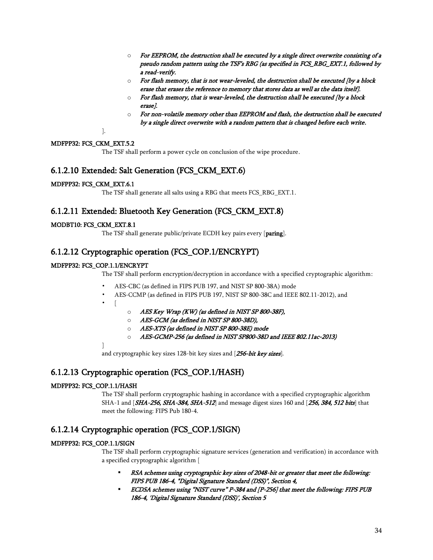- $\circ$  For EEPROM, the destruction shall be executed by a single direct overwrite consisting of a pseudo random pattern using the TSF's RBG (as specified in FCS\_RBG\_EXT.1, followed by a read-verify.
- $\circ$  For flash memory, that is not wear-leveled, the destruction shall be executed (by a block erase that erases the reference to memory that stores data as well as the data itself].
- o For flash memory, that is wear-leveled, the destruction shall be executed [by a block erase].
- $\circ$  For non-volatile memory other than EEPROM and flash, the destruction shall be executed by a single direct overwrite with a random pattern that is changed before each write.

].

### MDFPP32: FCS\_CKM\_EXT.5.2

The TSF shall perform a power cycle on conclusion of the wipe procedure.

### 6.1.2.10 Extended: Salt Generation (FCS\_CKM\_EXT.6)

### MDFPP32: FCS\_CKM\_EXT.6.1

The TSF shall generate all salts using a RBG that meets FCS\_RBG\_EXT.1.

### 6.1.2.11 Extended: Bluetooth Key Generation (FCS\_CKM\_EXT.8)

### MODBT10: FCS\_CKM\_EXT.8.1

The TSF shall generate public/private ECDH key pairs every [paring].

### 6.1.2.12 Cryptographic operation (FCS\_COP.1/ENCRYPT)

### MDFPP32: FCS\_COP.1.1/ENCRYPT

The TSF shall perform encryption/decryption in accordance with a specified cryptographic algorithm:

- AES-CBC (as defined in FIPS PUB 197, and NIST SP 800-38A) mode
- AES-CCMP (as defined in FIPS PUB 197, NIST SP 800-38C and IEEE 802.11-2012), and
- 

• [

- o AES Key Wrap (KW) (as defined in NIST SP 800-38F),
- o AES-GCM (as defined in NIST SP 800-38D),
- o AES-XTS (as defined in NIST SP 800-38E) mode
- o AES-GCMP-256 (as defined in NIST SP800-38D and IEEE 802.11ac-2013)

]

and cryptographic key sizes 128-bit key sizes and [256-bit key sizes].

### 6.1.2.13 Cryptographic operation (FCS\_COP.1/HASH)

### MDFPP32: FCS\_COP.1.1/HASH

The TSF shall perform cryptographic hashing in accordance with a specified cryptographic algorithm SHA-1 and [SHA-256, SHA-384, SHA-512] and message digest sizes 160 and [256, 384, 512 bits] that meet the following: FIPS Pub 180-4.

### 6.1.2.14 Cryptographic operation (FCS\_COP.1/SIGN)

### MDFPP32: FCS\_COP.1.1/SIGN

The TSF shall perform cryptographic signature services (generation and verification) in accordance with a specified cryptographic algorithm [

- RSA schemes using cryptographic key sizes of 2048-bit or greater that meet the following: FIPS PUB 186-4, "Digital Signature Standard (DSS)", Section 4,
- ECDSA schemes using "NIST curve" P-384 and [P-256] that meet the following: FIPS PUB 186-4, 'Digital Signature Standard (DSS)', Section 5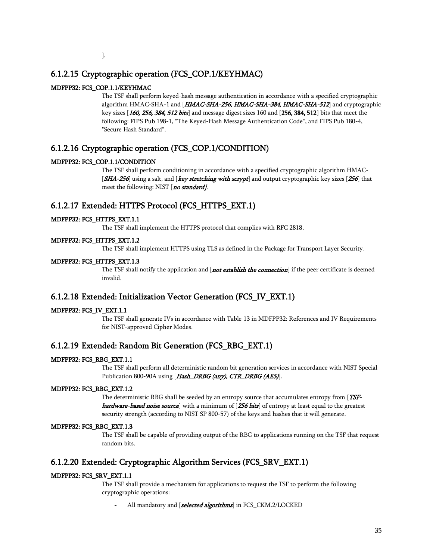### 6.1.2.15 Cryptographic operation (FCS\_COP.1/KEYHMAC)

### MDFPP32: FCS\_COP.1.1/KEYHMAC

The TSF shall perform keyed-hash message authentication in accordance with a specified cryptographic algorithm HMAC-SHA-1 and [HMAC-SHA-256, HMAC-SHA-384, HMAC-SHA-512] and cryptographic key sizes [160, 256, 384, 512 bits] and message digest sizes 160 and [256, 384, 512] bits that meet the following: FIPS Pub 198-1, "The Keyed-Hash Message Authentication Code", and FIPS Pub 180-4, "Secure Hash Standard".

### 6.1.2.16 Cryptographic operation (FCS\_COP.1/CONDITION)

### MDFPP32: FCS\_COP.1.1/CONDITION

The TSF shall perform conditioning in accordance with a specified cryptographic algorithm HMAC- [SHA-256] using a salt, and [key stretching with scrypt] and output cryptographic key sizes [256] that meet the following: NIST [no standard].

### 6.1.2.17 Extended: HTTPS Protocol (FCS\_HTTPS\_EXT.1)

### MDFPP32: FCS\_HTTPS\_EXT.1.1

The TSF shall implement the HTTPS protocol that complies with RFC 2818.

### MDFPP32: FCS\_HTTPS\_EXT.1.2

The TSF shall implement HTTPS using TLS as defined in the Package for Transport Layer Security.

### MDFPP32: FCS\_HTTPS\_EXT.1.3

The TSF shall notify the application and [*not establish the connection*] if the peer certificate is deemed invalid.

### 6.1.2.18 Extended: Initialization Vector Generation (FCS\_IV\_EXT.1)

### MDFPP32: FCS\_IV\_EXT.1.1

The TSF shall generate IVs in accordance with Table 13 in MDFPP32: References and IV Requirements for NIST-approved Cipher Modes.

### 6.1.2.19 Extended: Random Bit Generation (FCS\_RBG\_EXT.1)

### MDFPP32: FCS\_RBG\_EXT.1.1

The TSF shall perform all deterministic random bit generation services in accordance with NIST Special Publication 800-90A using [Hash\_DRBG (any), CTR\_DRBG (AES)].

### MDFPP32: FCS\_RBG\_EXT.1.2

The deterministic RBG shall be seeded by an entropy source that accumulates entropy from [TSFhardware-based noise source with a minimum of [256 bits] of entropy at least equal to the greatest security strength (according to NIST SP 800-57) of the keys and hashes that it will generate.

#### MDFPP32: FCS\_RBG\_EXT.1.3

The TSF shall be capable of providing output of the RBG to applications running on the TSF that request random bits.

### 6.1.2.20 Extended: Cryptographic Algorithm Services (FCS\_SRV\_EXT.1)

### MDFPP32: FCS\_SRV\_EXT.1.1

The TSF shall provide a mechanism for applications to request the TSF to perform the following cryptographic operations:

All mandatory and [selected algorithms] in FCS\_CKM.2/LOCKED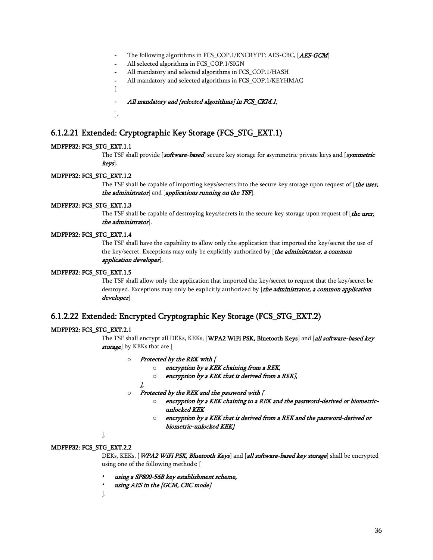- The following algorithms in FCS\_COP.1/ENCRYPT: AES-CBC, [AES-GCM]
- *-* All selected algorithms in FCS\_COP.1/SIGN
- *-* All mandatory and selected algorithms in FCS\_COP.1/HASH
- *-* All mandatory and selected algorithms in FCS\_COP.1/KEYHMAC
- [
- *-* All mandatory and [selected algorithms] in FCS\_CKM.1,
- ].

### 6.1.2.21 Extended: Cryptographic Key Storage (FCS\_STG\_EXT.1)

#### MDFPP32: FCS\_STG\_EXT.1.1

The TSF shall provide [software-based] secure key storage for asymmetric private keys and [symmetric keys].

#### MDFPP32: FCS\_STG\_EXT.1.2

The TSF shall be capable of importing keys/secrets into the secure key storage upon request of [*the user*, the administrator] and [applications running on the TSF].

#### MDFPP32: FCS\_STG\_EXT.1.3

The TSF shall be capable of destroying keys/secrets in the secure key storage upon request of  $[$ the user, the administrator].

#### MDFPP32: FCS\_STG\_EXT.1.4

The TSF shall have the capability to allow only the application that imported the key/secret the use of the key/secret. Exceptions may only be explicitly authorized by [the administrator, a common application developer].

#### MDFPP32: FCS\_STG\_EXT.1.5

The TSF shall allow only the application that imported the key/secret to request that the key/secret be destroyed. Exceptions may only be explicitly authorized by [the administrator, a common application developer].

### 6.1.2.22 Extended: Encrypted Cryptographic Key Storage (FCS\_STG\_EXT.2)

#### MDFPP32: FCS\_STG\_EXT.2.1

The TSF shall encrypt all DEKs, KEKs, [WPA2 WiFi PSK, Bluetooth Keys] and [all software-based key storage] by KEKs that are [

- o Protected by the REK with [
	- o encryption by a KEK chaining from a REK,
	- $\circ$  encryption by a KEK that is derived from a REK],

#### ],

- o Protected by the REK and the password with [
	- o encryption by a KEK chaining to a REK and the password-derived or biometricunlocked KEK
	- o encryption by a KEK that is derived from a REK and the password-derived or biometric-unlocked KEK]

].

#### MDFPP32: FCS\_STG\_EXT.2.2

DEKs, KEKs, [WPA2 WiFi PSK, Bluetooth Keys] and [all software-based key storage] shall be encrypted using one of the following methods: [

- using a SP800-56B key establishment scheme,
- using AES in the [GCM, CBC mode]
- ].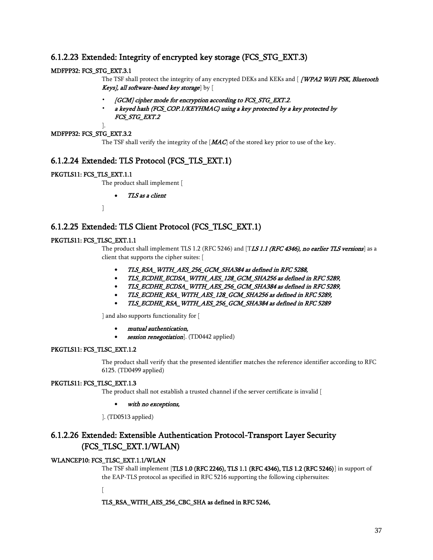# 6.1.2.23 Extended: Integrity of encrypted key storage (FCS\_STG\_EXT.3)

### MDFPP32: FCS\_STG\_EXT.3.1

The TSF shall protect the integrity of any encrypted DEKs and KEKs and [ **/WPA2 WiFi PSK, Bluetooth** Keys], all software-based key storage  $|y|$ 

- [GCM] cipher mode for encryption according to FCS\_STG\_EXT.2,
- a keyed hash (FCS\_COP.1/KEYHMAC) using a key protected by a key protected by FCS\_STG\_EXT.2

### MDFPP32: FCS\_STG\_EXT.3.2

].

The TSF shall verify the integrity of the  $[**MAC**]$  of the stored key prior to use of the key.

# 6.1.2.24 Extended: TLS Protocol (FCS\_TLS\_EXT.1)

### PKGTLS11: FCS\_TLS\_EXT.1.1

The product shall implement [

• TLS as a client

]

# <span id="page-36-0"></span>6.1.2.25 Extended: TLS Client Protocol (FCS\_TLSC\_EXT.1)

### PKGTLS11: FCS\_TLSC\_EXT.1.1

The product shall implement TLS 1.2 (RFC 5246) and [TLS 1.1 (RFC 4346), no earlier TLS versions] as a client that supports the cipher suites: [

- TLS\_RSA\_WITH\_AES\_256\_GCM\_SHA384 as defined in RFC 5288,
- TLS\_ECDHE\_ECDSA\_WITH\_AES\_128\_GCM\_SHA256 as defined in RFC 5289,
- TLS\_ECDHE\_ECDSA\_WITH\_AES\_256\_GCM\_SHA384 as defined in RFC 5289,
- TLS\_ECDHE\_RSA\_WITH\_AES\_128\_GCM\_SHA256 as defined in RFC 5289,
- TLS\_ECDHE\_RSA\_WITH\_AES\_256\_GCM\_SHA384 as defined in RFC 5289

] and also supports functionality for [

- mutual authentication,
- session renegotiation]. (TD0442 applied)

### PKGTLS11: FCS\_TLSC\_EXT.1.2

The product shall verify that the presented identifier matches the reference identifier according to RFC 6125. (TD0499 applied)

### PKGTLS11: FCS\_TLSC\_EXT.1.3

The product shall not establish a trusted channel if the server certificate is invalid [

### with no exceptions,

]. (TD0513 applied)

# 6.1.2.26 Extended: Extensible Authentication Protocol-Transport Layer Security (FCS\_TLSC\_EXT.1/WLAN)

### WLANCEP10: FCS\_TLSC\_EXT.1.1/WLAN

The TSF shall implement [TLS 1.0 (RFC 2246), TLS 1.1 (RFC 4346), TLS 1.2 (RFC 5246)] in support of the EAP-TLS protocol as specified in RFC 5216 supporting the following ciphersuites:

[

TLS\_RSA\_WITH\_AES\_256\_CBC\_SHA as defined in RFC 5246,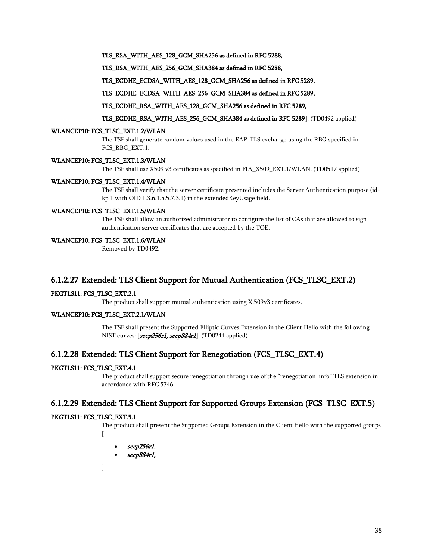TLS\_RSA\_WITH\_AES\_128\_GCM\_SHA256 as defined in RFC 5288,

TLS\_RSA\_WITH\_AES\_256\_GCM\_SHA384 as defined in RFC 5288,

TLS\_ECDHE\_ECDSA\_WITH\_AES\_128\_GCM\_SHA256 as defined in RFC 5289,

TLS\_ECDHE\_ECDSA\_WITH\_AES\_256\_GCM\_SHA384 as defined in RFC 5289,

#### TLS\_ECDHE\_RSA\_WITH\_AES\_128\_GCM\_SHA256 as defined in RFC 5289,

TLS\_ECDHE\_RSA\_WITH\_AES\_256\_GCM\_SHA384 as defined in RFC 5289]. (TD0492 applied)

#### WLANCEP10: FCS\_TLSC\_EXT.1.2/WLAN

The TSF shall generate random values used in the EAP-TLS exchange using the RBG specified in FCS\_RBG\_EXT.1.

#### WLANCEP10: FCS\_TLSC\_EXT.1.3/WLAN

The TSF shall use X509 v3 certificates as specified in FIA\_X509\_EXT.1/WLAN. (TD0517 applied)

#### WLANCEP10: FCS\_TLSC\_EXT.1.4/WLAN

The TSF shall verify that the server certificate presented includes the Server Authentication purpose (idkp 1 with OID 1.3.6.1.5.5.7.3.1) in the extendedKeyUsage field.

### WLANCEP10: FCS\_TLSC\_EXT.1.5/WLAN

The TSF shall allow an authorized administrator to configure the list of CAs that are allowed to sign authentication server certificates that are accepted by the TOE.

### WLANCEP10: FCS\_TLSC\_EXT.1.6/WLAN

Removed by TD0492.

### 6.1.2.27 Extended: TLS Client Support for Mutual Authentication (FCS\_TLSC\_EXT.2)

#### PKGTLS11: FCS\_TLSC\_EXT.2.1

The product shall support mutual authentication using X.509v3 certificates.

### WLANCEP10: FCS\_TLSC\_EXT.2.1/WLAN

The TSF shall present the Supported Elliptic Curves Extension in the Client Hello with the following NIST curves: [*secp256r1, secp384r1*]. (TD0244 applied)

### 6.1.2.28 Extended: TLS Client Support for Renegotiation (FCS\_TLSC\_EXT.4)

### PKGTLS11: FCS\_TLSC\_EXT.4.1

The product shall support secure renegotiation through use of the "renegotiation\_info" TLS extension in accordance with RFC 5746.

### 6.1.2.29 Extended: TLS Client Support for Supported Groups Extension (FCS\_TLSC\_EXT.5)

#### PKGTLS11: FCS\_TLSC\_EXT.5.1

The product shall present the Supported Groups Extension in the Client Hello with the supported groups  $\lceil$ 

- secp256r1,
- secp384r1,

].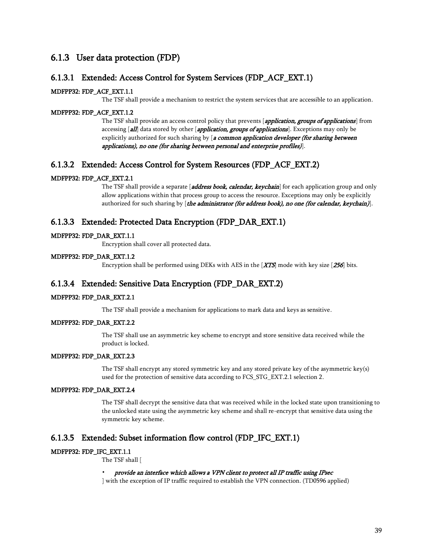# 6.1.3 User data protection (FDP)

### 6.1.3.1 Extended: Access Control for System Services (FDP\_ACF\_EXT.1)

### MDFPP32: FDP\_ACF\_EXT.1.1

The TSF shall provide a mechanism to restrict the system services that are accessible to an application.

### MDFPP32: FDP\_ACF\_EXT.1.2

The TSF shall provide an access control policy that prevents [application, groups of applications] from accessing [all] data stored by other [application, groups of applications]. Exceptions may only be explicitly authorized for such sharing by [a common application developer (for sharing between applications), no one (for sharing between personal and enterprise profiles)].

### 6.1.3.2 Extended: Access Control for System Resources (FDP\_ACF\_EXT.2)

#### MDFPP32: FDP\_ACF\_EXT.2.1

The TSF shall provide a separate [*address book, calendar, keychain*] for each application group and only allow applications within that process group to access the resource. Exceptions may only be explicitly authorized for such sharing by  $[the$  administrator (for address book), no one (for calendar, keychain)].

### 6.1.3.3 Extended: Protected Data Encryption (FDP\_DAR\_EXT.1)

#### MDFPP32: FDP\_DAR\_EXT.1.1

Encryption shall cover all protected data.

### MDFPP32: FDP\_DAR\_EXT.1.2

Encryption shall be performed using DEKs with AES in the  $[**XTS**]$  mode with key size  $[**256**]$  bits.

### 6.1.3.4 Extended: Sensitive Data Encryption (FDP\_DAR\_EXT.2)

### MDFPP32: FDP\_DAR\_EXT.2.1

The TSF shall provide a mechanism for applications to mark data and keys as sensitive.

### MDFPP32: FDP\_DAR\_EXT.2.2

The TSF shall use an asymmetric key scheme to encrypt and store sensitive data received while the product is locked.

#### MDFPP32: FDP\_DAR\_EXT.2.3

The TSF shall encrypt any stored symmetric key and any stored private key of the asymmetric key(s) used for the protection of sensitive data according to FCS\_STG\_EXT.2.1 selection 2.

#### MDFPP32: FDP\_DAR\_EXT.2.4

The TSF shall decrypt the sensitive data that was received while in the locked state upon transitioning to the unlocked state using the asymmetric key scheme and shall re-encrypt that sensitive data using the symmetric key scheme.

### 6.1.3.5 Extended: Subset information flow control (FDP\_IFC\_EXT.1)

### MDFPP32: FDP\_IFC\_EXT.1.1

The TSF shall [

#### • provide an interface which allows a VPN client to protect all IP traffic using IPsec

] with the exception of IP traffic required to establish the VPN connection. (TD0596 applied)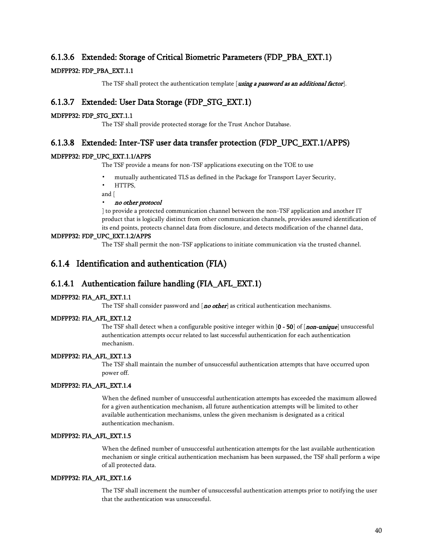### 6.1.3.6 Extended: Storage of Critical Biometric Parameters (FDP\_PBA\_EXT.1)

### MDFPP32: FDP\_PBA\_EXT.1.1

The TSF shall protect the authentication template [using a password as an additional factor].

## 6.1.3.7 Extended: User Data Storage (FDP\_STG\_EXT.1)

### MDFPP32: FDP\_STG\_EXT.1.1

The TSF shall provide protected storage for the Trust Anchor Database.

### 6.1.3.8 Extended: Inter-TSF user data transfer protection (FDP\_UPC\_EXT.1/APPS)

### MDFPP32: FDP\_UPC\_EXT.1.1/APPS

The TSF provide a means for non-TSF applications executing on the TOE to use

- mutually authenticated TLS as defined in the Package for Transport Layer Security,
- HTTPS,
- and [

### • no other protocol

] to provide a protected communication channel between the non-TSF application and another IT product that is logically distinct from other communication channels, provides assured identification of its end points, protects channel data from disclosure, and detects modification of the channel data.

### MDFPP32: FDP\_UPC\_EXT.1.2/APPS

The TSF shall permit the non-TSF applications to initiate communication via the trusted channel.

# 6.1.4 Identification and authentication (FIA)

### 6.1.4.1 Authentication failure handling (FIA\_AFL\_EXT.1)

#### MDFPP32: FIA\_AFL\_EXT.1.1

The TSF shall consider password and  $[no other]$  as critical authentication mechanisms.

#### MDFPP32: FIA\_AFL\_EXT.1.2

The TSF shall detect when a configurable positive integer within [0 - 50] of [non-unique] unsuccessful authentication attempts occur related to last successful authentication for each authentication mechanism.

#### MDFPP32: FIA\_AFL\_EXT.1.3

The TSF shall maintain the number of unsuccessful authentication attempts that have occurred upon power off.

### MDFPP32: FIA\_AFL\_EXT.1.4

When the defined number of unsuccessful authentication attempts has exceeded the maximum allowed for a given authentication mechanism, all future authentication attempts will be limited to other available authentication mechanisms, unless the given mechanism is designated as a critical authentication mechanism.

### MDFPP32: FIA\_AFL\_EXT.1.5

When the defined number of unsuccessful authentication attempts for the last available authentication mechanism or single critical authentication mechanism has been surpassed, the TSF shall perform a wipe of all protected data.

### MDFPP32: FIA\_AFL\_EXT.1.6

The TSF shall increment the number of unsuccessful authentication attempts prior to notifying the user that the authentication was unsuccessful.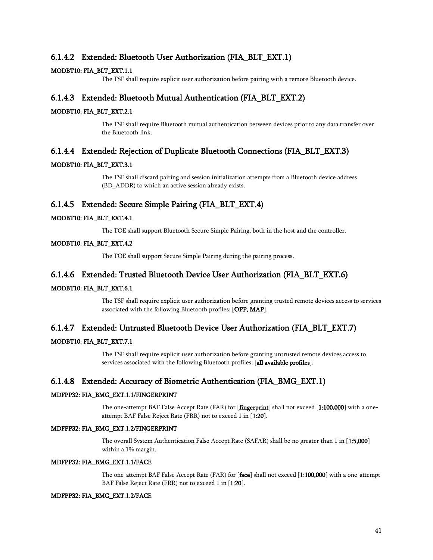### 6.1.4.2 Extended: Bluetooth User Authorization (FIA\_BLT\_EXT.1)

### MODBT10: FIA\_BLT\_EXT.1.1

The TSF shall require explicit user authorization before pairing with a remote Bluetooth device.

### 6.1.4.3 Extended: Bluetooth Mutual Authentication (FIA\_BLT\_EXT.2)

### MODBT10: FIA\_BLT\_EXT.2.1

The TSF shall require Bluetooth mutual authentication between devices prior to any data transfer over the Bluetooth link.

### 6.1.4.4 Extended: Rejection of Duplicate Bluetooth Connections (FIA\_BLT\_EXT.3)

### MODBT10: FIA\_BLT\_EXT.3.1

The TSF shall discard pairing and session initialization attempts from a Bluetooth device address (BD\_ADDR) to which an active session already exists.

### 6.1.4.5 Extended: Secure Simple Pairing (FIA\_BLT\_EXT.4)

### MODBT10: FIA\_BLT\_EXT.4.1

The TOE shall support Bluetooth Secure Simple Pairing, both in the host and the controller.

### MODBT10: FIA\_BLT\_EXT.4.2

The TOE shall support Secure Simple Pairing during the pairing process.

### 6.1.4.6 Extended: Trusted Bluetooth Device User Authorization (FIA\_BLT\_EXT.6)

### MODBT10: FIA\_BLT\_EXT.6.1

The TSF shall require explicit user authorization before granting trusted remote devices access to services associated with the following Bluetooth profiles: [OPP, MAP].

### 6.1.4.7 Extended: Untrusted Bluetooth Device User Authorization (FIA\_BLT\_EXT.7)

### MODBT10: FIA\_BLT\_EXT.7.1

The TSF shall require explicit user authorization before granting untrusted remote devices access to services associated with the following Bluetooth profiles: [all available profiles].

### 6.1.4.8 Extended: Accuracy of Biometric Authentication (FIA\_BMG\_EXT.1)

### MDFPP32: FIA\_BMG\_EXT.1.1/FINGERPRINT

The one-attempt BAF False Accept Rate (FAR) for [fingerprint] shall not exceed [1:100,000] with a oneattempt BAF False Reject Rate (FRR) not to exceed 1 in [1:20].

#### MDFPP32: FIA\_BMG\_EXT.1.2/FINGERPRINT

The overall System Authentication False Accept Rate (SAFAR) shall be no greater than 1 in [1:5,000] within a 1% margin.

### MDFPP32: FIA\_BMG\_EXT.1.1/FACE

The one-attempt BAF False Accept Rate (FAR) for [face] shall not exceed [1:100,000] with a one-attempt BAF False Reject Rate (FRR) not to exceed 1 in [1:20].

#### MDFPP32: FIA\_BMG\_EXT.1.2/FACE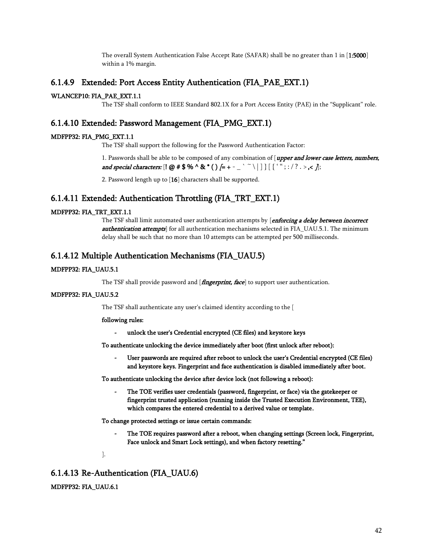The overall System Authentication False Accept Rate (SAFAR) shall be no greater than 1 in [1:5000] within a 1% margin.

### 6.1.4.9 Extended: Port Access Entity Authentication (FIA\_PAE\_EXT.1)

### WLANCEP10: FIA\_PAE\_EXT.1.1

The TSF shall conform to IEEE Standard 802.1X for a Port Access Entity (PAE) in the "Supplicant" role.

### 6.1.4.10 Extended: Password Management (FIA\_PMG\_EXT.1)

### MDFPP32: FIA\_PMG\_EXT.1.1

The TSF shall support the following for the Password Authentication Factor:

1. Passwords shall be able to be composed of any combination of [upper and lower case letters, numbers, and special characters:  $[1 \oslash #\$  % ^ & \* ( )  $[= + - \ \ ' \ \ ' \ \ ] \ ]$   $[ \ ' \ ' \ ' \ ; \ ? \ . \ > \ < \ j$ ;

2. Password length up to [16] characters shall be supported.

### 6.1.4.11 Extended: Authentication Throttling (FIA\_TRT\_EXT.1)

#### MDFPP32: FIA\_TRT\_EXT.1.1

The TSF shall limit automated user authentication attempts by [enforcing a delay between incorrect authentication attempts] for all authentication mechanisms selected in FIA\_UAU.5.1. The minimum delay shall be such that no more than 10 attempts can be attempted per 500 milliseconds.

### 6.1.4.12 Multiple Authentication Mechanisms (FIA\_UAU.5)

### MDFPP32: FIA\_UAU.5.1

The TSF shall provide password and [*fingerprint, face*] to support user authentication.

#### MDFPP32: FIA\_UAU.5.2

The TSF shall authenticate any user's claimed identity according to the [

### following rules:

*-* unlock the user's Credential encrypted (CE files) and keystore keys

To authenticate unlocking the device immediately after boot (first unlock after reboot):

User passwords are required after reboot to unlock the user's Credential encrypted (CE files) and keystore keys. Fingerprint and face authentication is disabled immediately after boot.

To authenticate unlocking the device after device lock (not following a reboot):

*-* The TOE verifies user credentials (password, fingerprint, or face) via the gatekeeper or fingerprint trusted application (running inside the Trusted Execution Environment, TEE), which compares the entered credential to a derived value or template.

To change protected settings or issue certain commands:

- *-* The TOE requires password after a reboot, when changing settings (Screen lock, Fingerprint, Face unlock and Smart Lock settings), and when factory resetting."
- ].

### 6.1.4.13 Re-Authentication (FIA\_UAU.6)

### MDFPP32: FIA\_UAU.6.1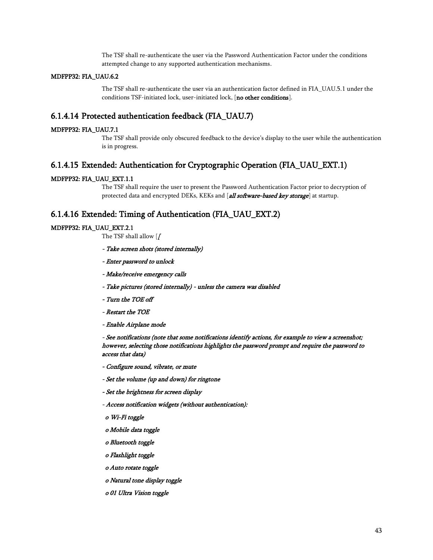The TSF shall re-authenticate the user via the Password Authentication Factor under the conditions attempted change to any supported authentication mechanisms.

#### MDFPP32: FIA\_UAU.6.2

The TSF shall re-authenticate the user via an authentication factor defined in FIA\_UAU.5.1 under the conditions TSF-initiated lock, user-initiated lock, [no other conditions].

### 6.1.4.14 Protected authentication feedback (FIA\_UAU.7)

### MDFPP32: FIA\_UAU.7.1

The TSF shall provide only obscured feedback to the device's display to the user while the authentication is in progress.

# 6.1.4.15 Extended: Authentication for Cryptographic Operation (FIA\_UAU\_EXT.1)

### MDFPP32: FIA\_UAU\_EXT.1.1

The TSF shall require the user to present the Password Authentication Factor prior to decryption of protected data and encrypted DEKs, KEKs and [all software-based key storage] at startup.

### 6.1.4.16 Extended: Timing of Authentication (FIA\_UAU\_EXT.2)

### MDFPP32: FIA\_UAU\_EXT.2.1

The TSF shall allow  $\overline{f}$ 

- Take screen shots (stored internally)
- Enter password to unlock
- Make/receive emergency calls
- Take pictures (stored internally) unless the camera was disabled
- Turn the TOE off
- Restart the TOE
- Enable Airplane mode

 - See notifications (note that some notifications identify actions, for example to view a screenshot; however, selecting those notifications highlights the password prompt and require the password to access that data)

- Configure sound, vibrate, or mute
- Set the volume (up and down) for ringtone
- Set the brightness for screen display
- Access notification widgets (without authentication):
- o Wi-Fi toggle
- o Mobile data toggle
- o Bluetooth toggle
- o Flashlight toggle
- o Auto rotate toggle
- o Natural tone display toggle
- o 01 Ultra Vision toggle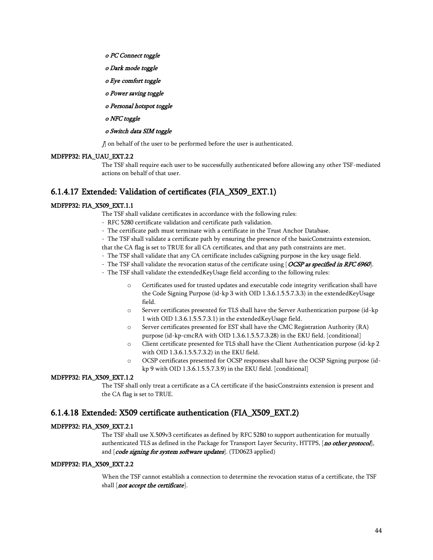- o PC Connect toggle
- o Dark mode toggle
- o Eye comfort toggle
- o Power saving toggle
- o Personal hotspot toggle
- o NFC toggle

#### o Switch data SIM toggle

]] on behalf of the user to be performed before the user is authenticated.

### MDFPP32: FIA\_UAU\_EXT.2.2

The TSF shall require each user to be successfully authenticated before allowing any other TSF-mediated actions on behalf of that user.

### 6.1.4.17 Extended: Validation of certificates (FIA\_X509\_EXT.1)

#### MDFPP32: FIA\_X509\_EXT.1.1

The TSF shall validate certificates in accordance with the following rules:

- RFC 5280 certificate validation and certificate path validation.
- The certificate path must terminate with a certificate in the Trust Anchor Database.
- The TSF shall validate a certificate path by ensuring the presence of the basicConstraints extension,

that the CA flag is set to TRUE for all CA certificates, and that any path constraints are met.

- The TSF shall validate that any CA certificate includes caSigning purpose in the key usage field.
- The TSF shall validate the revocation status of the certificate using [OCSP as specified in RFC 6960].
- The TSF shall validate the extendedKeyUsage field according to the following rules:
	- o Certificates used for trusted updates and executable code integrity verification shall have the Code Signing Purpose (id-kp 3 with OID 1.3.6.1.5.5.7.3.3) in the extendedKeyUsage field.
	- o Server certificates presented for TLS shall have the Server Authentication purpose (id-kp 1 with OID 1.3.6.1.5.5.7.3.1) in the extendedKeyUsage field.
	- o Server certificates presented for EST shall have the CMC Registration Authority (RA) purpose (id-kp-cmcRA with OID 1.3.6.1.5.5.7.3.28) in the EKU field. [conditional]
	- o Client certificate presented for TLS shall have the Client Authentication purpose (id-kp 2 with OID 1.3.6.1.5.5.7.3.2) in the EKU field.
	- o OCSP certificates presented for OCSP responses shall have the OCSP Signing purpose (idkp 9 with OID 1.3.6.1.5.5.7.3.9) in the EKU field. [conditional]

### MDFPP32: FIA\_X509\_EXT.1.2

The TSF shall only treat a certificate as a CA certificate if the basicConstraints extension is present and the CA flag is set to TRUE.

### 6.1.4.18 Extended: X509 certificate authentication (FIA\_X509\_EXT.2)

#### MDFPP32: FIA\_X509\_EXT.2.1

The TSF shall use X.509v3 certificates as defined by RFC 5280 to support authentication for mutually authenticated TLS as defined in the Package for Transport Layer Security, HTTPS, [no other protocol], and [code signing for system software updates]. (TD0623 applied)

### MDFPP32: FIA\_X509\_EXT.2.2

When the TSF cannot establish a connection to determine the revocation status of a certificate, the TSF shall [not accept the certificate].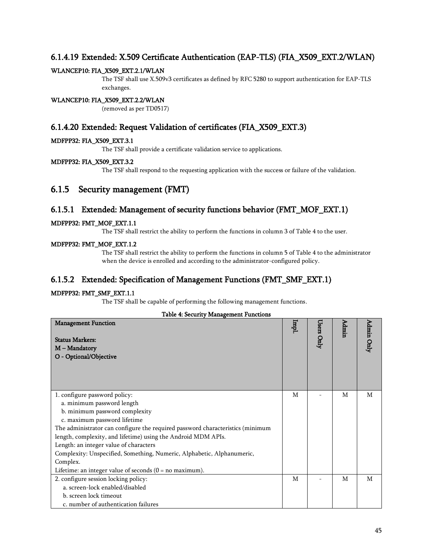## 6.1.4.19 Extended: X.509 Certificate Authentication (EAP-TLS) (FIA\_X509\_EXT.2/WLAN)

### WLANCEP10: FIA\_X509\_EXT.2.1/WLAN

The TSF shall use X.509v3 certificates as defined by RFC 5280 to support authentication for EAP-TLS exchanges.

### WLANCEP10: FIA\_X509\_EXT.2.2/WLAN

(removed as per TD0517)

### 6.1.4.20 Extended: Request Validation of certificates (FIA\_X509\_EXT.3)

### MDFPP32: FIA\_X509\_EXT.3.1

The TSF shall provide a certificate validation service to applications.

### MDFPP32: FIA\_X509\_EXT.3.2

The TSF shall respond to the requesting application with the success or failure of the validation.

### 6.1.5 Security management (FMT)

### 6.1.5.1 Extended: Management of security functions behavior (FMT\_MOF\_EXT.1)

### MDFPP32: FMT\_MOF\_EXT.1.1

The TSF shall restrict the ability to perform the functions in column 3 of [Table 4](#page-44-0) to the user.

### MDFPP32: FMT\_MOF\_EXT.1.2

The TSF shall restrict the ability to perform the functions in column 5 of [Table 4](#page-44-0) to the administrator when the device is enrolled and according to the administrator-configured policy.

### 6.1.5.2 Extended: Specification of Management Functions (FMT\_SMF\_EXT.1)

### MDFPP32: FMT\_SMF\_EXT.1.1

The TSF shall be capable of performing the following management functions.

### Table 4: Security Management Functions

<span id="page-44-0"></span>

| adie 1. decumity manufement i uncubin<br><b>Management Function</b><br><b>Status Markers:</b><br>M - Mandatory<br>O - Optional/Objective | Iqml | Users Only | Admin | Admin Only |
|------------------------------------------------------------------------------------------------------------------------------------------|------|------------|-------|------------|
|                                                                                                                                          |      |            |       |            |
| 1. configure password policy:                                                                                                            | M    |            | M     | M          |
| a. minimum password length                                                                                                               |      |            |       |            |
| b. minimum password complexity                                                                                                           |      |            |       |            |
| c. maximum password lifetime                                                                                                             |      |            |       |            |
| The administrator can configure the required password characteristics (minimum                                                           |      |            |       |            |
| length, complexity, and lifetime) using the Android MDM APIs.                                                                            |      |            |       |            |
| Length: an integer value of characters                                                                                                   |      |            |       |            |
| Complexity: Unspecified, Something, Numeric, Alphabetic, Alphanumeric,                                                                   |      |            |       |            |
| Complex.                                                                                                                                 |      |            |       |            |
| Lifetime: an integer value of seconds $(0 = no maximum)$ .                                                                               |      |            |       |            |
| 2. configure session locking policy:                                                                                                     | M    |            | M     | M          |
| a. screen-lock enabled/disabled                                                                                                          |      |            |       |            |
| b. screen lock timeout                                                                                                                   |      |            |       |            |
| c. number of authentication failures                                                                                                     |      |            |       |            |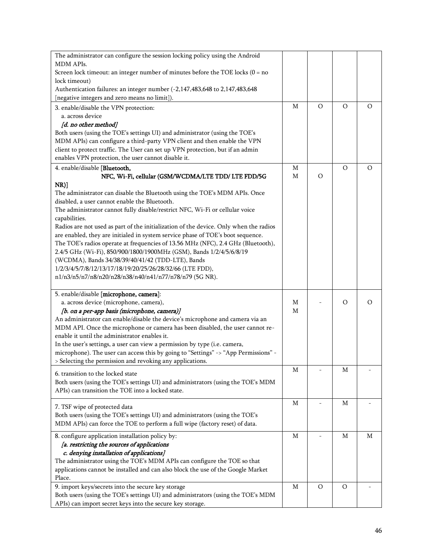| The administrator can configure the session locking policy using the Android                                                                  |   |         |         |          |
|-----------------------------------------------------------------------------------------------------------------------------------------------|---|---------|---------|----------|
| MDM APIs.                                                                                                                                     |   |         |         |          |
| Screen lock timeout: an integer number of minutes before the TOE locks $(0 = no$                                                              |   |         |         |          |
| lock timeout)                                                                                                                                 |   |         |         |          |
| Authentication failures: an integer number (-2,147,483,648 to 2,147,483,648                                                                   |   |         |         |          |
| [negative integers and zero means no limit]).                                                                                                 |   |         |         |          |
| 3. enable/disable the VPN protection:                                                                                                         | М | $\circ$ | $\circ$ | O        |
| a. across device                                                                                                                              |   |         |         |          |
| [d. no other method]                                                                                                                          |   |         |         |          |
| Both users (using the TOE's settings UI) and administrator (using the TOE's                                                                   |   |         |         |          |
| MDM APIs) can configure a third-party VPN client and then enable the VPN                                                                      |   |         |         |          |
| client to protect traffic. The User can set up VPN protection, but if an admin                                                                |   |         |         |          |
| enables VPN protection, the user cannot disable it.                                                                                           |   |         |         |          |
| 4. enable/disable [Bluetooth,                                                                                                                 | М |         | $\circ$ | $\circ$  |
| NFC, Wi-Fi, cellular (GSM/WCDMA/LTE TDD/ LTE FDD/5G                                                                                           | М | $\circ$ |         |          |
| $NR)$ ]                                                                                                                                       |   |         |         |          |
| The administrator can disable the Bluetooth using the TOE's MDM APIs. Once                                                                    |   |         |         |          |
| disabled, a user cannot enable the Bluetooth.                                                                                                 |   |         |         |          |
| The administrator cannot fully disable/restrict NFC, Wi-Fi or cellular voice                                                                  |   |         |         |          |
| capabilities.                                                                                                                                 |   |         |         |          |
| Radios are not used as part of the initialization of the device. Only when the radios                                                         |   |         |         |          |
| are enabled, they are initialed in system service phase of TOE's boot sequence.                                                               |   |         |         |          |
| The TOE's radios operate at frequencies of 13.56 MHz (NFC), 2.4 GHz (Bluetooth),                                                              |   |         |         |          |
| 2.4/5 GHz (Wi-Fi), 850/900/1800/1900MHz (GSM), Bands 1/2/4/5/6/8/19                                                                           |   |         |         |          |
| (WCDMA), Bands 34/38/39/40/41/42 (TDD-LTE), Bands                                                                                             |   |         |         |          |
| 1/2/3/4/5/7/8/12/13/17/18/19/20/25/26/28/32/66 (LTE FDD),                                                                                     |   |         |         |          |
| n1/n3/n5/n7/n8/n20/n28/n38/n40/n41/n77/n78/n79 (5G NR).                                                                                       |   |         |         |          |
|                                                                                                                                               |   |         |         |          |
| 5. enable/disable [microphone, camera]:                                                                                                       |   |         |         |          |
| a. across device (microphone, camera),                                                                                                        | М |         | $\circ$ | $\Omega$ |
| [b. on a per-app basis (microphone, camera)]                                                                                                  | М |         |         |          |
| An administrator can enable/disable the device's microphone and camera via an                                                                 |   |         |         |          |
| MDM API. Once the microphone or camera has been disabled, the user cannot re-                                                                 |   |         |         |          |
| enable it until the administrator enables it.                                                                                                 |   |         |         |          |
| In the user's settings, a user can view a permission by type (i.e. camera,                                                                    |   |         |         |          |
| microphone). The user can access this by going to "Settings" -> "App Permissions" -                                                           |   |         |         |          |
| > Selecting the permission and revoking any applications.                                                                                     |   |         |         |          |
| 6. transition to the locked state                                                                                                             | Μ |         | М       |          |
| Both users (using the TOE's settings UI) and administrators (using the TOE's MDM                                                              |   |         |         |          |
| APIs) can transition the TOE into a locked state.                                                                                             |   |         |         |          |
|                                                                                                                                               |   |         |         |          |
| 7. TSF wipe of protected data                                                                                                                 | М |         | М       |          |
| Both users (using the TOE's settings UI) and administrators (using the TOE's                                                                  |   |         |         |          |
| MDM APIs) can force the TOE to perform a full wipe (factory reset) of data.                                                                   |   |         |         |          |
|                                                                                                                                               |   |         |         |          |
| 8. configure application installation policy by:                                                                                              | М |         | М       | M        |
| [a. restricting the sources of applications                                                                                                   |   |         |         |          |
| c. denying installation of applications]                                                                                                      |   |         |         |          |
| The administrator using the TOE's MDM APIs can configure the TOE so that                                                                      |   |         |         |          |
| applications cannot be installed and can also block the use of the Google Market                                                              |   |         |         |          |
| Place.                                                                                                                                        |   |         |         |          |
| 9. import keys/secrets into the secure key storage                                                                                            | М | $\circ$ | O       |          |
| Both users (using the TOE's settings UI) and administrators (using the TOE's MDM<br>APIs) can import secret keys into the secure key storage. |   |         |         |          |
|                                                                                                                                               |   |         |         |          |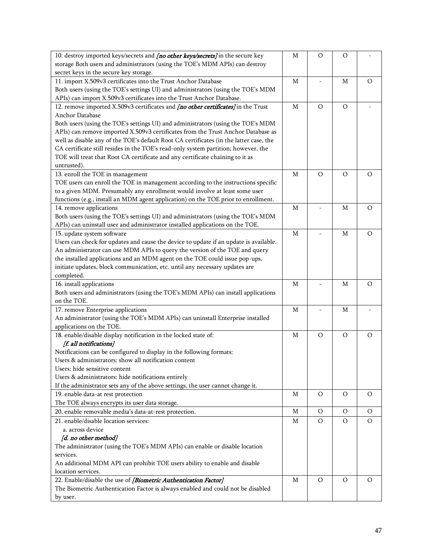| 10. destroy imported keys/secrets and [no other keys/secrets] in the secure key          | M           | $\circ$ | $\circ$     |         |
|------------------------------------------------------------------------------------------|-------------|---------|-------------|---------|
| storage Both users and administrators (using the TOE's MDM APIs) can destroy             |             |         |             |         |
| secret keys in the secure key storage.                                                   |             |         |             |         |
| 11. import X.509v3 certificates into the Trust Anchor Database                           | M           |         | M           | O       |
| Both users (using the TOE's settings UI) and administrators (using the TOE's MDM         |             |         |             |         |
| APIs) can import X.509v3 certificates into the Trust Anchor Database.                    |             |         |             |         |
| 12. remove imported X.509v3 certificates and <i>[no other certificates]</i> in the Trust | M           | $\circ$ | $\circ$     |         |
| Anchor Database                                                                          |             |         |             |         |
| Both users (using the TOE's settings UI) and administrators (using the TOE's MDM         |             |         |             |         |
| APIs) can remove imported X.509v3 certificates from the Trust Anchor Database as         |             |         |             |         |
| well as disable any of the TOE's default Root CA certificates (in the latter case, the   |             |         |             |         |
| CA certificate still resides in the TOE's read-only system partition; however, the       |             |         |             |         |
| TOE will treat that Root CA certificate and any certificate chaining to it as            |             |         |             |         |
| untrusted).                                                                              |             |         |             |         |
| 13. enroll the TOE in management                                                         | M           | $\circ$ | $\circ$     | $\circ$ |
| TOE users can enroll the TOE in management according to the instructions specific        |             |         |             |         |
| to a given MDM. Presumably any enrollment would involve at least some user               |             |         |             |         |
| functions (e.g., install an MDM agent application) on the TOE prior to enrollment.       |             |         |             |         |
| 14. remove applications                                                                  | M           |         | M           | $\circ$ |
| Both users (using the TOE's settings UI) and administrators (using the TOE's MDM         |             |         |             |         |
| APIs) can uninstall user and administrator installed applications on the TOE.            |             |         |             |         |
| 15. update system software                                                               | $\mathbf M$ |         | $\mathbf M$ | $\circ$ |
| Users can check for updates and cause the device to update if an update is available.    |             |         |             |         |
| An administrator can use MDM APIs to query the version of the TOE and query              |             |         |             |         |
| the installed applications and an MDM agent on the TOE could issue pop-ups,              |             |         |             |         |
| initiate updates, block communication, etc. until any necessary updates are              |             |         |             |         |
| completed.                                                                               |             |         |             |         |
| 16. install applications                                                                 | $\mathbf M$ |         | $\mathbf M$ | $\circ$ |
| Both users and administrators (using the TOE's MDM APIs) can install applications        |             |         |             |         |
| on the TOE.                                                                              |             |         |             |         |
| 17. remove Enterprise applications                                                       | $\mathbf M$ |         | $\mathbf M$ |         |
| An administrator (using the TOE's MDM APIs) can uninstall Enterprise installed           |             |         |             |         |
| applications on the TOE.                                                                 |             |         |             |         |
| 18. enable/disable display notification in the locked state of:                          | M           | $\circ$ | $\circ$     | $\circ$ |
| [f. all notifications]                                                                   |             |         |             |         |
| Notifications can be configured to display in the following formats:                     |             |         |             |         |
| Users & administrators: show all notification content                                    |             |         |             |         |
| Users: hide sensitive content                                                            |             |         |             |         |
| Users & administrators: hide notifications entirely                                      |             |         |             |         |
| If the administrator sets any of the above settings, the user cannot change it.          |             |         |             |         |
| 19. enable data-at rest protection                                                       | M           | $\circ$ | O           | O       |
| The TOE always encrypts its user data storage.                                           |             |         |             |         |
| 20. enable removable media's data-at-rest protection.                                    | M           | $\circ$ | $\circ$     | $\circ$ |
| 21. enable/disable location services:                                                    | M           | $\circ$ | O           | O       |
| a. across device                                                                         |             |         |             |         |
| [d. no other method]                                                                     |             |         |             |         |
| The administrator (using the TOE's MDM APIs) can enable or disable location              |             |         |             |         |
| services.                                                                                |             |         |             |         |
| An additional MDM API can prohibit TOE users ability to enable and disable               |             |         |             |         |
| location services.                                                                       |             |         |             |         |
| 22. Enable/disable the use of [Biometric Authentication Factor]                          | M           | O       | O           | O       |
| The Biometric Authentication Factor is always enabled and could not be disabled          |             |         |             |         |
| by user.                                                                                 |             |         |             |         |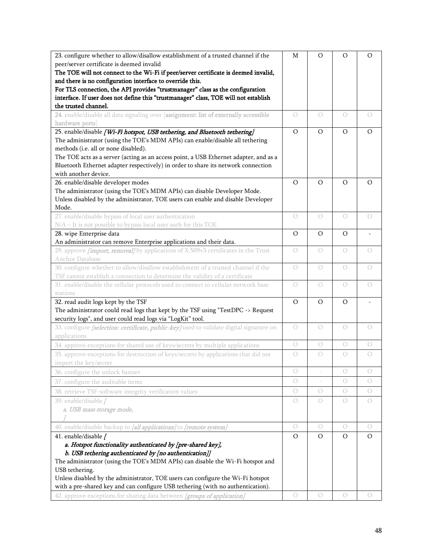| 23. configure whether to allow/disallow establishment of a trusted channel if the<br>peer/server certificate is deemed invalid<br>The TOE will not connect to the Wi-Fi if peer/server certificate is deemed invalid,<br>and there is no configuration interface to override this.<br>For TLS connection, the API provides "trustmanager" class as the configuration<br>interface. If user does not define this "trustmanager" class, TOE will not establish<br>the trusted channel. | M              | O          | O          | O          |
|--------------------------------------------------------------------------------------------------------------------------------------------------------------------------------------------------------------------------------------------------------------------------------------------------------------------------------------------------------------------------------------------------------------------------------------------------------------------------------------|----------------|------------|------------|------------|
| 24. enable/disable all data signaling over [assignment: list of externally accessible<br>hardware ports]                                                                                                                                                                                                                                                                                                                                                                             | 0              | $\bigcirc$ | $\circ$    | $\bigcirc$ |
| 25. enable/disable [Wi-Fi hotspot, USB tethering, and Bluetooth tethering]<br>The administrator (using the TOE's MDM APIs) can enable/disable all tethering<br>methods (i.e. all or none disabled).<br>The TOE acts as a server (acting as an access point, a USB Ethernet adapter, and as a<br>Bluetooth Ethernet adapter respectively) in order to share its network connection<br>with another device.                                                                            |                | $\circ$    | $\circ$    | O          |
| 26. enable/disable developer modes<br>The administrator (using the TOE's MDM APIs) can disable Developer Mode.<br>Unless disabled by the administrator, TOE users can enable and disable Developer<br>Mode.                                                                                                                                                                                                                                                                          | O              | $\circ$    | $\circ$    | O          |
| 27. enable/disable bypass of local user authentication<br>N/A - It is not possible to bypass local user auth for this TOE                                                                                                                                                                                                                                                                                                                                                            | 0              | $\bigcirc$ | $\bigcirc$ | $\bigcirc$ |
| 28. wipe Enterprise data<br>An administrator can remove Enterprise applications and their data.                                                                                                                                                                                                                                                                                                                                                                                      | O              | O          | $\circ$    |            |
| 29. approve <i>[import, removal]</i> by applications of X.509v3 certificates in the Trust<br>Anchor Database                                                                                                                                                                                                                                                                                                                                                                         | $\bigcirc$     | $\bigcirc$ | $\bigcirc$ | 0          |
| 30. configure whether to allow/disallow establishment of a trusted channel if the<br>TSF cannot establish a connection to determine the validity of a certificate                                                                                                                                                                                                                                                                                                                    | $\bigcirc$     | $\bigcirc$ | $\bigcirc$ | $\circ$    |
| 31. enable/disable the cellular protocols used to connect to cellular network base<br>stations                                                                                                                                                                                                                                                                                                                                                                                       | $\bigcirc$     | $\bigcirc$ | $\circ$    | $\circ$    |
| 32. read audit logs kept by the TSF<br>The administrator could read logs that kept by the TSF using "TestDPC $\rightarrow$ Request<br>security logs", and user could read logs via "LogKit" tool.                                                                                                                                                                                                                                                                                    | $\circ$        | $\circ$    | $\circ$    |            |
| 33. configure [selection: certificate, public-key] used to validate digital signature on<br>applications                                                                                                                                                                                                                                                                                                                                                                             | $\bigcirc$     | $\bigcirc$ | $\bigcirc$ | $\bigcirc$ |
| 34. approve exceptions for shared use of keys/secrets by multiple applications                                                                                                                                                                                                                                                                                                                                                                                                       | $\bigcirc$     | $\bigcirc$ | $\bigcirc$ | $\bigcirc$ |
| 35. approve exceptions for destruction of keys/secrets by applications that did not<br>import the key/secret                                                                                                                                                                                                                                                                                                                                                                         | 0              | $\bigcirc$ | $\bigcirc$ | $\bigcirc$ |
| 36. configure the unlock banner                                                                                                                                                                                                                                                                                                                                                                                                                                                      | О              |            | $\bigcirc$ | О          |
| 37. configure the auditable items                                                                                                                                                                                                                                                                                                                                                                                                                                                    | $\bigcirc$     |            | $\bigcirc$ | 0          |
| 38. retrieve TSF-software integrity verification values                                                                                                                                                                                                                                                                                                                                                                                                                              | $\bigcirc$     | $\bigcirc$ | $\bigcirc$ | 0          |
| 39. enable/disable /<br>a. USB mass storage mode,                                                                                                                                                                                                                                                                                                                                                                                                                                    | 0              | 0          | $\bigcirc$ | $\bigcirc$ |
| 40. enable/disable backup to [all applications] to [remote system]                                                                                                                                                                                                                                                                                                                                                                                                                   | $\bigcirc$     | $\bigcirc$ | $\bigcirc$ | $\bigcirc$ |
| 41. enable/disable [                                                                                                                                                                                                                                                                                                                                                                                                                                                                 | $\overline{O}$ | $\Omega$   | $\circ$    | $\circ$    |
| a. Hotspot functionality authenticated by [pre-shared key],                                                                                                                                                                                                                                                                                                                                                                                                                          |                |            |            |            |
| b. USB tethering authenticated by [no authentication]]                                                                                                                                                                                                                                                                                                                                                                                                                               |                |            |            |            |
| The administrator (using the TOE's MDM APIs) can disable the Wi-Fi hotspot and                                                                                                                                                                                                                                                                                                                                                                                                       |                |            |            |            |
| USB tethering.<br>Unless disabled by the administrator, TOE users can configure the Wi-Fi hotspot                                                                                                                                                                                                                                                                                                                                                                                    |                |            |            |            |
| with a pre-shared key and can configure USB tethering (with no authentication).                                                                                                                                                                                                                                                                                                                                                                                                      |                |            |            |            |
| 42. approve exceptions for sharing data between [groups of application]                                                                                                                                                                                                                                                                                                                                                                                                              | $\bigcirc$     | $\circ$    | $\bigcirc$ | $\circ$    |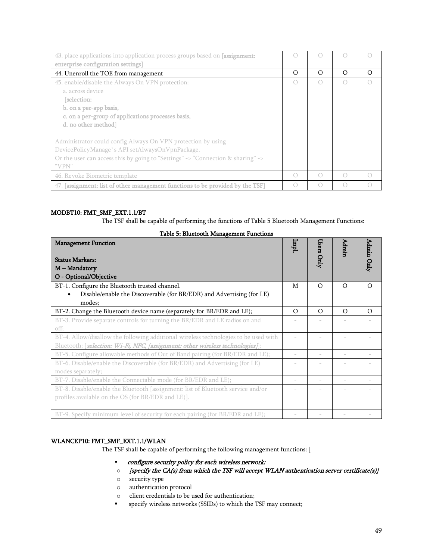| 43. place applications into application process groups based on [assignment:    |          |          |           |          |
|---------------------------------------------------------------------------------|----------|----------|-----------|----------|
| enterprise configuration settings]                                              |          |          |           |          |
| 44. Unenroll the TOE from management                                            | $\Omega$ | $\Omega$ | $\Omega$  | $\Omega$ |
| 45. enable/disable the Always On VPN protection:                                | ( )      |          | $\bigcap$ |          |
| a. across device                                                                |          |          |           |          |
| [selection:                                                                     |          |          |           |          |
| b. on a per-app basis,                                                          |          |          |           |          |
| c. on a per-group of applications processes basis,                              |          |          |           |          |
| d. no other method                                                              |          |          |           |          |
| Administrator could config Always On VPN protection by using                    |          |          |           |          |
| DevicePolicyManage's API setAlwaysOnVpnPackage.                                 |          |          |           |          |
| Or the user can access this by going to "Settings" -> "Connection & sharing" -> |          |          |           |          |
| "VPN"                                                                           |          |          |           |          |
| 46. Revoke Biometric template                                                   | ( )      |          | $\bigcap$ |          |
| 47. [assignment: list of other management functions to be provided by the TSF]  | ( )      |          |           |          |

### MODBT10: FMT\_SMF\_EXT.1.1/BT

The TSF shall be capable of performing the functions of Table 5 Bluetooth Management Functions:

| <b>Management Function</b><br><b>Status Markers:</b>                                | Iqml     | Users Only | Admin    | Admin Only |
|-------------------------------------------------------------------------------------|----------|------------|----------|------------|
| M - Mandatory                                                                       |          |            |          |            |
| O - Optional/Objective                                                              |          |            |          |            |
|                                                                                     |          |            |          |            |
| BT-1. Configure the Bluetooth trusted channel.                                      | M        | $\Omega$   | $\Omega$ | $\Omega$   |
| Disable/enable the Discoverable (for BR/EDR) and Advertising (for LE)               |          |            |          |            |
| modes;                                                                              |          |            |          |            |
| BT-2. Change the Bluetooth device name (separately for BR/EDR and LE);              | $\Omega$ | $\Omega$   | $\Omega$ | $\Omega$   |
| BT-3. Provide separate controls for turning the BR/EDR and LE radios on and         |          |            |          |            |
| off;                                                                                |          |            |          |            |
| BT-4. Allow/disallow the following additional wireless technologies to be used with |          |            |          |            |
| Bluetooth: [selection: Wi-Fi, NFC, [assignment: other wireless technologies]];      |          |            |          |            |
| BT-5. Configure allowable methods of Out of Band pairing (for BR/EDR and LE);       |          |            |          |            |
| BT-6. Disable/enable the Discoverable (for BR/EDR) and Advertising (for LE)         |          |            |          |            |
| modes separately;                                                                   |          |            |          |            |
| BT-7. Disable/enable the Connectable mode (for BR/EDR and LE);                      |          |            |          |            |
| BT-8. Disable/enable the Bluetooth [assignment: list of Bluetooth service and/or    |          |            |          |            |
| profiles available on the OS (for BR/EDR and LE)].                                  |          |            |          |            |
|                                                                                     |          |            |          |            |
| BT-9. Specify minimum level of security for each pairing (for BR/EDR and LE);       |          |            |          |            |

#### Table 5: Bluetooth Management Functions

#### WLANCEP10: FMT\_SMF\_EXT.1.1/WLAN

The TSF shall be capable of performing the following management functions: [

- configure security policy for each wireless network:
- $\circ$  [specify the CA(s) from which the TSF will accept WLAN authentication server certificate(s)]
- o security type
- o authentication protocol
- o client credentials to be used for authentication;
- **•** specify wireless networks (SSIDs) to which the TSF may connect;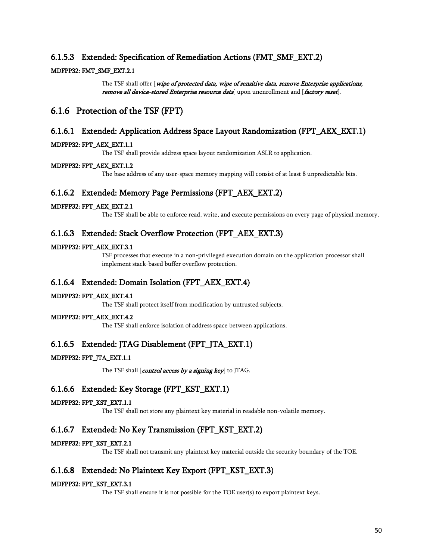### 6.1.5.3 Extended: Specification of Remediation Actions (FMT\_SMF\_EXT.2)

### MDFPP32: FMT\_SMF\_EXT.2.1

The TSF shall offer [wipe of protected data, wipe of sensitive data, remove Enterprise applications, remove all device-stored Enterprise resource data] upon unenrollment and [factory reset].

# 6.1.6 Protection of the TSF (FPT)

### 6.1.6.1 Extended: Application Address Space Layout Randomization (FPT\_AEX\_EXT.1)

### MDFPP32: FPT\_AEX\_EXT.1.1

The TSF shall provide address space layout randomization ASLR to application.

### MDFPP32: FPT\_AEX\_EXT.1.2

The base address of any user-space memory mapping will consist of at least 8 unpredictable bits.

### 6.1.6.2 Extended: Memory Page Permissions (FPT\_AEX\_EXT.2)

### MDFPP32: FPT\_AEX\_EXT.2.1

The TSF shall be able to enforce read, write, and execute permissions on every page of physical memory.

### 6.1.6.3 Extended: Stack Overflow Protection (FPT\_AEX\_EXT.3)

### MDFPP32: FPT\_AEX\_EXT.3.1

TSF processes that execute in a non-privileged execution domain on the application processor shall implement stack-based buffer overflow protection.

### 6.1.6.4 Extended: Domain Isolation (FPT\_AEX\_EXT.4)

### MDFPP32: FPT\_AEX\_EXT.4.1

The TSF shall protect itself from modification by untrusted subjects.

### MDFPP32: FPT\_AEX\_EXT.4.2

The TSF shall enforce isolation of address space between applications.

### 6.1.6.5 Extended: JTAG Disablement (FPT JTA EXT.1)

### MDFPP32: FPT\_JTA\_EXT.1.1

The TSF shall [control access by a signing key] to JTAG.

### 6.1.6.6 Extended: Key Storage (FPT\_KST\_EXT.1)

### MDFPP32: FPT\_KST\_EXT.1.1

The TSF shall not store any plaintext key material in readable non-volatile memory.

### 6.1.6.7 Extended: No Key Transmission (FPT\_KST\_EXT.2)

### MDFPP32: FPT\_KST\_EXT.2.1

The TSF shall not transmit any plaintext key material outside the security boundary of the TOE.

### 6.1.6.8 Extended: No Plaintext Key Export (FPT\_KST\_EXT.3)

### MDFPP32: FPT\_KST\_EXT.3.1

The TSF shall ensure it is not possible for the TOE user(s) to export plaintext keys.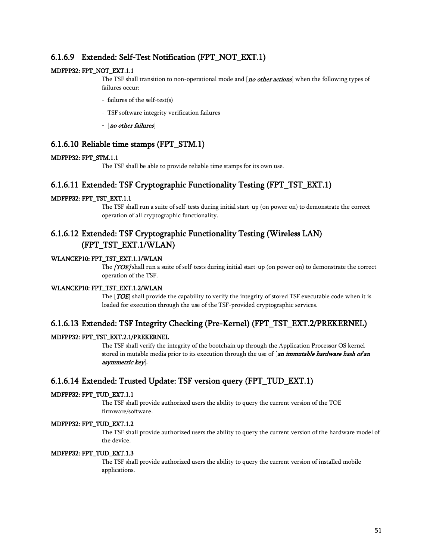### 6.1.6.9 Extended: Self-Test Notification (FPT\_NOT\_EXT.1)

### MDFPP32: FPT\_NOT\_EXT.1.1

The TSF shall transition to non-operational mode and [no other actions] when the following types of failures occur:

- failures of the self-test(s)
- TSF software integrity verification failures
- [no other failures]

### 6.1.6.10 Reliable time stamps (FPT\_STM.1)

#### MDFPP32: FPT\_STM.1.1

The TSF shall be able to provide reliable time stamps for its own use.

### 6.1.6.11 Extended: TSF Cryptographic Functionality Testing (FPT\_TST\_EXT.1)

### MDFPP32: FPT\_TST\_EXT.1.1

The TSF shall run a suite of self-tests during initial start-up (on power on) to demonstrate the correct operation of all cryptographic functionality.

# 6.1.6.12 Extended: TSF Cryptographic Functionality Testing (Wireless LAN) (FPT\_TST\_EXT.1/WLAN)

### WLANCEP10: FPT\_TST\_EXT.1.1/WLAN

The **[TOE]** shall run a suite of self-tests during initial start-up (on power on) to demonstrate the correct operation of the TSF.

### WLANCEP10: FPT\_TST\_EXT.1.2/WLAN

The [TOE] shall provide the capability to verify the integrity of stored TSF executable code when it is loaded for execution through the use of the TSF-provided cryptographic services.

### 6.1.6.13 Extended: TSF Integrity Checking (Pre-Kernel) (FPT\_TST\_EXT.2/PREKERNEL)

### MDFPP32: FPT\_TST\_EXT.2.1/PREKERNEL

The TSF shall verify the integrity of the bootchain up through the Application Processor OS kernel stored in mutable media prior to its execution through the use of [an immutable hardware hash of an asymmetric key].

### 6.1.6.14 Extended: Trusted Update: TSF version query (FPT\_TUD\_EXT.1)

### MDFPP32: FPT\_TUD\_EXT.1.1

The TSF shall provide authorized users the ability to query the current version of the TOE firmware/software.

#### MDFPP32: FPT\_TUD\_EXT.1.2

The TSF shall provide authorized users the ability to query the current version of the hardware model of the device.

#### MDFPP32: FPT\_TUD\_EXT.1.3

The TSF shall provide authorized users the ability to query the current version of installed mobile applications.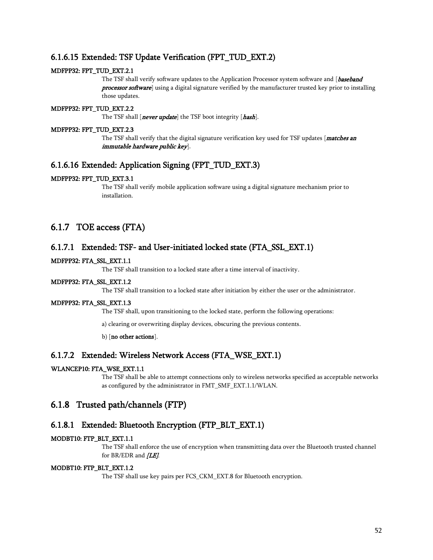### 6.1.6.15 Extended: TSF Update Verification (FPT\_TUD\_EXT.2)

### MDFPP32: FPT\_TUD\_EXT.2.1

The TSF shall verify software updates to the Application Processor system software and [baseband **processor software**] using a digital signature verified by the manufacturer trusted key prior to installing those updates.

### MDFPP32: FPT\_TUD\_EXT.2.2

The TSF shall [never update] the TSF boot integrity [hash].

### MDFPP32: FPT\_TUD\_EXT.2.3

The TSF shall verify that the digital signature verification key used for TSF updates  $[$  matches an immutable hardware public key].

### 6.1.6.16 Extended: Application Signing (FPT\_TUD\_EXT.3)

### MDFPP32: FPT\_TUD\_EXT.3.1

The TSF shall verify mobile application software using a digital signature mechanism prior to installation.

# 6.1.7 TOE access (FTA)

### 6.1.7.1 Extended: TSF- and User-initiated locked state (FTA\_SSL\_EXT.1)

### MDFPP32: FTA\_SSL\_EXT.1.1

The TSF shall transition to a locked state after a time interval of inactivity.

### MDFPP32: FTA\_SSL\_EXT.1.2

The TSF shall transition to a locked state after initiation by either the user or the administrator.

### MDFPP32: FTA\_SSL\_EXT.1.3

The TSF shall, upon transitioning to the locked state, perform the following operations:

a) clearing or overwriting display devices, obscuring the previous contents.

b) [no other actions].

### 6.1.7.2 Extended: Wireless Network Access (FTA\_WSE\_EXT.1)

#### WLANCEP10: FTA\_WSE\_EXT.1.1

The TSF shall be able to attempt connections only to wireless networks specified as acceptable networks as configured by the administrator in FMT\_SMF\_EXT.1.1/WLAN.

### 6.1.8 Trusted path/channels (FTP)

### 6.1.8.1 Extended: Bluetooth Encryption (FTP\_BLT\_EXT.1)

#### MODBT10: FTP\_BLT\_EXT.1.1

The TSF shall enforce the use of encryption when transmitting data over the Bluetooth trusted channel for BR/EDR and [LE].

#### MODBT10: FTP\_BLT\_EXT.1.2

The TSF shall use key pairs per FCS\_CKM\_EXT.8 for Bluetooth encryption.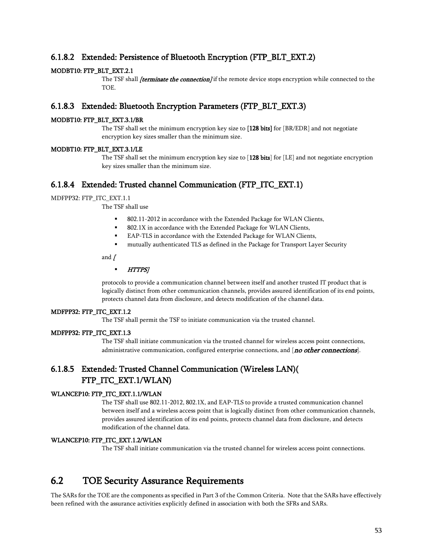### 6.1.8.2 Extended: Persistence of Bluetooth Encryption (FTP\_BLT\_EXT.2)

### MODBT10: FTP\_BLT\_EXT.2.1

The TSF shall *(terminate the connection)* if the remote device stops encryption while connected to the TOE.

### 6.1.8.3 Extended: Bluetooth Encryption Parameters (FTP\_BLT\_EXT.3)

### MODBT10: FTP\_BLT\_EXT.3.1/BR

The TSF shall set the minimum encryption key size to [128 bits] for [BR/EDR] and not negotiate encryption key sizes smaller than the minimum size.

#### MODBT10: FTP\_BLT\_EXT.3.1/LE

The TSF shall set the minimum encryption key size to  $[128 \text{ bits}]$  for  $[LE]$  and not negotiate encryption key sizes smaller than the minimum size.

### 6.1.8.4 Extended: Trusted channel Communication (FTP\_ITC\_EXT.1)

### MDFPP32: FTP\_ITC\_EXT.1.1

The TSF shall use

- 802.11-2012 in accordance with the Extended Package for WLAN Clients,
- 802.1X in accordance with the Extended Package for WLAN Clients,
- EAP-TLS in accordance with the Extended Package for WLAN Clients,
- mutually authenticated TLS as defined in the Package for Transport Layer Security

and  $\sqrt$ 

#### **HTTPS**

protocols to provide a communication channel between itself and another trusted IT product that is logically distinct from other communication channels, provides assured identification of its end points, protects channel data from disclosure, and detects modification of the channel data.

#### MDFPP32: FTP\_ITC\_EXT.1.2

The TSF shall permit the TSF to initiate communication via the trusted channel.

### MDFPP32: FTP\_ITC\_EXT.1.3

The TSF shall initiate communication via the trusted channel for wireless access point connections, administrative communication, configured enterprise connections, and [no other connections].

# 6.1.8.5 Extended: Trusted Channel Communication (Wireless LAN)( FTP\_ITC\_EXT.1/WLAN)

### WLANCEP10: FTP\_ITC\_EXT.1.1/WLAN

The TSF shall use 802.11-2012, 802.1X, and EAP-TLS to provide a trusted communication channel between itself and a wireless access point that is logically distinct from other communication channels, provides assured identification of its end points, protects channel data from disclosure, and detects modification of the channel data.

### WLANCEP10: FTP\_ITC\_EXT.1.2/WLAN

The TSF shall initiate communication via the trusted channel for wireless access point connections.

# 6.2 TOE Security Assurance Requirements

The SARs for the TOE are the components as specified in Part 3 of the Common Criteria. Note that the SARs have effectively been refined with the assurance activities explicitly defined in association with both the SFRs and SARs.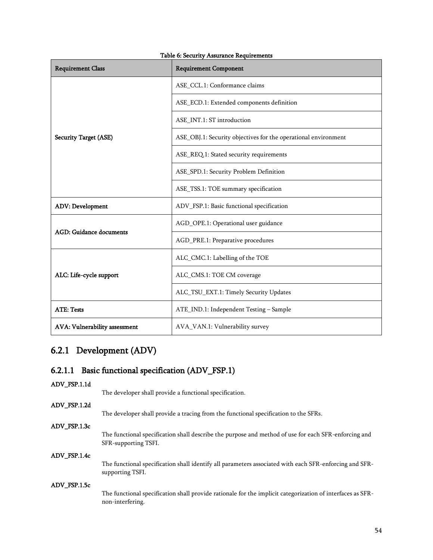| <b>Requirement Class</b>       | <b>Requirement Component</b>                                   |
|--------------------------------|----------------------------------------------------------------|
|                                | ASE_CCL.1: Conformance claims                                  |
|                                | ASE_ECD.1: Extended components definition                      |
|                                | ASE_INT.1: ST introduction                                     |
| <b>Security Target (ASE)</b>   | ASE_OBJ.1: Security objectives for the operational environment |
|                                | ASE_REQ.1: Stated security requirements                        |
|                                | ASE_SPD.1: Security Problem Definition                         |
|                                | ASE_TSS.1: TOE summary specification                           |
| <b>ADV: Development</b>        | ADV_FSP.1: Basic functional specification                      |
|                                | AGD_OPE.1: Operational user guidance                           |
| <b>AGD: Guidance documents</b> | AGD_PRE.1: Preparative procedures                              |
|                                | ALC_CMC.1: Labelling of the TOE                                |
| ALC: Life-cycle support        | ALC_CMS.1: TOE CM coverage                                     |
|                                | ALC_TSU_EXT.1: Timely Security Updates                         |
| <b>ATE: Tests</b>              | ATE_IND.1: Independent Testing - Sample                        |
| AVA: Vulnerability assessment  | AVA_VAN.1: Vulnerability survey                                |

### Table 6: Security Assurance Requirements

# 6.2.1 Development (ADV)

# 6.2.1.1 Basic functional specification (ADV\_FSP.1)

ADV\_FSP.1.1d

The developer shall provide a functional specification.

ADV\_FSP.1.2d

The developer shall provide a tracing from the functional specification to the SFRs.

### ADV\_FSP.1.3c

The functional specification shall describe the purpose and method of use for each SFR-enforcing and SFR-supporting TSFI.

### ADV\_FSP.1.4c

The functional specification shall identify all parameters associated with each SFR-enforcing and SFRsupporting TSFI.

#### ADV\_FSP.1.5c

The functional specification shall provide rationale for the implicit categorization of interfaces as SFRnon-interfering.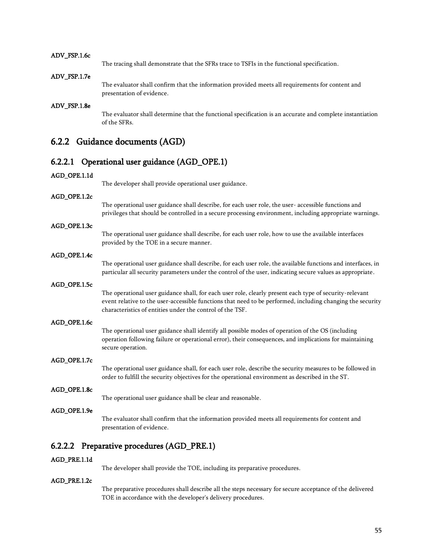#### ADV\_FSP.1.6c

The tracing shall demonstrate that the SFRs trace to TSFIs in the functional specification.

#### ADV\_FSP.1.7e

The evaluator shall confirm that the information provided meets all requirements for content and presentation of evidence.

#### ADV\_FSP.1.8e

The evaluator shall determine that the functional specification is an accurate and complete instantiation of the SFRs.

### 6.2.2 Guidance documents (AGD)

### 6.2.2.1 Operational user guidance (AGD\_OPE.1)

#### AGD\_OPE.1.1d

The developer shall provide operational user guidance.

### AGD\_OPE.1.2c

The operational user guidance shall describe, for each user role, the user- accessible functions and privileges that should be controlled in a secure processing environment, including appropriate warnings.

#### AGD\_OPE.1.3c

The operational user guidance shall describe, for each user role, how to use the available interfaces provided by the TOE in a secure manner.

#### AGD\_OPE.1.4c

The operational user guidance shall describe, for each user role, the available functions and interfaces, in particular all security parameters under the control of the user, indicating secure values as appropriate.

#### AGD\_OPE.1.5c

The operational user guidance shall, for each user role, clearly present each type of security-relevant event relative to the user-accessible functions that need to be performed, including changing the security characteristics of entities under the control of the TSF.

#### AGD\_OPE.1.6c

The operational user guidance shall identify all possible modes of operation of the OS (including operation following failure or operational error), their consequences, and implications for maintaining secure operation.

#### AGD\_OPE.1.7c

The operational user guidance shall, for each user role, describe the security measures to be followed in order to fulfill the security objectives for the operational environment as described in the ST.

#### AGD\_OPE.1.8c

The operational user guidance shall be clear and reasonable.

#### AGD\_OPE.1.9e

The evaluator shall confirm that the information provided meets all requirements for content and presentation of evidence.

### 6.2.2.2 Preparative procedures (AGD\_PRE.1)

#### AGD\_PRE.1.1d

The developer shall provide the TOE, including its preparative procedures.

#### AGD\_PRE.1.2c

The preparative procedures shall describe all the steps necessary for secure acceptance of the delivered TOE in accordance with the developer's delivery procedures.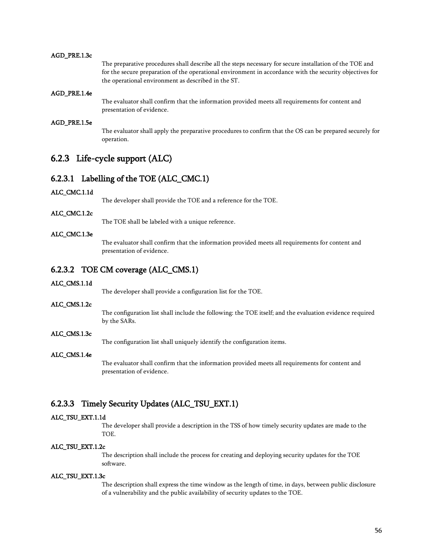#### AGD\_PRE.1.3c

The preparative procedures shall describe all the steps necessary for secure installation of the TOE and for the secure preparation of the operational environment in accordance with the security objectives for the operational environment as described in the ST.

#### AGD\_PRE.1.4e

The evaluator shall confirm that the information provided meets all requirements for content and presentation of evidence.

### AGD\_PRE.1.5e

The evaluator shall apply the preparative procedures to confirm that the OS can be prepared securely for operation.

# 6.2.3 Life-cycle support (ALC)

### 6.2.3.1 Labelling of the TOE (ALC\_CMC.1)

#### ALC\_CMC.1.1d

The developer shall provide the TOE and a reference for the TOE.

### ALC\_CMC.1.2c

The TOE shall be labeled with a unique reference.

#### ALC\_CMC.1.3e

The evaluator shall confirm that the information provided meets all requirements for content and presentation of evidence.

### 6.2.3.2 TOE CM coverage (ALC\_CMS.1)

#### ALC\_CMS.1.1d

The developer shall provide a configuration list for the TOE.

#### ALC\_CMS.1.2c

The configuration list shall include the following: the TOE itself; and the evaluation evidence required by the SARs.

### ALC\_CMS.1.3c

The configuration list shall uniquely identify the configuration items.

### ALC\_CMS.1.4e

The evaluator shall confirm that the information provided meets all requirements for content and presentation of evidence.

### 6.2.3.3 Timely Security Updates (ALC\_TSU\_EXT.1)

#### ALC\_TSU\_EXT.1.1d

The developer shall provide a description in the TSS of how timely security updates are made to the TOE.

### ALC\_TSU\_EXT.1.2c

The description shall include the process for creating and deploying security updates for the TOE software.

#### ALC\_TSU\_EXT.1.3c

The description shall express the time window as the length of time, in days, between public disclosure of a vulnerability and the public availability of security updates to the TOE.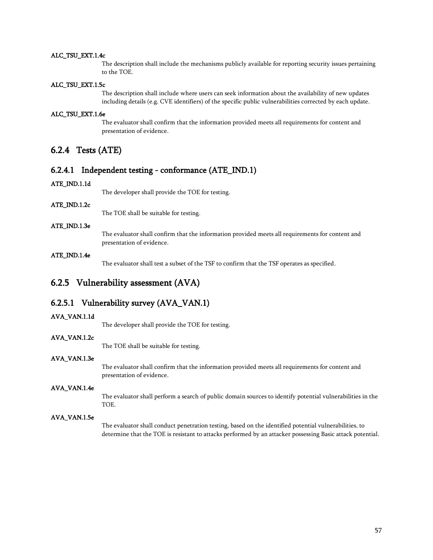#### ALC\_TSU\_EXT.1.4c

The description shall include the mechanisms publicly available for reporting security issues pertaining to the TOE.

#### ALC\_TSU\_EXT.1.5c

The description shall include where users can seek information about the availability of new updates including details (e.g. CVE identifiers) of the specific public vulnerabilities corrected by each update.

### ALC\_TSU\_EXT.1.6e

The evaluator shall confirm that the information provided meets all requirements for content and presentation of evidence.

### 6.2.4 Tests (ATE)

### 6.2.4.1 Independent testing - conformance (ATE\_IND.1)

#### ATE\_IND.1.1d

The developer shall provide the TOE for testing.

ATE\_IND.1.2c

The TOE shall be suitable for testing.

### ATE\_IND.1.3e

The evaluator shall confirm that the information provided meets all requirements for content and presentation of evidence.

#### ATE\_IND.1.4e

The evaluator shall test a subset of the TSF to confirm that the TSF operates as specified.

### 6.2.5 Vulnerability assessment (AVA)

### 6.2.5.1 Vulnerability survey (AVA\_VAN.1)

### AVA\_VAN.1.1d

The developer shall provide the TOE for testing.

#### AVA\_VAN.1.2c

The TOE shall be suitable for testing.

### AVA\_VAN.1.3e

The evaluator shall confirm that the information provided meets all requirements for content and presentation of evidence.

### AVA\_VAN.1.4e

The evaluator shall perform a search of public domain sources to identify potential vulnerabilities in the TOE.

#### AVA\_VAN.1.5e

The evaluator shall conduct penetration testing, based on the identified potential vulnerabilities, to determine that the TOE is resistant to attacks performed by an attacker possessing Basic attack potential.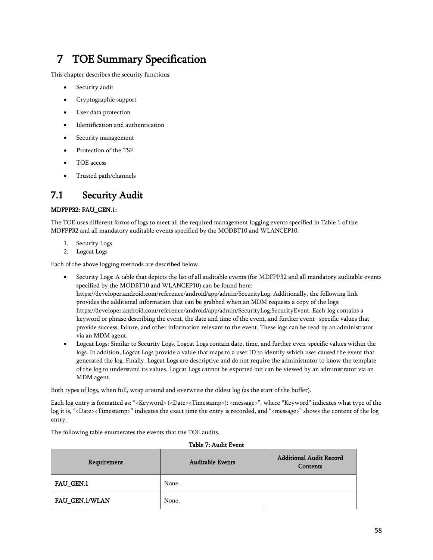# 7 TOE Summary Specification

This chapter describes the security functions:

- Security audit
- Cryptographic support
- User data protection
- Identification and authentication
- Security management
- Protection of the TSF
- TOE access
- Trusted path/channels

# 7.1 Security Audit

### MDFPP32: FAU\_GEN.1:

The TOE uses different forms of logs to meet all the required management logging events specified in Table 1 of the MDFPP32 and all mandatory auditable events specified by the MODBT10 and WLANCEP10:

- 1. Security Logs
- 2. Logcat Logs

Each of the above logging methods are described below.

- Security Logs: A table that depicts the list of all auditable events (for MDFPP32 and all mandatory auditable events specified by the MODBT10 and WLANCEP10) can be found here: https://developer.android.com/reference/android/app/admin/SecurityLog. Additionally, the following link provides the additional information that can be grabbed when an MDM requests a copy of the logs: https://developer.android.com/reference/android/app/admin/SecurityLog.SecurityEvent. Each log contains a keyword or phrase describing the event, the date and time of the event, and further event- specific values that provide success, failure, and other information relevant to the event. These logs can be read by an administrator via an MDM agent.
- Logcat Logs: Similar to Security Logs, Logcat Logs contain date, time, and further even-specific values within the logs. In addition, Logcat Logs provide a value that maps to a user ID to identify which user caused the event that generated the log. Finally, Logcat Logs are descriptive and do not require the administrator to know the template of the log to understand its values. Logcat Logs cannot be exported but can be viewed by an administrator via an MDM agent.

Both types of logs, when full, wrap around and overwrite the oldest log (as the start of the buffer).

Each log entry is formatted as: "<Keyword> (<Date><Timestamp>): <message>", where "Keyword" indicates what type of the log it is, "<Date><Timestamp>" indicates the exact time the entry is recorded, and "<message>" shows the content of the log entry.

Table 7: Audit Event

The following table enumerates the events that the TOE audits.

# Requirement Auditable Events Additional Audit Record **Contents** FAU GEN.1 None. FAU\_GEN.1/WLAN None.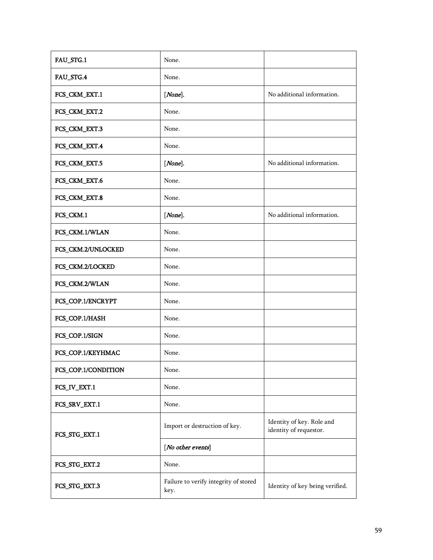| FAU_STG.1           | None.                                         |                                                     |
|---------------------|-----------------------------------------------|-----------------------------------------------------|
| FAU_STG.4           | None.                                         |                                                     |
| FCS_CKM_EXT.1       | [None].                                       | No additional information.                          |
| FCS_CKM_EXT.2       | None.                                         |                                                     |
| FCS_CKM_EXT.3       | None.                                         |                                                     |
| FCS_CKM_EXT.4       | None.                                         |                                                     |
| FCS_CKM_EXT.5       | [None].                                       | No additional information.                          |
| FCS_CKM_EXT.6       | None.                                         |                                                     |
| FCS_CKM_EXT.8       | None.                                         |                                                     |
| FCS_CKM.1           | [None].                                       | No additional information.                          |
| FCS_CKM.1/WLAN      | None.                                         |                                                     |
| FCS_CKM.2/UNLOCKED  | None.                                         |                                                     |
| FCS_CKM.2/LOCKED    | None.                                         |                                                     |
| FCS_CKM.2/WLAN      | None.                                         |                                                     |
| FCS_COP.1/ENCRYPT   | None.                                         |                                                     |
| FCS_COP.1/HASH      | None.                                         |                                                     |
| FCS_COP.1/SIGN      | None.                                         |                                                     |
| FCS_COP.1/KEYHMAC   | None.                                         |                                                     |
| FCS_COP.1/CONDITION | None.                                         |                                                     |
| FCS_IV_EXT.1        | None.                                         |                                                     |
| FCS_SRV_EXT.1       | None.                                         |                                                     |
| FCS_STG_EXT.1       | Import or destruction of key.                 | Identity of key. Role and<br>identity of requestor. |
|                     | [No other events]                             |                                                     |
| FCS_STG_EXT.2       | None.                                         |                                                     |
| FCS_STG_EXT.3       | Failure to verify integrity of stored<br>key. | Identity of key being verified.                     |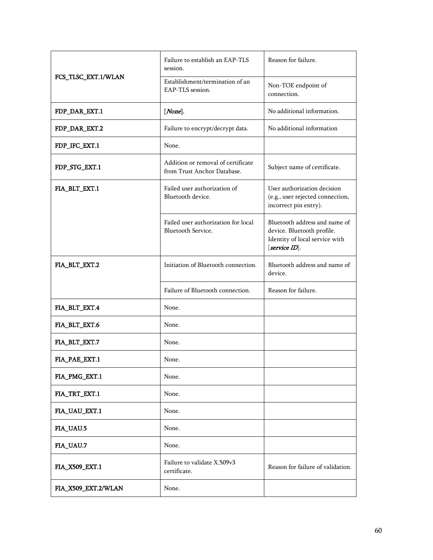|                     | Failure to establish an EAP-TLS<br>session.                       | Reason for failure.                                                                                            |
|---------------------|-------------------------------------------------------------------|----------------------------------------------------------------------------------------------------------------|
| FCS_TLSC_EXT.1/WLAN | Establishment/termination of an<br>EAP-TLS session.               | Non-TOE endpoint of<br>connection.                                                                             |
| FDP_DAR_EXT.1       | $[None]$ .                                                        | No additional information.                                                                                     |
| FDP_DAR_EXT.2       | Failure to encrypt/decrypt data.                                  | No additional information                                                                                      |
| FDP_IFC_EXT.1       | None.                                                             |                                                                                                                |
| FDP_STG_EXT.1       | Addition or removal of certificate<br>from Trust Anchor Database. | Subject name of certificate.                                                                                   |
| FIA_BLT_EXT.1       | Failed user authorization of<br>Bluetooth device.                 | User authorization decision<br>(e.g., user rejected connection,<br>incorrect pin entry).                       |
|                     | Failed user authorization for local<br>Bluetooth Service.         | Bluetooth address and name of<br>device. Bluetooth profile.<br>Identity of local service with<br>[service ID]. |
| FIA_BLT_EXT.2       | Initiation of Bluetooth connection.                               | Bluetooth address and name of<br>device.                                                                       |
|                     | Failure of Bluetooth connection.                                  | Reason for failure.                                                                                            |
| FIA_BLT_EXT.4       | None.                                                             |                                                                                                                |
| FIA_BLT_EXT.6       | None.                                                             |                                                                                                                |
| FIA_BLT_EXT.7       | None.                                                             |                                                                                                                |
| FIA_PAE_EXT.1       | None.                                                             |                                                                                                                |
| FIA_PMG_EXT.1       | None.                                                             |                                                                                                                |
| FIA_TRT_EXT.1       | None.                                                             |                                                                                                                |
| FIA_UAU_EXT.1       | None.                                                             |                                                                                                                |
| FIA_UAU.5           | None.                                                             |                                                                                                                |
| FIA_UAU.7           | None.                                                             |                                                                                                                |
| FIA_X509_EXT.1      | Failure to validate X.509v3<br>certificate.                       | Reason for failure of validation.                                                                              |
| FIA_X509_EXT.2/WLAN | None.                                                             |                                                                                                                |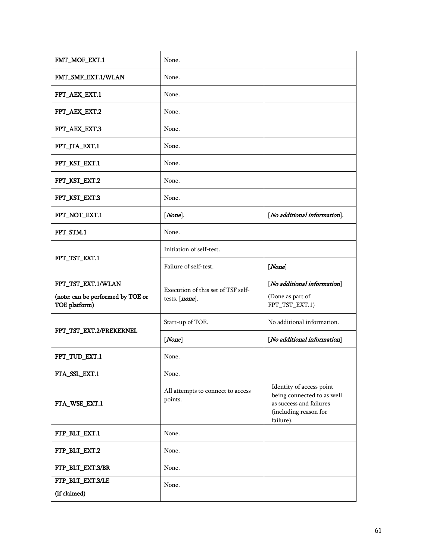| FMT_MOF_EXT.1                                                            | None.                                                |                                                                                                                         |
|--------------------------------------------------------------------------|------------------------------------------------------|-------------------------------------------------------------------------------------------------------------------------|
| FMT_SMF_EXT.1/WLAN                                                       | None.                                                |                                                                                                                         |
| FPT_AEX_EXT.1                                                            | None.                                                |                                                                                                                         |
| FPT_AEX_EXT.2                                                            | None.                                                |                                                                                                                         |
| FPT_AEX_EXT.3                                                            | None.                                                |                                                                                                                         |
| FPT_JTA_EXT.1                                                            | None.                                                |                                                                                                                         |
| FPT_KST_EXT.1                                                            | None.                                                |                                                                                                                         |
| FPT_KST_EXT.2                                                            | None.                                                |                                                                                                                         |
| FPT_KST_EXT.3                                                            | None.                                                |                                                                                                                         |
| FPT_NOT_EXT.1                                                            | [None].                                              | [No additional information].                                                                                            |
| FPT_STM.1                                                                | None.                                                |                                                                                                                         |
| FPT_TST_EXT.1                                                            | Initiation of self-test.                             |                                                                                                                         |
|                                                                          | Failure of self-test.                                | [None]                                                                                                                  |
|                                                                          |                                                      |                                                                                                                         |
| FPT_TST_EXT.1/WLAN<br>(note: can be performed by TOE or<br>TOE platform) | Execution of this set of TSF self-<br>tests. [none]. | [No additional information]<br>(Done as part of<br>FPT_TST_EXT.1)                                                       |
|                                                                          | Start-up of TOE.                                     | No additional information.                                                                                              |
| FPT_TST_EXT.2/PREKERNEL                                                  | [None]                                               | [No additional information]                                                                                             |
| FPT_TUD_EXT.1                                                            | None.                                                |                                                                                                                         |
| FTA_SSL_EXT.1                                                            | None.                                                |                                                                                                                         |
| FTA_WSE_EXT.1                                                            | All attempts to connect to access<br>points.         | Identity of access point<br>being connected to as well<br>as success and failures<br>(including reason for<br>failure). |
| FTP_BLT_EXT.1                                                            | None.                                                |                                                                                                                         |
| FTP_BLT_EXT.2                                                            | None.                                                |                                                                                                                         |
| FTP_BLT_EXT.3/BR                                                         | None.                                                |                                                                                                                         |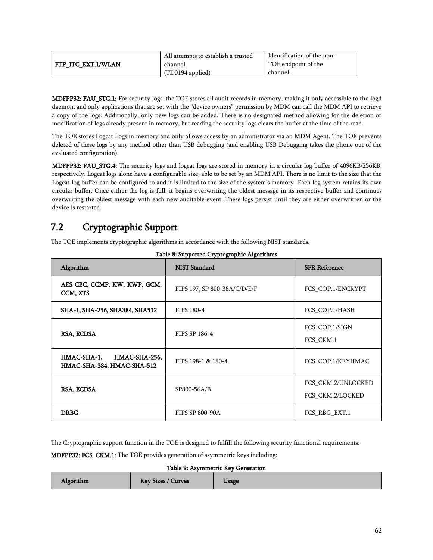|                    | All attempts to establish a trusted | Identification of the non- |
|--------------------|-------------------------------------|----------------------------|
| FTP ITC EXT.1/WLAN | channel.                            | TOE endpoint of the        |
|                    | (TD0194 applied)                    | channel.                   |

MDFPP32: FAU\_STG.1: For security logs, the TOE stores all audit records in memory, making it only accessible to the logd daemon, and only applications that are set with the "device owners" permission by MDM can call the MDM API to retrieve a copy of the logs. Additionally, only new logs can be added. There is no designated method allowing for the deletion or modification of logs already present in memory, but reading the security logs clears the buffer at the time of the read.

The TOE stores Logcat Logs in memory and only allows access by an administrator via an MDM Agent. The TOE prevents deleted of these logs by any method other than USB debugging (and enabling USB Debugging takes the phone out of the evaluated configuration).

MDFPP32: FAU\_STG.4: The security logs and logcat logs are stored in memory in a circular log buffer of 4096KB/256KB, respectively. Logcat logs alone have a configurable size, able to be set by an MDM API. There is no limit to the size that the Logcat log buffer can be configured to and it is limited to the size of the system's memory. Each log system retains its own circular buffer. Once either the log is full, it begins overwriting the oldest message in its respective buffer and continues overwriting the oldest message with each new auditable event. These logs persist until they are either overwritten or the device is restarted.

# 7.2 Cryptographic Support

The TOE implements cryptographic algorithms in accordance with the following NIST standards.

| Algorithm                                                  | <b>NIST Standard</b>         | <b>SFR Reference</b>                   |
|------------------------------------------------------------|------------------------------|----------------------------------------|
| AES CBC, CCMP, KW, KWP, GCM,<br>CCM, XTS                   | FIPS 197, SP 800-38A/C/D/E/F | FCS COP.1/ENCRYPT                      |
| SHA-1, SHA-256, SHA384, SHA512                             | FIPS 180-4                   | FCS COP.1/HASH                         |
| RSA, ECDSA                                                 | FIPS SP 186-4                | FCS COP.1/SIGN<br>FCS CKM.1            |
| HMAC-SHA-1,<br>HMAC-SHA-256,<br>HMAC-SHA-384, HMAC-SHA-512 | FIPS 198-1 & 180-4           | FCS_COP.1/KEYHMAC                      |
| RSA, ECDSA                                                 | SP800-56A/B                  | FCS CKM.2/UNLOCKED<br>FCS CKM.2/LOCKED |
| <b>DRBG</b>                                                | <b>FIPS SP 800-90A</b>       | FCS RBG EXT.1                          |

|  | Table 8: Supported Cryptographic Algorithms |  |
|--|---------------------------------------------|--|
|  |                                             |  |

The Cryptographic support function in the TOE is designed to fulfill the following security functional requirements:

MDFPP32: FCS\_CKM.1: The TOE provides generation of asymmetric keys including:

Table 9: Asymmetric Key Generation

<span id="page-61-0"></span>

| Key Sizes / Curves<br>Algorithm | Usage |
|---------------------------------|-------|
|---------------------------------|-------|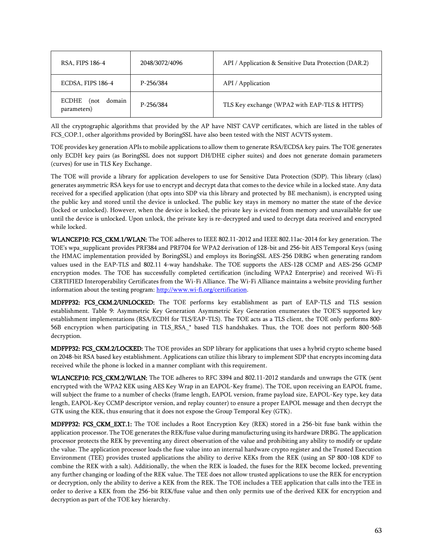| RSA, FIPS 186-4                        | 2048/3072/4096 | API / Application & Sensitive Data Protection (DAR.2) |
|----------------------------------------|----------------|-------------------------------------------------------|
| ECDSA, FIPS 186-4                      | P-256/384      | API / Application                                     |
| ECDHE<br>domain<br>(not<br>parameters) | P-256/384      | TLS Key exchange (WPA2 with EAP-TLS & HTTPS)          |

All the cryptographic algorithms that provided by the AP have NIST CAVP certificates, which are listed in the tables of FCS\_COP.1, other algorithms provided by BoringSSL have also been tested with the NIST ACVTS system.

TOE provides key generation APIs to mobile applications to allow them to generate RSA/ECDSA key pairs. The TOE generates only ECDH key pairs (as BoringSSL does not support DH/DHE cipher suites) and does not generate domain parameters (curves) for use in TLS Key Exchange.

The TOE will provide a library for application developers to use for Sensitive Data Protection (SDP). This library (class) generates asymmetric RSA keys for use to encrypt and decrypt data that comes to the device while in a locked state. Any data received for a specified application (that opts into SDP via this library and protected by BE mechanism), is encrypted using the public key and stored until the device is unlocked. The public key stays in memory no matter the state of the device (locked or unlocked). However, when the device is locked, the private key is evicted from memory and unavailable for use until the device is unlocked. Upon unlock, the private key is re-decrypted and used to decrypt data received and encrypted while locked.

WLANCEP10: FCS\_CKM.1/WLAN: The TOE adheres to IEEE 802.11-2012 and IEEE 802.11ac-2014 for key generation. The TOE's wpa\_supplicant provides PRF384 and PRF704 for WPA2 derivation of 128-bit and 256-bit AES Temporal Keys (using the HMAC implementation provided by BoringSSL) and employs its BoringSSL AES-256 DRBG when generating random values used in the EAP-TLS and 802.11 4-way handshake. The TOE supports the AES-128 CCMP and AES-256 GCMP encryption modes. The TOE has successfully completed certification (including WPA2 Enterprise) and received Wi-Fi CERTIFIED Interoperability Certificates from the Wi-Fi Alliance. The Wi-Fi Alliance maintains a website providing further information about the testing program: [http://www.wi-fi.org/certification.](http://www.wi-fi.org/certification)

MDFPP32: FCS\_CKM.2/UNLOCKED: The TOE performs key establishment as part of EAP-TLS and TLS session establishment. [Table 9: Asymmetric Key Generation](#page-61-0) Asymmetric Key Generation enumerates the TOE'S supported key establishment implementations (RSA/ECDH for TLS/EAP-TLS). The TOE acts as a TLS client, the TOE only performs 800- 56B encryption when participating in TLS\_RSA\_\* based TLS handshakes. Thus, the TOE does not perform 800-56B decryption.

MDFPP32: FCS\_CKM.2/LOCKED: The TOE provides an SDP library for applications that uses a hybrid crypto scheme based on 2048-bit RSA based key establishment. Applications can utilize this library to implement SDP that encrypts incoming data received while the phone is locked in a manner compliant with this requirement.

WLANCEP10: FCS\_CKM.2/WLAN: The TOE adheres to RFC 3394 and 802.11-2012 standards and unwraps the GTK (sent encrypted with the WPA2 KEK using AES Key Wrap in an EAPOL-Key frame). The TOE, upon receiving an EAPOL frame, will subject the frame to a number of checks (frame length, EAPOL version, frame payload size, EAPOL-Key type, key data length, EAPOL-Key CCMP descriptor version, and replay counter) to ensure a proper EAPOL message and then decrypt the GTK using the KEK, thus ensuring that it does not expose the Group Temporal Key (GTK).

MDFPP32: FCS\_CKM\_EXT.1: The TOE includes a Root Encryption Key (REK) stored in a 256-bit fuse bank within the application processor. The TOE generates the REK/fuse value during manufacturing using its hardware DRBG. The application processor protects the REK by preventing any direct observation of the value and prohibiting any ability to modify or update the value. The application processor loads the fuse value into an internal hardware crypto register and the Trusted Execution Environment (TEE) provides trusted applications the ability to derive KEKs from the REK (using an SP 800-108 KDF to combine the REK with a salt). Additionally, the when the REK is loaded, the fuses for the REK become locked, preventing any further changing or loading of the REK value. The TEE does not allow trusted applications to use the REK for encryption or decryption, only the ability to derive a KEK from the REK. The TOE includes a TEE application that calls into the TEE in order to derive a KEK from the 256-bit REK/fuse value and then only permits use of the derived KEK for encryption and decryption as part of the TOE key hierarchy.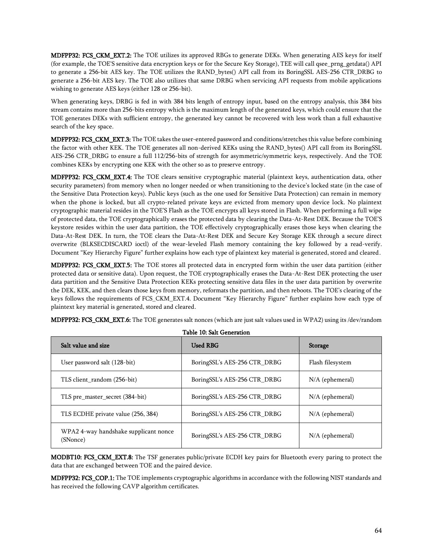MDFPP32: FCS\_CKM\_EXT.2: The TOE utilizes its approved RBGs to generate DEKs. When generating AES keys for itself (for example, the TOE'S sensitive data encryption keys or for the Secure Key Storage), TEE will call qsee\_prng\_getdata() API to generate a 256-bit AES key. The TOE utilizes the RAND\_bytes() API call from its BoringSSL AES-256 CTR\_DRBG to generate a 256-bit AES key. The TOE also utilizes that same DRBG when servicing API requests from mobile applications wishing to generate AES keys (either 128 or 256-bit).

When generating keys, DRBG is fed in with 384 bits length of entropy input, based on the entropy analysis, this 384 bits stream contains more than 256-bits entropy which is the maximum length of the generated keys, which could ensure that the TOE generates DEKs with sufficient entropy, the generated key cannot be recovered with less work than a full exhaustive search of the key space.

MDFPP32: FCS\_CKM\_EXT.3: The TOE takes the user-entered password and conditions/stretches this value before combining the factor with other KEK. The TOE generates all non-derived KEKs using the RAND\_bytes() API call from its BoringSSL AES-256 CTR\_DRBG to ensure a full 112/256-bits of strength for asymmetric/symmetric keys, respectively. And the TOE combines KEKs by encrypting one KEK with the other so as to preserve entropy.

MDFPP32: FCS\_CKM\_EXT.4: The TOE clears sensitive cryptographic material (plaintext keys, authentication data, other security parameters) from memory when no longer needed or when transitioning to the device's locked state (in the case of the Sensitive Data Protection keys). Public keys (such as the one used for Sensitive Data Protection) can remain in memory when the phone is locked, but all crypto-related private keys are evicted from memory upon device lock. No plaintext cryptographic material resides in the TOE'S Flash as the TOE encrypts all keys stored in Flash. When performing a full wipe of protected data, the TOE cryptographically erases the protected data by clearing the Data-At-Rest DEK. Because the TOE'S keystore resides within the user data partition, the TOE effectively cryptographically erases those keys when clearing the Data-At-Rest DEK. In turn, the TOE clears the Data-At-Rest DEK and Secure Key Storage KEK through a secure direct overwrite (BLKSECDISCARD ioctl) of the wear-leveled Flash memory containing the key followed by a read-verify. Document "Key Hierarchy Figure" further explains how each type of plaintext key material is generated, stored and cleared.

MDFPP32: FCS\_CKM\_EXT.5: The TOE stores all protected data in encrypted form within the user data partition (either protected data or sensitive data). Upon request, the TOE cryptographically erases the Data-At-Rest DEK protecting the user data partition and the Sensitive Data Protection KEKs protecting sensitive data files in the user data partition by overwrite the DEK, KEK, and then clears those keys from memory, reformats the partition, and then reboots. The TOE's clearing of the keys follows the requirements of FCS\_CKM\_EXT.4. Document "Key Hierarchy Figure" further explains how each type of plaintext key material is generated, stored and cleared.

|  | MDFPP32: FCS_CKM_EXT.6: The TOE generates salt nonces (which are just salt values used in WPA2) using its /dev/random |  |  |
|--|-----------------------------------------------------------------------------------------------------------------------|--|--|
|--|-----------------------------------------------------------------------------------------------------------------------|--|--|

| Salt value and size                              | <b>Used RBG</b>              | <b>Storage</b>    |  |
|--------------------------------------------------|------------------------------|-------------------|--|
| User password salt (128-bit)                     | BoringSSL's AES-256 CTR DRBG | Flash filesystem  |  |
| TLS client_random (256-bit)                      | BoringSSL's AES-256 CTR DRBG | $N/A$ (ephemeral) |  |
| TLS pre_master_secret (384-bit)                  | BoringSSL's AES-256 CTR_DRBG | $N/A$ (ephemeral) |  |
| TLS ECDHE private value (256, 384)               | BoringSSL's AES-256 CTR DRBG | $N/A$ (ephemeral) |  |
| WPA24-way handshake supplicant nonce<br>(SNonce) | BoringSSL's AES-256 CTR_DRBG | $N/A$ (ephemeral) |  |

 $T<sub>1</sub>$  10: Salt Generation

MODBT10: FCS\_CKM\_EXT.8: The TSF generates public/private ECDH key pairs for Bluetooth every paring to protect the data that are exchanged between TOE and the paired device.

MDFPP32: FCS\_COP.1: The TOE implements cryptographic algorithms in accordance with the following NIST standards and has received the following CAVP algorithm certificates.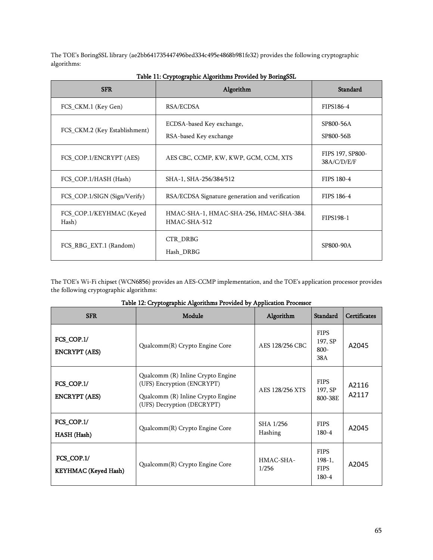The TOE's BoringSSL library (ae2bb641735447496bed334c495e4868b981fe32) provides the following cryptographic algorithms:

| <b>SFR</b>                        | Algorithm                                               | Standard                        |
|-----------------------------------|---------------------------------------------------------|---------------------------------|
| FCS_CKM.1 (Key Gen)               | RSA/ECDSA                                               | FIPS186-4                       |
| FCS_CKM.2 (Key Establishment)     | ECDSA-based Key exchange,<br>RSA-based Key exchange     | SP800-56A<br>SP800-56B          |
| FCS_COP.1/ENCRYPT (AES)           | AES CBC, CCMP, KW, KWP, GCM, CCM, XTS                   | FIPS 197, SP800-<br>38A/C/D/E/F |
| FCS COP.1/HASH (Hash)             | SHA-1, SHA-256/384/512                                  | FIPS 180-4                      |
| FCS_COP.1/SIGN (Sign/Verify)      | RSA/ECDSA Signature generation and verification         | FIPS 186-4                      |
| FCS COP.1/KEYHMAC (Keyed<br>Hash) | HMAC-SHA-1, HMAC-SHA-256, HMAC-SHA-384.<br>HMAC-SHA-512 | FIPS198-1                       |
| FCS_RBG_EXT.1 (Random)            | CTR DRBG<br>Hash DRBG                                   | SP800-90A                       |

|  | Table 11: Cryptographic Algorithms Provided by BoringSSL |  |
|--|----------------------------------------------------------|--|
|  |                                                          |  |

The TOE's Wi-Fi chipset (WCN6856) provides an AES-CCMP implementation, and the TOE's application processor provides the following cryptographic algorithms:

| <b>SFR</b>                         | Module                                                                                                                                                | Algorithm            | <b>Standard</b>                                      | <b>Certificates</b> |
|------------------------------------|-------------------------------------------------------------------------------------------------------------------------------------------------------|----------------------|------------------------------------------------------|---------------------|
| FCS_COP.1/<br><b>ENCRYPT</b> (AES) | Qualcomm(R) Crypto Engine Core                                                                                                                        | AES 128/256 CBC      | <b>FIPS</b><br>197, SP<br>$800 -$<br>38A             | A2045               |
| FCS_COP.1/<br><b>ENCRYPT</b> (AES) | Qualcomm (R) Inline Crypto Engine<br>(UFS) Encryption (ENCRYPT)<br>AES 128/256 XTS<br>Qualcomm (R) Inline Crypto Engine<br>(UFS) Decryption (DECRYPT) |                      | <b>FIPS</b><br>197, SP<br>800-38E                    | A2116<br>A2117      |
| FCS_COP.1/<br><b>HASH</b> (Hash)   | Qualcomm(R) Crypto Engine Core                                                                                                                        | SHA 1/256<br>Hashing | <b>FIPS</b><br>$180 - 4$                             | A2045               |
| FCS_COP.1/<br>KEYHMAC (Keyed Hash) | Qualcomm(R) Crypto Engine Core                                                                                                                        | HMAC-SHA-<br>1/256   | <b>FIPS</b><br>$198-1$ ,<br><b>FIPS</b><br>$180 - 4$ | A2045               |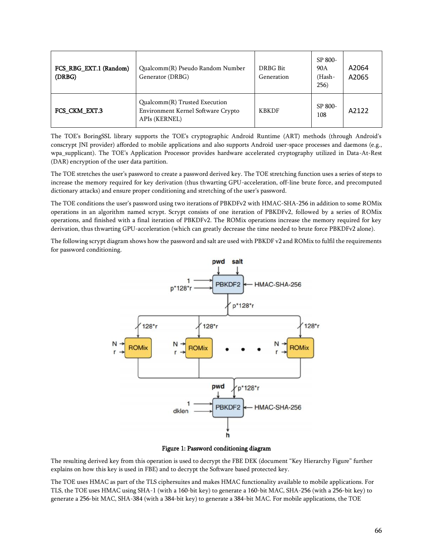| FCS_RBG_EXT.1 (Random)<br>(DRBG) | Qualcomm(R) Pseudo Random Number<br>Generator (DRBG)                                 | DRBG Bit<br>Generation | SP 800-<br>90A<br>(Hash-<br>256) | A2064<br>A2065 |
|----------------------------------|--------------------------------------------------------------------------------------|------------------------|----------------------------------|----------------|
| FCS CKM EXT.3                    | Qualcomm(R) Trusted Execution<br>Environment Kernel Software Crypto<br>APIs (KERNEL) | <b>KBKDF</b>           | SP 800-<br>108                   | A2122          |

The TOE's BoringSSL library supports the TOE's cryptographic Android Runtime (ART) methods (through Android's conscrypt JNI provider) afforded to mobile applications and also supports Android user-space processes and daemons (e.g., wpa\_supplicant). The TOE's Application Processor provides hardware accelerated cryptography utilized in Data-At-Rest (DAR) encryption of the user data partition.

The TOE stretches the user's password to create a password derived key. The TOE stretching function uses a series of steps to increase the memory required for key derivation (thus thwarting GPU-acceleration, off-line brute force, and precomputed dictionary attacks) and ensure proper conditioning and stretching of the user's password.

The TOE conditions the user's password using two iterations of PBKDFv2 with HMAC-SHA-256 in addition to some ROMix operations in an algorithm named scrypt. Scrypt consists of one iteration of PBKDFv2, followed by a series of ROMix operations, and finished with a final iteration of PBKDFv2. The ROMix operations increase the memory required for key derivation, thus thwarting GPU-acceleration (which can greatly decrease the time needed to brute force PBKDFv2 alone).

The following scrypt diagram shows how the password and salt are used with PBKDF v2 and ROMix to fulfil the requirements for password conditioning.



Figure 1: Password conditioning diagram

The resulting derived key from this operation is used to decrypt the FBE DEK (document "Key Hierarchy Figure" further explains on how this key is used in FBE) and to decrypt the Software based protected key.

The TOE uses HMAC as part of the TLS ciphersuites and makes HMAC functionality available to mobile applications. For TLS, the TOE uses HMAC using SHA-1 (with a 160-bit key) to generate a 160-bit MAC, SHA-256 (with a 256-bit key) to generate a 256-bit MAC, SHA-384 (with a 384-bit key) to generate a 384-bit MAC. For mobile applications, the TOE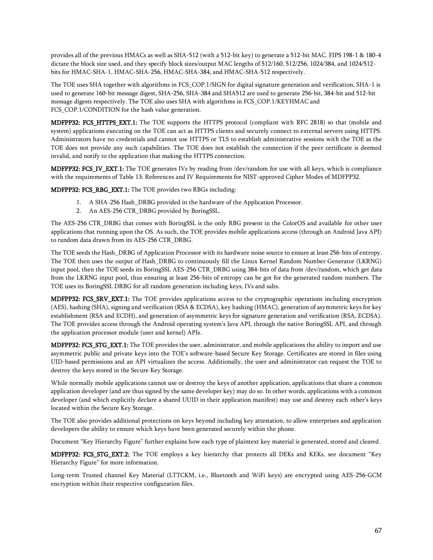provides all of the previous HMACs as well as SHA-512 (with a 512-bit key) to generate a 512-bit MAC. FIPS 198-1 & 180-4 dictate the block size used, and they specify block sizes/output MAC lengths of 512/160, 512/256, 1024/384, and 1024/512 bits for HMAC-SHA-1, HMAC-SHA-256, HMAC-SHA-384, and HMAC-SHA-512 respectively.

The TOE uses SHA together with algorithms in FCS\_COP.1/SIGN for digital signature generation and verification, SHA-1 is used to generate 160-bit message digest, SHA-256, SHA-384 and SHA512 are used to generate 256-bit, 384-bit and 512-bit message digests respectively. The TOE also uses SHA with algorithms in FCS\_COP.1/KEYHMAC and FCS COP.1/CONDITION for the hash value generation.

MDFPP32: FCS\_HTTPS\_EXT.1: The TOE supports the HTTPS protocol (compliant with RFC 2818) so that (mobile and system) applications executing on the TOE can act as HTTPS clients and securely connect to external servers using HTTPS. Administrators have no credentials and cannot use HTTPS or TLS to establish administrative sessions with the TOE as the TOE does not provide any such capabilities. The TOE does not establish the connection if the peer certificate is deemed invalid, and notify to the application that making the HTTPS connection.

MDFPP32: FCS\_IV\_EXT.1: The TOE generates IVs by reading from /dev/random for use with all keys, which is compliance with the requirements of Table 13: References and IV Requirements for NIST-approved Cipher Modes of MDFPP32.

MDFPP32: FCS\_RBG\_EXT.1: The TOE provides two RBGs including:

- 1. A SHA-256 Hash\_DRBG provided in the hardware of the Application Processor.
- 2. An AES-256 CTR\_DRBG provided by BoringSSL.

The AES-256 CTR\_DRBG that comes with BoringSSL is the only RBG present in the ColorOS and available for other user applications that running upon the OS. As such, the TOE provides mobile applications access (through an Android Java API) to random data drawn from its AES-256 CTR\_DRBG.

The TOE seeds the Hash\_DRBG of Application Processor with its hardware noise source to ensure at least 256-bits of entropy. The TOE then uses the output of Hash\_DRBG to continuously fill the Linux Kernel Random Number Generator (LKRNG) input pool, then the TOE seeds its BoringSSL AES-256 CTR\_DRBG using 384-bits of data from /dev/random, which get data from the LKRNG input pool, thus ensuring at least 256-bits of entropy can be got for the generated random numbers. The TOE uses its BoringSSL DRBG for all random generation including keys, IVs and salts.

MDFPP32: FCS\_SRV\_EXT.1: The TOE provides applications access to the cryptographic operations including encryption (AES), hashing (SHA), signing and verification (RSA & ECDSA), key hashing (HMAC), generation of asymmetric keys for key establishment (RSA and ECDH), and generation of asymmetric keys for signature generation and verification (RSA, ECDSA). The TOE provides access through the Android operating system's Java API, through the native BoringSSL API, and through the application processor module (user and kernel) APIs.

**MDFPP32: FCS\_STG\_EXT.1:** The TOE provides the user, administrator, and mobile applications the ability to import and use asymmetric public and private keys into the TOE's software-based Secure Key Storage. Certificates are stored in files using UID-based permissions and an API virtualizes the access. Additionally, the user and administrator can request the TOE to destroy the keys stored in the Secure Key Storage.

While normally mobile applications cannot use or destroy the keys of another application, applications that share a common application developer (and are thus signed by the same developer key) may do so. In other words, applications with a common developer (and which explicitly declare a shared UUID in their application manifest) may use and destroy each other's keys located within the Secure Key Storage.

The TOE also provides additional protections on keys beyond including key attestation, to allow enterprises and application developers the ability to ensure which keys have been generated securely within the phone.

Document "Key Hierarchy Figure" further explains how each type of plaintext key material is generated, stored and cleared.

MDFPP32: FCS\_STG\_EXT.2: The TOE employs a key hierarchy that protects all DEKs and KEKs, see document "Key Hierarchy Figure" for more information.

Long-term Trusted channel Key Material (LTTCKM, i.e., Bluetooth and WiFi keys) are encrypted using AES-256-GCM encryption within their respective configuration files.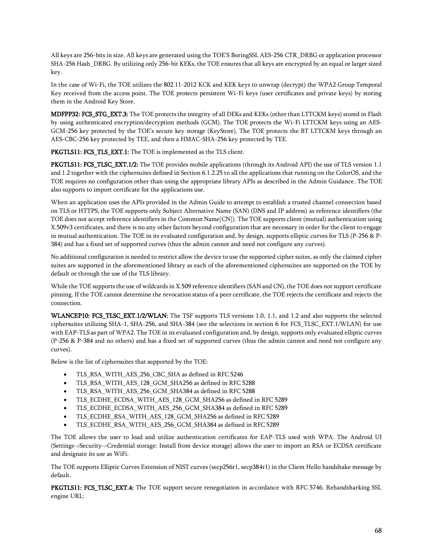All keys are 256-bits in size. All keys are generated using the TOE'S BoringSSL AES-256 CTR\_DRBG or application processor SHA-256 Hash\_DRBG. By utilizing only 256-bit KEKs, the TOE ensures that all keys are encrypted by an equal or larger sized key.

In the case of Wi-Fi, the TOE utilizes the 802.11-2012 KCK and KEK keys to unwrap (decrypt) the WPA2 Group Temporal Key received from the access point. The TOE protects persistent Wi-Fi keys (user certificates and private keys) by storing them in the Android Key Store.

MDFPP32: FCS\_STG\_EXT.3: The TOE protects the integrity of all DEKs and KEKs (other than LTTCKM keys) stored in Flash by using authenticated encryption/decryption methods (GCM). The TOE protects the Wi-Fi LTTCKM keys using an AES-GCM-256 key protected by the TOE's secure key storage (KeyStore). The TOE protects the BT LTTCKM keys through an AES-CBC-256 key protected by TEE, and then a HMAC-SHA-256 key protected by TEE.

PKGTLS11: FCS\_TLS\_EXT.1: The TOE is implemented as the TLS client.

PKGTLS11: FCS\_TLSC\_EXT.1/2: The TOE provides mobile applications (through its Android API) the use of TLS version 1.1 and 1.2 together with the ciphersuites defined in Section [6.1.2.25](#page-36-0) to all the applications that running on the ColorOS, and the TOE requires no configuration other than using the appropriate library APIs as described in the Admin Guidance. The TOE also supports to import certificate for the applications use.

When an application uses the APIs provided in the Admin Guide to attempt to establish a trusted channel connection based on TLS or HTTPS, the TOE supports only Subject Alternative Name (SAN) (DNS and IP address) as reference identifiers (the TOE does not accept reference identifiers in the Common Name[CN]). The TOE supports client (mutual) authentication using X.509v3 certificates, and there is no any other factors beyond configuration that are necessary in order for the client to engage in mutual authentication. The TOE in its evaluated configuration and, by design, supports elliptic curves for TLS (P-256 & P-384) and has a fixed set of supported curves (thus the admin cannot and need not configure any curves).

No additional configuration is needed to restrict allow the device to use the supported cipher suites, as only the claimed cipher suites are supported in the aforementioned library as each of the aforementioned ciphersuites are supported on the TOE by default or through the use of the TLS library.

While the TOE supports the use of wildcards in X.509 reference identifiers (SAN and CN), the TOE does not support certificate pinning. If the TOE cannot determine the revocation status of a peer certificate, the TOE rejects the certificate and rejects the connection.

WLANCEP10: FCS\_TLSC\_EXT.1/2/WLAN: The TSF supports TLS versions 1.0, 1.1, and 1.2 and also supports the selected ciphersuites utilizing SHA-1, SHA-256, and SHA-384 (see the selections in section 6 for FCS\_TLSC\_EXT.1/WLAN) for use with EAP-TLS as part of WPA2. The TOE in its evaluated configuration and, by design, supports only evaluated elliptic curves (P-256 & P-384 and no others) and has a fixed set of supported curves (thus the admin cannot and need not configure any curves).

Below is the list of ciphersuites that supported by the TOE:

- TLS\_RSA\_WITH\_AES\_256\_CBC\_SHA as defined in RFC 5246
- TLS\_RSA\_WITH\_AES\_128\_GCM\_SHA256 as defined in RFC 5288
- TLS\_RSA\_WITH\_AES\_256\_GCM\_SHA384 as defined in RFC 5288
- TLS\_ECDHE\_ECDSA\_WITH\_AES\_128\_GCM\_SHA256 as defined in RFC 5289
- TLS\_ECDHE\_ECDSA\_WITH\_AES\_256\_GCM\_SHA384 as defined in RFC 5289
- TLS\_ECDHE\_RSA\_WITH\_AES\_128\_GCM\_SHA256 as defined in RFC 5289
- TLS\_ECDHE\_RSA\_WITH\_AES\_256\_GCM\_SHA384 as defined in RFC 5289

The TOE allows the user to load and utilize authentication certificates for EAP-TLS used with WPA. The Android UI (Settings->Security->Credential storage: Install from device storage) allows the user to import an RSA or ECDSA certificate and designate its use as WiFi.

The TOE supports Elliptic Curves Extension of NIST curves (secp256r1, secp384r1) in the Client Hello handshake message by default.

PKGTLS11: FCS\_TLSC\_EXT.4: The TOE support secure renegotiation in accordance with RFC 5746. Rehandsharking SSL engine URL: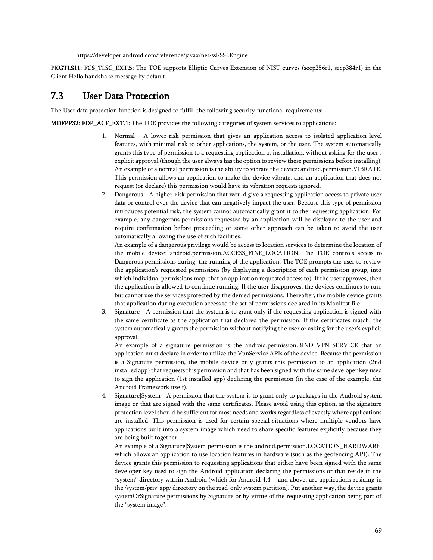https://developer.android.com/reference/javax/net/ssl/SSLEngine

PKGTLS11: FCS\_TLSC\_EXT.5: The TOE supports Elliptic Curves Extension of NIST curves (secp256r1, secp384r1) in the Client Hello handshake message by default.

# 7.3 User Data Protection

The User data protection function is designed to fulfill the following security functional requirements:

**MDFPP32: FDP\_ACF\_EXT.1:** The TOE provides the following categories of system services to applications:

- 1. Normal A lower-risk permission that gives an application access to isolated application-level features, with minimal risk to other applications, the system, or the user. The system automatically grants this type of permission to a requesting application at installation, without asking for the user's explicit approval (though the user always has the option to review these permissions before installing). An example of a normal permission is the ability to vibrate the device: android.permission.VIBRATE. This permission allows an application to make the device vibrate, and an application that does not request (or declare) this permission would have its vibration requests ignored.
- 2. Dangerous A higher-risk permission that would give a requesting application access to private user data or control over the device that can negatively impact the user. Because this type of permission introduces potential risk, the system cannot automatically grant it to the requesting application. For example, any dangerous permissions requested by an application will be displayed to the user and require confirmation before proceeding or some other approach can be taken to avoid the user automatically allowing the use of such facilities.

An example of a dangerous privilege would be access to location services to determine the location of the mobile device: android.permission.ACCESS\_FINE\_LOCATION. The TOE controls access to Dangerous permissions during the running of the application. The TOE prompts the user to review the application's requested permissions (by displaying a description of each permission group, into which individual permissions map, that an application requested access to). If the user approves, then the application is allowed to continue running. If the user disapproves, the devices continues to run, but cannot use the services protected by the denied permissions. Thereafter, the mobile device grants that application during execution access to the set of permissions declared in its Manifest file.

3. Signature - A permission that the system is to grant only if the requesting application is signed with the same certificate as the application that declared the permission. If the certificates match, the system automatically grants the permission without notifying the user or asking for the user's explicit approval.

An example of a signature permission is the android.permission.BIND VPN SERVICE that an application must declare in order to utilize the VpnService APIs of the device. Because the permission is a Signature permission, the mobile device only grants this permission to an application (2nd installed app) that requests this permission and that has been signed with the same developer key used to sign the application (1st installed app) declaring the permission (in the case of the example, the Android Framework itself).

4. Signature|System - A permission that the system is to grant only to packages in the Android system image or that are signed with the same certificates. Please avoid using this option, as the signature protection level should be sufficient for most needs and works regardless of exactly where applications are installed. This permission is used for certain special situations where multiple vendors have applications built into a system image which need to share specific features explicitly because they are being built together.

An example of a Signature|System permission is the android.permission.LOCATION\_HARDWARE, which allows an application to use location features in hardware (such as the geofencing API). The device grants this permission to requesting applications that either have been signed with the same developer key used to sign the Android application declaring the permissions or that reside in the "system" directory within Android (which for Android 4.4 and above, are applications residing in the /system/priv-app/ directory on the read-only system partition). Put another way, the device grants systemOrSignature permissions by Signature or by virtue of the requesting application being part of the "system image".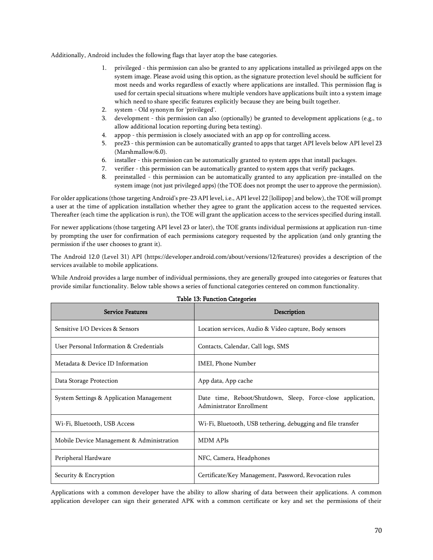Additionally, Android includes the following flags that layer atop the base categories.

- 1. privileged this permission can also be granted to any applications installed as privileged apps on the system image. Please avoid using this option, as the signature protection level should be sufficient for most needs and works regardless of exactly where applications are installed. This permission flag is used for certain special situations where multiple vendors have applications built into a system image which need to share specific features explicitly because they are being built together.
- 2. system Old synonym for 'privileged'.
- 3. development this permission can also (optionally) be granted to development applications (e.g., to allow additional location reporting during beta testing).
- 4. appop this permission is closely associated with an app op for controlling access.
- 5. pre23 this permission can be automatically granted to apps that target API levels below API level 23 (Marshmallow/6.0).
- 6. installer this permission can be automatically granted to system apps that install packages.
- 7. verifier this permission can be automatically granted to system apps that verify packages.
- 8. preinstalled this permission can be automatically granted to any application pre-installed on the system image (not just privileged apps) (the TOE does not prompt the user to approve the permission).

For older applications (those targeting Android's pre-23 API level, i.e., API level 22 [lollipop] and below), the TOE will prompt a user at the time of application installation whether they agree to grant the application access to the requested services. Thereafter (each time the application is run), the TOE will grant the application access to the services specified during install.

For newer applications (those targeting API level 23 or later), the TOE grants individual permissions at application run-time by prompting the user for confirmation of each permissions category requested by the application (and only granting the permission if the user chooses to grant it).

The Android 12.0 (Level 31) API (https://developer.android.com/about/versions/12/features) provides a description of the services available to mobile applications.

While Android provides a large number of individual permissions, they are generally grouped into categories or features that provide similar functionality. Below table shows a series of functional categories centered on common functionality.

| <b>Service Features</b>                   | Description                                                                             |
|-------------------------------------------|-----------------------------------------------------------------------------------------|
| Sensitive I/O Devices & Sensors           | Location services, Audio & Video capture, Body sensors                                  |
| User Personal Information & Credentials   | Contacts, Calendar, Call logs, SMS                                                      |
| Metadata & Device ID Information          | IMEI, Phone Number                                                                      |
| Data Storage Protection                   | App data, App cache                                                                     |
| System Settings & Application Management  | Date time, Reboot/Shutdown, Sleep, Force-close application,<br>Administrator Enrollment |
| Wi-Fi, Bluetooth, USB Access              | Wi-Fi, Bluetooth, USB tethering, debugging and file transfer                            |
| Mobile Device Management & Administration | <b>MDM APIs</b>                                                                         |
| Peripheral Hardware                       | NFC, Camera, Headphones                                                                 |
| Security & Encryption                     | Certificate/Key Management, Password, Revocation rules                                  |

|  |  |  | Table 13: Function Categories |
|--|--|--|-------------------------------|
|--|--|--|-------------------------------|

Applications with a common developer have the ability to allow sharing of data between their applications. A common application developer can sign their generated APK with a common certificate or key and set the permissions of their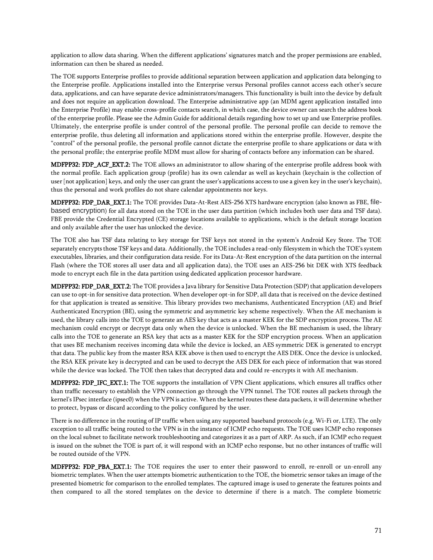application to allow data sharing. When the different applications' signatures match and the proper permissions are enabled, information can then be shared as needed.

The TOE supports Enterprise profiles to provide additional separation between application and application data belonging to the Enterprise profile. Applications installed into the Enterprise versus Personal profiles cannot access each other's secure data, applications, and can have separate device administrators/managers. This functionality is built into the device by default and does not require an application download. The Enterprise administrative app (an MDM agent application installed into the Enterprise Profile) may enable cross-profile contacts search, in which case, the device owner can search the address book of the enterprise profile. Please see the Admin Guide for additional details regarding how to set up and use Enterprise profiles. Ultimately, the enterprise profile is under control of the personal profile. The personal profile can decide to remove the enterprise profile, thus deleting all information and applications stored within the enterprise profile. However, despite the "control" of the personal profile, the personal profile cannot dictate the enterprise profile to share applications or data with the personal profile; the enterprise profile MDM must allow for sharing of contacts before any information can be shared.

MDFPP32: FDP\_ACF\_EXT.2: The TOE allows an administrator to allow sharing of the enterprise profile address book with the normal profile. Each application group (profile) has its own calendar as well as keychain (keychain is the collection of user [not application] keys, and only the user can grant the user's applications access to use a given key in the user's keychain), thus the personal and work profiles do not share calendar appointments nor keys.

MDFPP32: FDP\_DAR\_EXT.1: The TOE provides Data-At-Rest AES-256 XTS hardware encryption (also known as FBE, filebased encryption) for all data stored on the TOE in the user data partition (which includes both user data and TSF data). FBE provide the Credential Encrypted (CE) storage locations available to applications, which is the default storage location and only available after the user has unlocked the device.

The TOE also has TSF data relating to key storage for TSF keys not stored in the system's Android Key Store. The TOE separately encrypts those TSF keys and data. Additionally, the TOE includes a read-only filesystem in which the TOE's system executables, libraries, and their configuration data reside. For its Data-At-Rest encryption of the data partition on the internal Flash (where the TOE stores all user data and all application data), the TOE uses an AES-256 bit DEK with XTS feedback mode to encrypt each file in the data partition using dedicated application processor hardware.

MDFPP32: FDP\_DAR\_EXT.2: The TOE provides a Java library for Sensitive Data Protection (SDP) that application developers can use to opt-in for sensitive data protection. When developer opt-in for SDP, all data that is received on the device destined for that application is treated as sensitive. This library provides two mechanisms, Authenticated Encryption (AE) and Brief Authenticated Encryption (BE), using the symmetric and asymmetric key scheme respectively. When the AE mechanism is used, the library calls into the TOE to generate an AES key that acts as a master KEK for the SDP encryption process. The AE mechanism could encrypt or decrypt data only when the device is unlocked. When the BE mechanism is used, the library calls into the TOE to generate an RSA key that acts as a master KEK for the SDP encryption process. When an application that uses BE mechanism receives incoming data while the device is locked, an AES symmetric DEK is generated to encrypt that data. The public key from the master RSA KEK above is then used to encrypt the AES DEK. Once the device is unlocked, the RSA KEK private key is decrypted and can be used to decrypt the AES DEK for each piece of information that was stored while the device was locked. The TOE then takes that decrypted data and could re-encrypts it with AE mechanism.

MDFPP32: FDP\_IFC\_EXT.1: The TOE supports the installation of VPN Client applications, which ensures all traffics other than traffic necessary to establish the VPN connection go through the VPN tunnel. The TOE routes all packets through the kernel's IPsec interface (ipsec0) when the VPN is active. When the kernel routes these data packets, it will determine whether to protect, bypass or discard according to the policy configured by the user.

There is no difference in the routing of IP traffic when using any supported baseband protocols (e.g. Wi-Fi or, LTE). The only exception to all traffic being routed to the VPN is in the instance of ICMP echo requests. The TOE uses ICMP echo responses on the local subnet to facilitate network troubleshooting and categorizes it as a part of ARP. As such, if an ICMP echo request is issued on the subnet the TOE is part of, it will respond with an ICMP echo response, but no other instances of traffic will be routed outside of the VPN.

MDFPP32: FDP\_PBA\_EXT.1: The TOE requires the user to enter their password to enroll, re-enroll or un-enroll any biometric templates. When the user attempts biometric authentication to the TOE, the biometric sensor takes an image of the presented biometric for comparison to the enrolled templates. The captured image is used to generate the features points and then compared to all the stored templates on the device to determine if there is a match. The complete biometric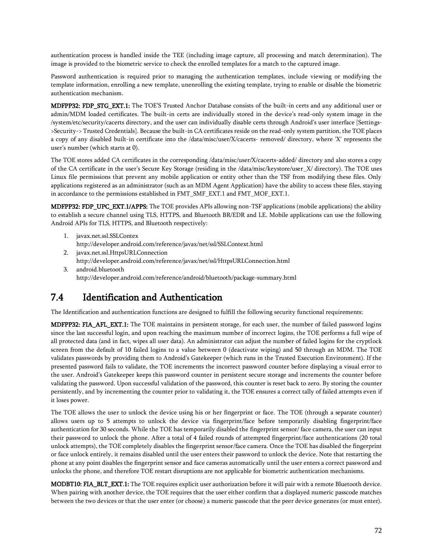authentication process is handled inside the TEE (including image capture, all processing and match determination). The image is provided to the biometric service to check the enrolled templates for a match to the captured image.

Password authentication is required prior to managing the authentication templates, include viewing or modifying the template information, enrolling a new template, unenrolling the existing template, trying to enable or disable the biometric authentication mechanism.

MDFPP32: FDP\_STG\_EXT.1: The TOE'S Trusted Anchor Database consists of the built-in certs and any additional user or admin/MDM loaded certificates. The built-in certs are individually stored in the device's read-only system image in the /system/etc/security/cacerts directory, and the user can individually disable certs through Android's user interface [Settings- >Security-> Trusted Credentials]. Because the built-in CA certificates reside on the read-only system partition, the TOE places a copy of any disabled built-in certificate into the /data/misc/user/X/cacerts- removed/ directory, where 'X' represents the user's number (which starts at 0).

The TOE stores added CA certificates in the corresponding /data/misc/user/X/cacerts-added/ directory and also stores a copy of the CA certificate in the user's Secure Key Storage (residing in the /data/misc/keystore/user\_X/ directory). The TOE uses Linux file permissions that prevent any mobile application or entity other than the TSF from modifying these files. Only applications registered as an administrator (such as an MDM Agent Application) have the ability to access these files, staying in accordance to the permissions established in FMT\_SMF\_EXT.1 and FMT\_MOF\_EXT.1.

MDFPP32: FDP\_UPC\_EXT.1/APPS: The TOE provides APIs allowing non-TSF applications (mobile applications) the ability to establish a secure channel using TLS, HTTPS, and Bluetooth BR/EDR and LE. Mobile applications can use the following Android APIs for TLS, HTTPS, and Bluetooth respectively:

- 1. javax.net.ssl.SSLContex
- http://developer.android.com/reference/javax/net/ssl/SSLContext.html
- 2. javax.net.ssl.HttpsURLConnection http://developer.android.com/reference/javax/net/ssl/HttpsURLConnection.html
- 3. android.bluetooth http://developer.android.com/reference/android/bluetooth/package-summary.html

# 7.4 Identification and Authentication

The Identification and authentication functions are designed to fulfill the following security functional requirements:

MDFPP32: FIA\_AFL\_EXT.1: The TOE maintains in persistent storage, for each user, the number of failed password logins since the last successful login, and upon reaching the maximum number of incorrect logins, the TOE performs a full wipe of all protected data (and in fact, wipes all user data). An administrator can adjust the number of failed logins for the cryptlock screen from the default of 10 failed logins to a value between 0 (deactivate wiping) and 50 through an MDM. The TOE validates passwords by providing them to Android's Gatekeeper (which runs in the Trusted Execution Environment). If the presented password fails to validate, the TOE increments the incorrect password counter before displaying a visual error to the user. Android's Gatekeeper keeps this password counter in persistent secure storage and increments the counter before validating the password. Upon successful validation of the password, this counter is reset back to zero. By storing the counter persistently, and by incrementing the counter prior to validating it, the TOE ensures a correct tally of failed attempts even if it loses power.

The TOE allows the user to unlock the device using his or her fingerprint or face. The TOE (through a separate counter) allows users up to 5 attempts to unlock the device via fingerprint/face before temporarily disabling fingerprint/face authentication for 30 seconds. While the TOE has temporarily disabled the fingerprint sensor/ face camera, the user can input their password to unlock the phone. After a total of 4 failed rounds of attempted fingerprint/face authentications (20 total unlock attempts), the TOE completely disables the fingerprint sensor/face camera. Once the TOE has disabled the fingerprint or face unlock entirely, it remains disabled until the user enters their password to unlock the device. Note that restarting the phone at any point disables the fingerprint sensor and face cameras automatically until the user enters a correct password and unlocks the phone, and therefore TOE restart disruptions are not applicable for biometric authentication mechanisms.

MODBT10: FIA\_BLT\_EXT.1: The TOE requires explicit user authorization before it will pair with a remote Bluetooth device. When pairing with another device, the TOE requires that the user either confirm that a displayed numeric passcode matches between the two devices or that the user enter (or choose) a numeric passcode that the peer device generates (or must enter).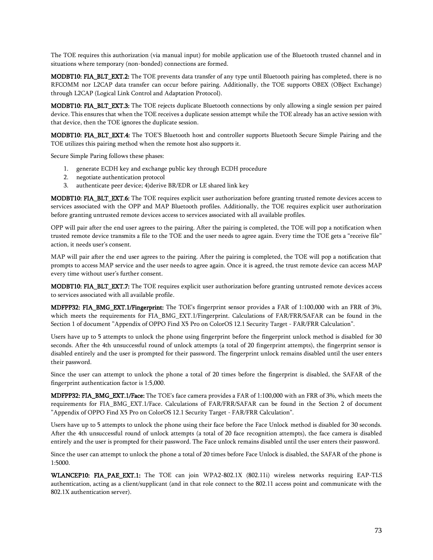The TOE requires this authorization (via manual input) for mobile application use of the Bluetooth trusted channel and in situations where temporary (non-bonded) connections are formed.

MODBT10: FIA\_BLT\_EXT.2: The TOE prevents data transfer of any type until Bluetooth pairing has completed, there is no RFCOMM nor L2CAP data transfer can occur before pairing. Additionally, the TOE supports OBEX (OBject Exchange) through L2CAP (Logical Link Control and Adaptation Protocol).

MODBT10: FIA\_BLT\_EXT.3: The TOE rejects duplicate Bluetooth connections by only allowing a single session per paired device. This ensures that when the TOE receives a duplicate session attempt while the TOE already has an active session with that device, then the TOE ignores the duplicate session.

MODBT10: FIA\_BLT\_EXT.4: The TOE'S Bluetooth host and controller supports Bluetooth Secure Simple Pairing and the TOE utilizes this pairing method when the remote host also supports it.

Secure Simple Paring follows these phases:

- 1. generate ECDH key and exchange public key through ECDH procedure
- 2. negotiate authentication protocol
- 3. authenticate peer device; 4)derive BR/EDR or LE shared link key

MODBT10: FIA\_BLT\_EXT.6: The TOE requires explicit user authorization before granting trusted remote devices access to services associated with the OPP and MAP Bluetooth profiles. Additionally, the TOE requires explicit user authorization before granting untrusted remote devices access to services associated with all available profiles.

OPP will pair after the end user agrees to the pairing. After the pairing is completed, the TOE will pop a notification when trusted remote device transmits a file to the TOE and the user needs to agree again. Every time the TOE gets a "receive file" action, it needs user's consent.

MAP will pair after the end user agrees to the pairing. After the pairing is completed, the TOE will pop a notification that prompts to access MAP service and the user needs to agree again. Once it is agreed, the trust remote device can access MAP every time without user's further consent.

MODBT10: FIA\_BLT\_EXT.7: The TOE requires explicit user authorization before granting untrusted remote devices access to services associated with all available profile.

MDFPP32: FIA\_BMG\_EXT.1/Fingerprint: The TOE's fingerprint sensor provides a FAR of 1:100,000 with an FRR of 3%, which meets the requirements for FIA\_BMG\_EXT.1/Fingerprint. Calculations of FAR/FRR/SAFAR can be found in the Section 1 of document "Appendix of OPPO Find X5 Pro on ColorOS 12.1 Security Target - FAR/FRR Calculation".

Users have up to 5 attempts to unlock the phone using fingerprint before the fingerprint unlock method is disabled for 30 seconds. After the 4th unsuccessful round of unlock attempts (a total of 20 fingerprint attempts), the fingerprint sensor is disabled entirely and the user is prompted for their password. The fingerprint unlock remains disabled until the user enters their password.

Since the user can attempt to unlock the phone a total of 20 times before the fingerprint is disabled, the SAFAR of the fingerprint authentication factor is 1:5,000.

MDFPP32: FIA\_BMG\_EXT.1/Face: The TOE's face camera provides a FAR of 1:100,000 with an FRR of 3%, which meets the requirements for FIA\_BMG\_EXT.1/Face. Calculations of FAR/FRR/SAFAR can be found in the Section 2 of document "Appendix of OPPO Find X5 Pro on ColorOS 12.1 Security Target - FAR/FRR Calculation".

Users have up to 5 attempts to unlock the phone using their face before the Face Unlock method is disabled for 30 seconds. After the 4th unsuccessful round of unlock attempts (a total of 20 face recognition attempts), the face camera is disabled entirely and the user is prompted for their password. The Face unlock remains disabled until the user enters their password.

Since the user can attempt to unlock the phone a total of 20 times before Face Unlock is disabled, the SAFAR of the phone is 1:5000.

WLANCEP10: FIA\_PAE\_EXT.1: The TOE can join WPA2-802.1X (802.11i) wireless networks requiring EAP-TLS authentication, acting as a client/supplicant (and in that role connect to the 802.11 access point and communicate with the 802.1X authentication server).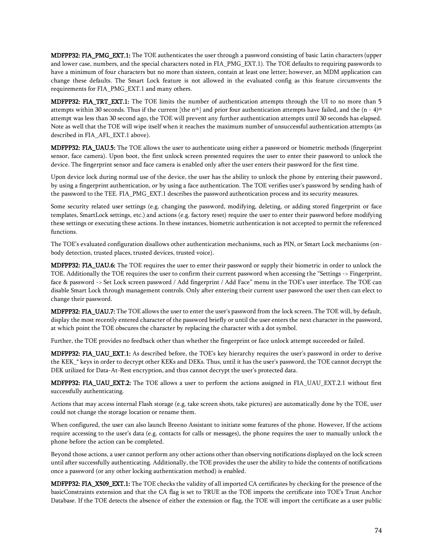MDFPP32: FIA\_PMG\_EXT.1: The TOE authenticates the user through a password consisting of basic Latin characters (upper and lower case, numbers, and the special characters noted in FIA\_PMG\_EXT.1). The TOE defaults to requiring passwords to have a minimum of four characters but no more than sixteen, contain at least one letter; however, an MDM application can change these defaults. The Smart Lock feature is not allowed in the evaluated config as this feature circumvents the requirements for FIA\_PMG\_EXT.1 and many others.

MDFPP32: FIA\_TRT\_EXT.1: The TOE limits the number of authentication attempts through the UI to no more than 5 attempts within 30 seconds. Thus if the current [the  $n<sup>th</sup>$ ] and prior four authentication attempts have failed, and the (n - 4)<sup>th</sup> attempt was less than 30 second ago, the TOE will prevent any further authentication attempts until 30 seconds has elapsed. Note as well that the TOE will wipe itself when it reaches the maximum number of unsuccessful authentication attempts (as described in FIA\_AFL\_EXT.1 above).

MDFPP32: FIA\_UAU.5: The TOE allows the user to authenticate using either a password or biometric methods (fingerprint sensor, face camera). Upon boot, the first unlock screen presented requires the user to enter their password to unlock the device. The fingerprint sensor and face camera is enabled only after the user enters their password for the first time.

Upon device lock during normal use of the device, the user has the ability to unlock the phone by entering their password, by using a fingerprint authentication, or by using a face authentication. The TOE verifies user's password by sending hash of the password to the TEE. FIA\_PMG\_EXT.1 describes the password authentication process and its security measures.

Some security related user settings (e.g. changing the password, modifying, deleting, or adding stored fingerprint or face templates, SmartLock settings, etc.) and actions (e.g. factory reset) require the user to enter their password before modifying these settings or executing these actions. In these instances, biometric authentication is not accepted to permit the referenced functions.

The TOE's evaluated configuration disallows other authentication mechanisms, such as PIN, or Smart Lock mechanisms (onbody detection, trusted places, trusted devices, trusted voice).

MDFPP32: FIA\_UAU.6: The TOE requires the user to enter their password or supply their biometric in order to unlock the TOE. Additionally the TOE requires the user to confirm their current password when accessing the "Settings -> Fingerprint, face & password -> Set Lock screen password / Add fingerprint / Add Face" menu in the TOE's user interface. The TOE can disable Smart Lock through management controls. Only after entering their current user password the user then can elect to change their password.

MDFPP32: FIA\_UAU.7: The TOE allows the user to enter the user's password from the lock screen. The TOE will, by default, display the most recently entered character of the password briefly or until the user enters the next character in the password, at which point the TOE obscures the character by replacing the character with a dot symbol.

Further, the TOE provides no feedback other than whether the fingerprint or face unlock attempt succeeded or failed.

MDFPP32: FIA\_UAU\_EXT.1: As described before, the TOE's key hierarchy requires the user's password in order to derive the KEK\_\* keys in order to decrypt other KEKs and DEKs. Thus, until it has the user's password, the TOE cannot decrypt the DEK utilized for Data-At-Rest encryption, and thus cannot decrypt the user's protected data.

MDFPP32: FIA\_UAU\_EXT.2: The TOE allows a user to perform the actions assigned in FIA\_UAU\_EXT.2.1 without first successfully authenticating.

Actions that may access internal Flash storage (e.g. take screen shots, take pictures) are automatically done by the TOE, user could not change the storage location or rename them.

When configured, the user can also launch Breeno Assistant to initiate some features of the phone. However, If the actions require accessing to the user's data (e.g. contacts for calls or messages), the phone requires the user to manually unlock the phone before the action can be completed.

Beyond those actions, a user cannot perform any other actions other than observing notifications displayed on the lock screen until after successfully authenticating. Additionally, the TOE provides the user the ability to hide the contents of notifications once a password (or any other locking authentication method) is enabled.

MDFPP32: FIA\_X509\_EXT.1: The TOE checks the validity of all imported CA certificates by checking for the presence of the basicConstraints extension and that the CA flag is set to TRUE as the TOE imports the certificate into TOE's Trust Anchor Database. If the TOE detects the absence of either the extension or flag, the TOE will import the certificate as a user public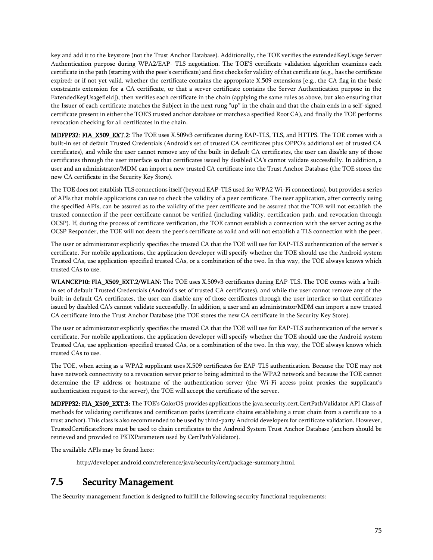key and add it to the keystore (not the Trust Anchor Database). Additionally, the TOE verifies the extendedKeyUsage Server Authentication purpose during WPA2/EAP- TLS negotiation. The TOE'S certificate validation algorithm examines each certificate in the path (starting with the peer's certificate) and first checks for validity of that certificate (e.g., has the certificate expired; or if not yet valid, whether the certificate contains the appropriate X.509 extensions [e.g., the CA flag in the basic constraints extension for a CA certificate, or that a server certificate contains the Server Authentication purpose in the ExtendedKeyUsagefield]), then verifies each certificate in the chain (applying the same rules as above, but also ensuring that the Issuer of each certificate matches the Subject in the next rung "up" in the chain and that the chain ends in a self-signed certificate present in either the TOE'S trusted anchor database or matches a specified Root CA), and finally the TOE performs revocation checking for all certificates in the chain.

MDFPP32: FIA\_X509\_EXT.2: The TOE uses X.509v3 certificates during EAP-TLS, TLS, and HTTPS. The TOE comes with a built-in set of default Trusted Credentials (Android's set of trusted CA certificates plus OPPO's additional set of trusted CA certificates), and while the user cannot remove any of the built-in default CA certificates, the user can disable any of those certificates through the user interface so that certificates issued by disabled CA's cannot validate successfully. In addition, a user and an administrator/MDM can import a new trusted CA certificate into the Trust Anchor Database (the TOE stores the new CA certificate in the Security Key Store).

The TOE does not establish TLS connections itself (beyond EAP-TLS used for WPA2 Wi-Fi connections), but provides a series of APIs that mobile applications can use to check the validity of a peer certificate. The user application, after correctly using the specified APIs, can be assured as to the validity of the peer certificate and be assured that the TOE will not establish the trusted connection if the peer certificate cannot be verified (including validity, certification path, and revocation through OCSP). If, during the process of certificate verification, the TOE cannot establish a connection with the server acting as the OCSP Responder, the TOE will not deem the peer's certificate as valid and will not establish a TLS connection with the peer.

The user or administrator explicitly specifies the trusted CA that the TOE will use for EAP-TLS authentication of the server's certificate. For mobile applications, the application developer will specify whether the TOE should use the Android system Trusted CAs, use application-specified trusted CAs, or a combination of the two. In this way, the TOE always knows which trusted CAs to use.

WLANCEP10: FIA\_X509\_EXT.2/WLAN: The TOE uses X.509v3 certificates during EAP-TLS. The TOE comes with a builtin set of default Trusted Credentials (Android's set of trusted CA certificates), and while the user cannot remove any of the built-in default CA certificates, the user can disable any of those certificates through the user interface so that certificates issued by disabled CA's cannot validate successfully. In addition, a user and an administrator/MDM can import a new trusted CA certificate into the Trust Anchor Database (the TOE stores the new CA certificate in the Security Key Store).

The user or administrator explicitly specifies the trusted CA that the TOE will use for EAP-TLS authentication of the server's certificate. For mobile applications, the application developer will specify whether the TOE should use the Android system Trusted CAs, use application-specified trusted CAs, or a combination of the two. In this way, the TOE always knows which trusted CAs to use.

The TOE, when acting as a WPA2 supplicant uses X.509 certificates for EAP-TLS authentication. Because the TOE may not have network connectivity to a revocation server prior to being admitted to the WPA2 network and because the TOE cannot determine the IP address or hostname of the authentication server (the Wi-Fi access point proxies the supplicant's authentication request to the server), the TOE will accept the certificate of the server.

MDFPP32: FIA\_X509\_EXT.3: The TOE's ColorOS provides applications the java.security.cert.CertPathValidator API Class of methods for validating certificates and certification paths (certificate chains establishing a trust chain from a certificate to a trust anchor). This class is also recommended to be used by third-party Android developers for certificate validation. However, TrustedCertificateStore must be used to chain certificates to the Android System Trust Anchor Database (anchors should be retrieved and provided to PKIXParameters used by CertPathValidator).

The available APIs may be found here:

http://developer.android.com/reference/java/security/cert/package-summary.html.

### 7.5 Security Management

The Security management function is designed to fulfill the following security functional requirements: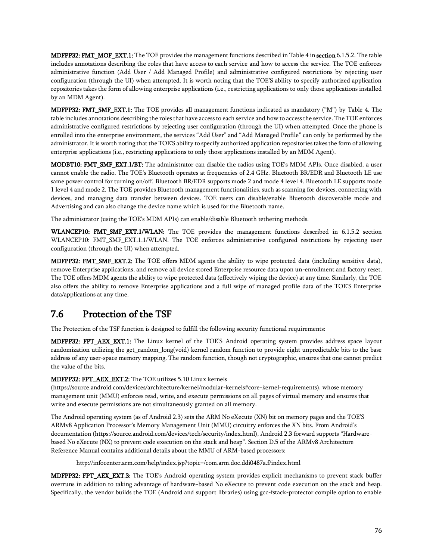MDFPP32: FMT\_MOF\_EXT.1: The TOE provides the management functions described i[n Table 4](#page-44-0) in section [6.1.5.2.](#page-44-1) The table includes annotations describing the roles that have access to each service and how to access the service. The TOE enforces administrative function (Add User / Add Managed Profile) and administrative configured restrictions by rejecting user configuration (through the UI) when attempted. It is worth noting that the TOE'S ability to specify authorized application repositories takes the form of allowing enterprise applications (i.e., restricting applications to only those applications installed by an MDM Agent).

**MDFPP32: FMT\_SMF\_EXT.1:** The TOE provides all management functions indicated as mandatory ("M") by [Table 4.](#page-44-0) The table includes annotations describing the roles that have access to each service and how to access the service. The TOE enforces administrative configured restrictions by rejecting user configuration (through the UI) when attempted. Once the phone is enrolled into the enterprise environment, the services "Add User" and "Add Managed Profile" can only be performed by the administrator. It is worth noting that the TOE'S ability to specify authorized application repositories takes the form of allowing enterprise applications (i.e., restricting applications to only those applications installed by an MDM Agent).

MODBT10: FMT\_SMF\_EXT.1/BT: The administrator can disable the radios using TOE's MDM APIs. Once disabled, a user cannot enable the radio. The TOE's Bluetooth operates at frequencies of 2.4 GHz. Bluetooth BR/EDR and Bluetooth LE use same power control for turning on/off. Bluetooth BR/EDR supports mode 2 and mode 4 level 4. Bluetooth LE supports mode 1 level 4 and mode 2. The TOE provides Bluetooth management functionalities, such as scanning for devices, connecting with devices, and managing data transfer between devices. TOE users can disable/enable Bluetooth discoverable mode and Advertising and can also change the device name which is used for the Bluetooth name.

The administrator (using the TOE's MDM APIs) can enable/disable Bluetooth tethering methods.

WLANCEP10: FMT\_SMF\_EXT.1/WLAN: The TOE provides the management functions described in [6.1.5.2](#page-44-1) section WLANCEP10: FMT\_SMF\_EXT.1.1/WLAN. The TOE enforces administrative configured restrictions by rejecting user configuration (through the UI) when attempted.

MDFPP32: FMT\_SMF\_EXT.2: The TOE offers MDM agents the ability to wipe protected data (including sensitive data), remove Enterprise applications, and remove all device stored Enterprise resource data upon un-enrollment and factory reset. The TOE offers MDM agents the ability to wipe protected data (effectively wiping the device) at any time. Similarly, the TOE also offers the ability to remove Enterprise applications and a full wipe of managed profile data of the TOE'S Enterprise data/applications at any time.

## 7.6 Protection of the TSF

The Protection of the TSF function is designed to fulfill the following security functional requirements:

MDFPP32: FPT\_AEX\_EXT.1: The Linux kernel of the TOE'S Android operating system provides address space layout randomization utilizing the get\_random\_long(void) kernel random function to provide eight unpredictable bits to the base address of any user-space memory mapping. The random function, though not cryptographic, ensures that one cannot predict the value of the bits.

#### MDFPP32: FPT\_AEX\_EXT.2: The TOE utilizes 5.10 Linux kernels

(https://source.android.com/devices/architecture/kernel/modular-kernels#core-kernel-requirements), whose memory management unit (MMU) enforces read, write, and execute permissions on all pages of virtual memory and ensures that write and execute permissions are not simultaneously granted on all memory.

The Android operating system (as of Android 2.3) sets the ARM No eXecute (XN) bit on memory pages and the TOE'S ARMv8 Application Processor's Memory Management Unit (MMU) circuitry enforces the XN bits. From Android's documentation (https://source.android.com/devices/tech/security/index.html), Android 2.3 forward supports "Hardwarebased No eXecute (NX) to prevent code execution on the stack and heap". Section D.5 of the ARMv8 Architecture Reference Manual contains additional details about the MMU of ARM-based processors:

http://infocenter.arm.com/help/index.jsp?topic=/com.arm.doc.ddi0487a.f/index.html

MDFPP32: FPT\_AEX\_EXT.3: The TOE's Android operating system provides explicit mechanisms to prevent stack buffer overruns in addition to taking advantage of hardware-based No eXecute to prevent code execution on the stack and heap. Specifically, the vendor builds the TOE (Android and support libraries) using gcc-fstack-protector compile option to enable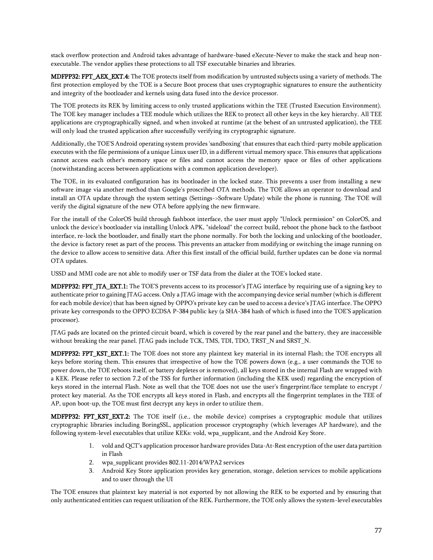stack overflow protection and Android takes advantage of hardware-based eXecute-Never to make the stack and heap nonexecutable. The vendor applies these protections to all TSF executable binaries and libraries.

MDFPP32: FPT\_AEX\_EXT.4: The TOE protects itself from modification by untrusted subjects using a variety of methods. The first protection employed by the TOE is a Secure Boot process that uses cryptographic signatures to ensure the authenticity and integrity of the bootloader and kernels using data fused into the device processor.

The TOE protects its REK by limiting access to only trusted applications within the TEE (Trusted Execution Environment). The TOE key manager includes a TEE module which utilizes the REK to protect all other keys in the key hierarchy. All TEE applications are cryptographically signed, and when invoked at runtime (at the behest of an untrusted application), the TEE will only load the trusted application after successfully verifying its cryptographic signature.

Additionally, the TOE'S Android operating system provides 'sandboxing' that ensures that each third-party mobile application executes with the file permissions of a unique Linux user ID, in a different virtual memory space. This ensures that applications cannot access each other's memory space or files and cannot access the memory space or files of other applications (notwithstanding access between applications with a common application developer).

The TOE, in its evaluated configuration has its bootloader in the locked state. This prevents a user from installing a new software image via another method than Google's proscribed OTA methods. The TOE allows an operator to download and install an OTA update through the system settings (Settings->Software Update) while the phone is running. The TOE will verify the digital signature of the new OTA before applying the new firmware.

For the install of the ColorOS build through fashboot interface, the user must apply "Unlock permission" on ColorOS, and unlock the device's bootloader via installing Unlock APK, "sideload" the correct build, reboot the phone back to the fastboot interface, re-lock the bootloader, and finally start the phone normally. For both the locking and unlocking of the bootloader, the device is factory reset as part of the process. This prevents an attacker from modifying or switching the image running on the device to allow access to sensitive data. After this first install of the official build, further updates can be done via normal OTA updates.

USSD and MMI code are not able to modify user or TSF data from the dialer at the TOE's locked state.

MDFPP32: FPT\_JTA\_EXT.1: The TOE'S prevents access to its processor's JTAG interface by requiring use of a signing key to authenticate prior to gaining JTAG access. Only a JTAG image with the accompanying device serial number (which is different for each mobile device) that has been signed by OPPO's private key can be used to access a device's JTAG interface. The OPPO private key corresponds to the OPPO ECDSA P-384 public key (a SHA-384 hash of which is fused into the TOE'S application processor).

JTAG pads are located on the printed circuit board, which is covered by the rear panel and the battery, they are inaccessible without breaking the rear panel. JTAG pads include TCK, TMS, TDI, TDO, TRST\_N and SRST\_N.

MDFPP32: FPT\_KST\_EXT.1: The TOE does not store any plaintext key material in its internal Flash; the TOE encrypts all keys before storing them. This ensures that irrespective of how the TOE powers down (e.g., a user commands the TOE to power down, the TOE reboots itself, or battery depletes or is removed), all keys stored in the internal Flash are wrapped with a KEK. Please refer to section 7.2 of the TSS for further information (including the KEK used) regarding the encryption of keys stored in the internal Flash. Note as well that the TOE does not use the user's fingerprint/face template to encrypt / protect key material. As the TOE encrypts all keys stored in Flash, and encrypts all the fingerprint templates in the TEE of AP, upon boot-up, the TOE must first decrypt any keys in order to utilize them.

MDFPP32: FPT\_KST\_EXT.2: The TOE itself (i.e., the mobile device) comprises a cryptographic module that utilizes cryptographic libraries including BoringSSL, application processor cryptography (which leverages AP hardware), and the following system-level executables that utilize KEKs: vold, wpa\_supplicant, and the Android Key Store.

- 1. vold and QCT's application processor hardware provides Data-At-Rest encryption of the user data partition in Flash
- 2. wpa\_supplicant provides 802.11-2014/WPA2 services
- 3. Android Key Store application provides key generation, storage, deletion services to mobile applications and to user through the UI

The TOE ensures that plaintext key material is not exported by not allowing the REK to be exported and by ensuring that only authenticated entities can request utilization of the REK. Furthermore, the TOE only allows the system-level executables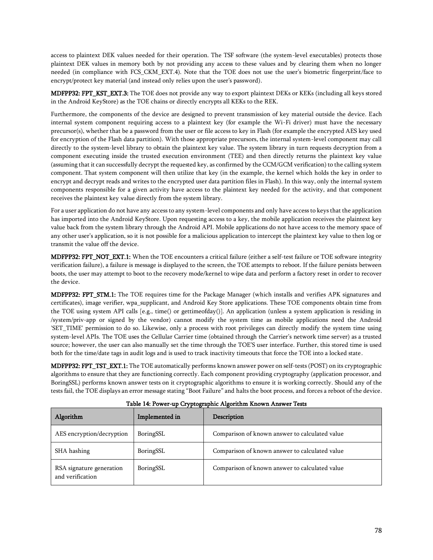access to plaintext DEK values needed for their operation. The TSF software (the system-level executables) protects those plaintext DEK values in memory both by not providing any access to these values and by clearing them when no longer needed (in compliance with FCS\_CKM\_EXT.4). Note that the TOE does not use the user's biometric fingerprint/face to encrypt/protect key material (and instead only relies upon the user's password).

MDFPP32: FPT\_KST\_EXT.3: The TOE does not provide any way to export plaintext DEKs or KEKs (including all keys stored in the Android KeyStore) as the TOE chains or directly encrypts all KEKs to the REK.

Furthermore, the components of the device are designed to prevent transmission of key material outside the device. Each internal system component requiring access to a plaintext key (for example the Wi-Fi driver) must have the necessary precursor(s), whether that be a password from the user or file access to key in Flash (for example the encrypted AES key used for encryption of the Flash data partition). With those appropriate precursors, the internal system-level component may call directly to the system-level library to obtain the plaintext key value. The system library in turn requests decryption from a component executing inside the trusted execution environment (TEE) and then directly returns the plaintext key value (assuming that it can successfully decrypt the requested key, as confirmed by the CCM/GCM verification) to the calling system component. That system component will then utilize that key (in the example, the kernel which holds the key in order to encrypt and decrypt reads and writes to the encrypted user data partition files in Flash). In this way, only the internal system components responsible for a given activity have access to the plaintext key needed for the activity, and that component receives the plaintext key value directly from the system library.

For a user application do not have any access to any system-level components and only have access to keys that the application has imported into the Android KeyStore. Upon requesting access to a key, the mobile application receives the plaintext key value back from the system library through the Android API. Mobile applications do not have access to the memory space of any other user's application, so it is not possible for a malicious application to intercept the plaintext key value to then log or transmit the value off the device.

MDFPP32: FPT\_NOT\_EXT.1: When the TOE encounters a critical failure (either a self-test failure or TOE software integrity verification failure), a failure is message is displayed to the screen, the TOE attempts to reboot. If the failure persists between boots, the user may attempt to boot to the recovery mode/kernel to wipe data and perform a factory reset in order to recover the device.

MDFPP32: FPT\_STM.1: The TOE requires time for the Package Manager (which installs and verifies APK signatures and certificates), image verifier, wpa\_supplicant, and Android Key Store applications. These TOE components obtain time from the TOE using system API calls [e.g., time() or gettimeofday()]. An application (unless a system application is residing in /system/priv-app or signed by the vendor) cannot modify the system time as mobile applications need the Android 'SET\_TIME' permission to do so. Likewise, only a process with root privileges can directly modify the system time using system-level APIs. The TOE uses the Cellular Carrier time (obtained through the Carrier's network time server) as a trusted source; however, the user can also manually set the time through the TOE'S user interface. Further, this stored time is used both for the time/date tags in audit logs and is used to track inactivity timeouts that force the TOE into a locked state.

MDFPP32: FPT\_TST\_EXT.1: The TOE automatically performs known answer power on self-tests (POST) on its cryptographic algorithms to ensure that they are functioning correctly. Each component providing cryptography (application processor, and BoringSSL) performs known answer tests on it cryptographic algorithms to ensure it is working correctly. Should any of the tests fail, the TOE displays an error message stating "Boot Failure" and halts the boot process, and forces a reboot of the device.

| Algorithm                                    | Implemented in | Description                                    |
|----------------------------------------------|----------------|------------------------------------------------|
| AES encryption/decryption                    | BoringSSL      | Comparison of known answer to calculated value |
| SHA hashing                                  | BoringSSL      | Comparison of known answer to calculated value |
| RSA signature generation<br>and verification | BoringSSL      | Comparison of known answer to calculated value |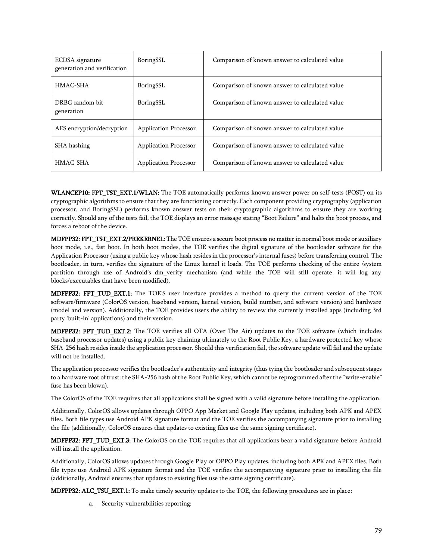| ECDSA signature<br>generation and verification | BoringSSL                    | Comparison of known answer to calculated value |
|------------------------------------------------|------------------------------|------------------------------------------------|
| HMAC-SHA                                       | BoringSSL                    | Comparison of known answer to calculated value |
| DRBG random bit<br>generation                  | BoringSSL                    | Comparison of known answer to calculated value |
| AES encryption/decryption                      | <b>Application Processor</b> | Comparison of known answer to calculated value |
| SHA hashing                                    | <b>Application Processor</b> | Comparison of known answer to calculated value |
| HMAC-SHA                                       | <b>Application Processor</b> | Comparison of known answer to calculated value |

WLANCEP10: FPT\_TST\_EXT.1/WLAN: The TOE automatically performs known answer power on self-tests (POST) on its cryptographic algorithms to ensure that they are functioning correctly. Each component providing cryptography (application processor, and BoringSSL) performs known answer tests on their cryptographic algorithms to ensure they are working correctly. Should any of the tests fail, the TOE displays an error message stating "Boot Failure" and halts the boot process, and forces a reboot of the device.

MDFPP32: FPT\_TST\_EXT.2/PREKERNEL: The TOE ensures a secure boot process no matter in normal boot mode or auxiliary boot mode, i.e., fast boot. In both boot modes, the TOE verifies the digital signature of the bootloader software for the Application Processor (using a public key whose hash resides in the processor's internal fuses) before transferring control. The bootloader, in turn, verifies the signature of the Linux kernel it loads. The TOE performs checking of the entire /system partition through use of Android's dm\_verity mechanism (and while the TOE will still operate, it will log any blocks/executables that have been modified).

**MDFPP32: FPT TUD EXT.1:** The TOE'S user interface provides a method to query the current version of the TOE software/firmware (ColorOS version, baseband version, kernel version, build number, and software version) and hardware (model and version). Additionally, the TOE provides users the ability to review the currently installed apps (including 3rd party 'built-in' applications) and their version.

MDFPP32: FPT\_TUD\_EXT.2: The TOE verifies all OTA (Over The Air) updates to the TOE software (which includes baseband processor updates) using a public key chaining ultimately to the Root Public Key, a hardware protected key whose SHA-256 hash resides inside the application processor. Should this verification fail, the software update will fail and the update will not be installed.

The application processor verifies the bootloader's authenticity and integrity (thus tying the bootloader and subsequent stages to a hardware root of trust: the SHA-256 hash of the Root Public Key, which cannot be reprogrammed after the "write-enable" fuse has been blown).

The ColorOS of the TOE requires that all applications shall be signed with a valid signature before installing the application.

Additionally, ColorOS allows updates through OPPO App Market and Google Play updates, including both APK and APEX files. Both file types use Android APK signature format and the TOE verifies the accompanying signature prior to installing the file (additionally, ColorOS ensures that updates to existing files use the same signing certificate).

MDFPP32: FPT\_TUD\_EXT.3: The ColorOS on the TOE requires that all applications bear a valid signature before Android will install the application.

Additionally, ColorOS allows updates through Google Play or OPPO Play updates, including both APK and APEX files. Both file types use Android APK signature format and the TOE verifies the accompanying signature prior to installing the file (additionally, Android ensures that updates to existing files use the same signing certificate).

MDFPP32: ALC\_TSU\_EXT.1: To make timely security updates to the TOE, the following procedures are in place:

a. Security vulnerabilities reporting: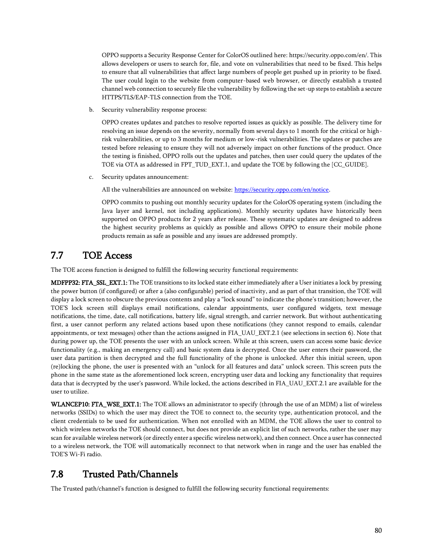OPPO supports a Security Response Center for ColorOS outlined here: https://security.oppo.com/en/. This allows developers or users to search for, file, and vote on vulnerabilities that need to be fixed. This helps to ensure that all vulnerabilities that affect large numbers of people get pushed up in priority to be fixed. The user could login to the website from computer-based web browser, or directly establish a trusted channel web connection to securely file the vulnerability by following the set-up steps to establish a secure HTTPS/TLS/EAP-TLS connection from the TOE.

b. Security vulnerability response process:

OPPO creates updates and patches to resolve reported issues as quickly as possible. The delivery time for resolving an issue depends on the severity, normally from several days to 1 month for the critical or highrisk vulnerabilities, or up to 3 months for medium or low-risk vulnerabilities. The updates or patches are tested before releasing to ensure they will not adversely impact on other functions of the product. Once the testing is finished, OPPO rolls out the updates and patches, then user could query the updates of the TOE via OTA as addressed in FPT\_TUD\_EXT.1, and update the TOE by following the [CC\_GUIDE].

c. Security updates announcement:

All the vulnerabilities are announced on website[: https://security.oppo.com/en/notice.](https://security.oppo.com/en/notice)

OPPO commits to pushing out monthly security updates for the ColorOS operating system (including the Java layer and kernel, not including applications). Monthly security updates have historically been supported on OPPO products for 2 years after release. These systematic updates are designed to address the highest security problems as quickly as possible and allows OPPO to ensure their mobile phone products remain as safe as possible and any issues are addressed promptly.

#### 7.7 TOE Access

The TOE access function is designed to fulfill the following security functional requirements:

MDFPP32: FTA\_SSL\_EXT.1: The TOE transitions to its locked state either immediately after a User initiates a lock by pressing the power button (if configured) or after a (also configurable) period of inactivity, and as part of that transition, the TOE will display a lock screen to obscure the previous contents and play a "lock sound" to indicate the phone's transition; however, the TOE'S lock screen still displays email notifications, calendar appointments, user configured widgets, text message notifications, the time, date, call notifications, battery life, signal strength, and carrier network. But without authenticating first, a user cannot perform any related actions based upon these notifications (they cannot respond to emails, calendar appointments, or text messages) other than the actions assigned in FIA\_UAU\_EXT.2.1 (see selections in section 6). Note that during power up, the TOE presents the user with an unlock screen. While at this screen, users can access some basic device functionality (e.g., making an emergency call) and basic system data is decrypted. Once the user enters their password, the user data partition is then decrypted and the full functionality of the phone is unlocked. After this initial screen, upon (re)locking the phone, the user is presented with an "unlock for all features and data" unlock screen. This screen puts the phone in the same state as the aforementioned lock screen, encrypting user data and locking any functionality that requires data that is decrypted by the user's password. While locked, the actions described in FIA\_UAU\_EXT.2.1 are available for the user to utilize.

WLANCEP10: FTA\_WSE\_EXT.1: The TOE allows an administrator to specify (through the use of an MDM) a list of wireless networks (SSIDs) to which the user may direct the TOE to connect to, the security type, authentication protocol, and the client credentials to be used for authentication. When not enrolled with an MDM, the TOE allows the user to control to which wireless networks the TOE should connect, but does not provide an explicit list of such networks, rather the user may scan for available wireless network (or directly enter a specific wireless network), and then connect. Once a user has connected to a wireless network, the TOE will automatically reconnect to that network when in range and the user has enabled the TOE'S Wi-Fi radio.

### 7.8 Trusted Path/Channels

The Trusted path/channel's function is designed to fulfill the following security functional requirements: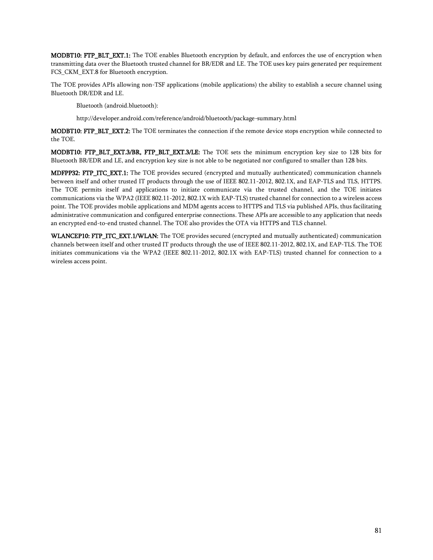MODBT10: FTP\_BLT\_EXT.1: The TOE enables Bluetooth encryption by default, and enforces the use of encryption when transmitting data over the Bluetooth trusted channel for BR/EDR and LE. The TOE uses key pairs generated per requirement FCS\_CKM\_EXT.8 for Bluetooth encryption.

The TOE provides APIs allowing non-TSF applications (mobile applications) the ability to establish a secure channel using Bluetooth DR/EDR and LE.

Bluetooth (android.bluetooth):

http://developer.android.com/reference/android/bluetooth/package-summary.html

MODBT10: FTP\_BLT\_EXT.2: The TOE terminates the connection if the remote device stops encryption while connected to the TOE.

MODBT10: FTP\_BLT\_EXT.3/BR, FTP\_BLT\_EXT.3/LE: The TOE sets the minimum encryption key size to 128 bits for Bluetooth BR/EDR and LE, and encryption key size is not able to be negotiated nor configured to smaller than 128 bits.

MDFPP32: FTP\_ITC\_EXT.1: The TOE provides secured (encrypted and mutually authenticated) communication channels between itself and other trusted IT products through the use of IEEE 802.11-2012, 802.1X, and EAP-TLS and TLS, HTTPS. The TOE permits itself and applications to initiate communicate via the trusted channel, and the TOE initiates communications via the WPA2 (IEEE 802.11-2012, 802.1X with EAP-TLS) trusted channel for connection to a wireless access point. The TOE provides mobile applications and MDM agents access to HTTPS and TLS via published APIs, thus facilitating administrative communication and configured enterprise connections. These APIs are accessible to any application that needs an encrypted end-to-end trusted channel. The TOE also provides the OTA via HTTPS and TLS channel.

WLANCEP10: FTP\_ITC\_EXT.1/WLAN: The TOE provides secured (encrypted and mutually authenticated) communication channels between itself and other trusted IT products through the use of IEEE 802.11-2012, 802.1X, and EAP-TLS. The TOE initiates communications via the WPA2 (IEEE 802.11-2012, 802.1X with EAP-TLS) trusted channel for connection to a wireless access point.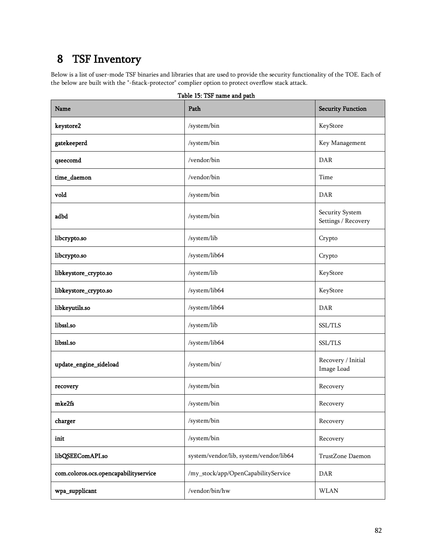# 8 TSF Inventory

Below is a list of user-mode TSF binaries and libraries that are used to provide the security functionality of the TOE. Each of the below are built with the "-fstack-protector" complier option to protect overflow stack attack.

| Name                                  | Path                                   | <b>Security Function</b>               |
|---------------------------------------|----------------------------------------|----------------------------------------|
| keystore2                             | /system/bin                            | KeyStore                               |
| gatekeeperd                           | /system/bin                            | Key Management                         |
| qseecomd                              | /vendor/bin                            | DAR                                    |
| time_daemon                           | /vendor/bin                            | Time                                   |
| vold                                  | /system/bin                            | DAR                                    |
| adbd                                  | /system/bin                            | Security System<br>Settings / Recovery |
| libcrypto.so                          | /system/lib                            | Crypto                                 |
| libcrypto.so                          | /system/lib64                          | Crypto                                 |
| libkeystore_crypto.so                 | /system/lib                            | KeyStore                               |
| libkeystore_crypto.so                 | /system/lib64                          | KeyStore                               |
| libkeyutils.so                        | /system/lib64                          | DAR                                    |
| libssl.so                             | /system/lib                            | SSL/TLS                                |
| libssl.so                             | /system/lib64                          | SSL/TLS                                |
| update_engine_sideload                | $\sqrt{\text{system/bin}}$             | Recovery / Initial<br>Image Load       |
| recovery                              | /system/bin                            | Recovery                               |
| mke2fs                                | /system/bin                            | Recovery                               |
| charger                               | /system/bin                            | Recovery                               |
| init                                  | /system/bin                            | Recovery                               |
| libQSEEComAPI.so                      | system/vendor/lib, system/vendor/lib64 | TrustZone Daemon                       |
| com.coloros.ocs.opencapabilityservice | /my_stock/app/OpenCapabilityService    | DAR                                    |
| wpa_supplicant                        | /vendor/bin/hw                         | <b>WLAN</b>                            |

Table 15: TSF name and path